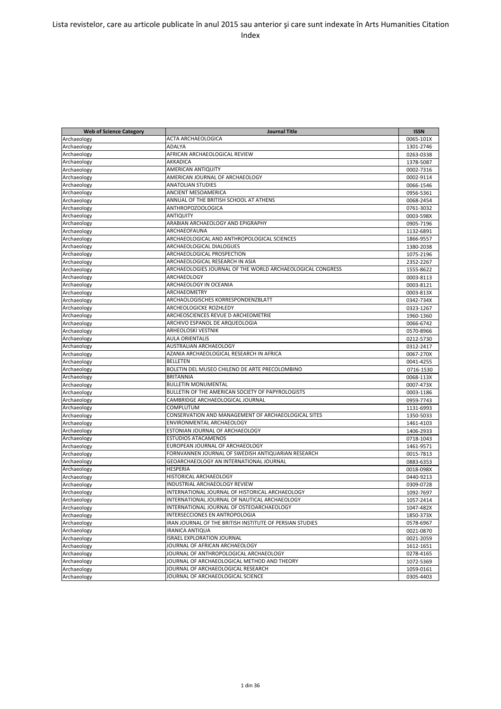| <b>Web of Science Category</b> | <b>Journal Title</b>                                       | <b>ISSN</b>            |
|--------------------------------|------------------------------------------------------------|------------------------|
| Archaeology                    | ACTA ARCHAEOLOGICA                                         | 0065-101X              |
| Archaeology                    | ADALYA                                                     | 1301-2746              |
| Archaeology                    | AFRICAN ARCHAEOLOGICAL REVIEW                              | 0263-0338              |
| Archaeology                    | AKKADICA                                                   | 1378-5087              |
| Archaeology                    | AMERICAN ANTIQUITY                                         | 0002-7316              |
| Archaeology                    | AMERICAN JOURNAL OF ARCHAEOLOGY                            | 0002-9114              |
| Archaeology                    | <b>ANATOLIAN STUDIES</b>                                   | 0066-1546              |
| Archaeology                    | ANCIENT MESOAMERICA                                        | 0956-5361              |
| Archaeology                    | ANNUAL OF THE BRITISH SCHOOL AT ATHENS                     | 0068-2454              |
| Archaeology                    | ANTHROPOZOOLOGICA                                          | 0761-3032              |
| Archaeology                    | <b>ANTIQUITY</b>                                           | 0003-598X              |
| Archaeology                    | ARABIAN ARCHAEOLOGY AND EPIGRAPHY                          | 0905-7196              |
| Archaeology                    | ARCHAEOFAUNA                                               | 1132-6891              |
| Archaeology                    | ARCHAEOLOGICAL AND ANTHROPOLOGICAL SCIENCES                | 1866-9557              |
| Archaeology                    | ARCHAEOLOGICAL DIALOGUES                                   | 1380-2038              |
| Archaeology                    | ARCHAEOLOGICAL PROSPECTION                                 | 1075-2196              |
| Archaeology                    | ARCHAEOLOGICAL RESEARCH IN ASIA                            | 2352-2267              |
| Archaeology                    | ARCHAEOLOGIES JOURNAL OF THE WORLD ARCHAEOLOGICAL CONGRESS | 1555-8622              |
| Archaeology                    | ARCHAEOLOGY                                                | 0003-8113              |
| Archaeology                    | ARCHAEOLOGY IN OCEANIA                                     | 0003-8121              |
| Archaeology                    | ARCHAEOMETRY                                               | 0003-813X              |
| Archaeology                    | ARCHAOLOGISCHES KORRESPONDENZBLATT                         | 0342-734X              |
| Archaeology                    | ARCHEOLOGICKE ROZHLEDY                                     | 0323-1267              |
| Archaeology                    | ARCHEOSCIENCES REVUE D ARCHEOMETRIE                        |                        |
| Archaeology                    | ARCHIVO ESPANOL DE ARQUEOLOGIA                             | 1960-1360              |
|                                | <b>ARHEOLOSKI VESTNIK</b>                                  | 0066-6742<br>0570-8966 |
| Archaeology                    | <b>AULA ORIENTALIS</b>                                     |                        |
| Archaeology                    | AUSTRALIAN ARCHAEOLOGY                                     | 0212-5730              |
| Archaeology                    | AZANIA ARCHAEOLOGICAL RESEARCH IN AFRICA                   | 0312-2417              |
| Archaeology                    | <b>BELLETEN</b>                                            | 0067-270X              |
| Archaeology                    | BOLETIN DEL MUSEO CHILENO DE ARTE PRECOLOMBINO             | 0041-4255              |
| Archaeology                    | <b>BRITANNIA</b>                                           | 0716-1530              |
| Archaeology                    | <b>BULLETIN MONUMENTAL</b>                                 | 0068-113X              |
| Archaeology                    | BULLETIN OF THE AMERICAN SOCIETY OF PAPYROLOGISTS          | 0007-473X              |
| Archaeology                    | CAMBRIDGE ARCHAEOLOGICAL JOURNAL                           | 0003-1186              |
| Archaeology                    | COMPLUTUM                                                  | 0959-7743              |
| Archaeology                    |                                                            | 1131-6993              |
| Archaeology                    | CONSERVATION AND MANAGEMENT OF ARCHAEOLOGICAL SITES        | 1350-5033              |
| Archaeology                    | ENVIRONMENTAL ARCHAEOLOGY                                  | 1461-4103              |
| Archaeology                    | ESTONIAN JOURNAL OF ARCHAEOLOGY                            | 1406-2933              |
| Archaeology                    | <b>ESTUDIOS ATACAMENOS</b>                                 | 0718-1043              |
| Archaeology                    | EUROPEAN JOURNAL OF ARCHAEOLOGY                            | 1461-9571              |
| Archaeology                    | FORNVANNEN JOURNAL OF SWEDISH ANTIQUARIAN RESEARCH         | 0015-7813              |
| Archaeology                    | GEOARCHAEOLOGY AN INTERNATIONAL JOURNAL                    | 0883-6353              |
| Archaeology                    | <b>HESPERIA</b>                                            | 0018-098X              |
| Archaeology                    | HISTORICAL ARCHAEOLOGY                                     | 0440-9213              |
| Archaeology                    | <b>INDUSTRIAL ARCHAEOLOGY REVIEW</b>                       | 0309-0728              |
| Archaeology                    | INTERNATIONAL JOURNAL OF HISTORICAL ARCHAEOLOGY            | 1092-7697              |
| Archaeology                    | INTERNATIONAL JOURNAL OF NAUTICAL ARCHAEOLOGY              | 1057-2414              |
| Archaeology                    | INTERNATIONAL JOURNAL OF OSTEOARCHAEOLOGY                  | 1047-482X              |
| Archaeology                    | INTERSECCIONES EN ANTROPOLOGIA                             | 1850-373X              |
| Archaeology                    | IRAN JOURNAL OF THE BRITISH INSTITUTE OF PERSIAN STUDIES   | 0578-6967              |
| Archaeology                    | <b>IRANICA ANTIQUA</b>                                     | 0021-0870              |
| Archaeology                    | <b>ISRAEL EXPLORATION JOURNAL</b>                          | 0021-2059              |
| Archaeology                    | JOURNAL OF AFRICAN ARCHAEOLOGY                             | 1612-1651              |
| Archaeology                    | JOURNAL OF ANTHROPOLOGICAL ARCHAEOLOGY                     | 0278-4165              |
| Archaeology                    | JOURNAL OF ARCHAEOLOGICAL METHOD AND THEORY                | 1072-5369              |
| Archaeology                    | JOURNAL OF ARCHAEOLOGICAL RESEARCH                         | 1059-0161              |
| Archaeology                    | JOURNAL OF ARCHAEOLOGICAL SCIENCE                          | 0305-4403              |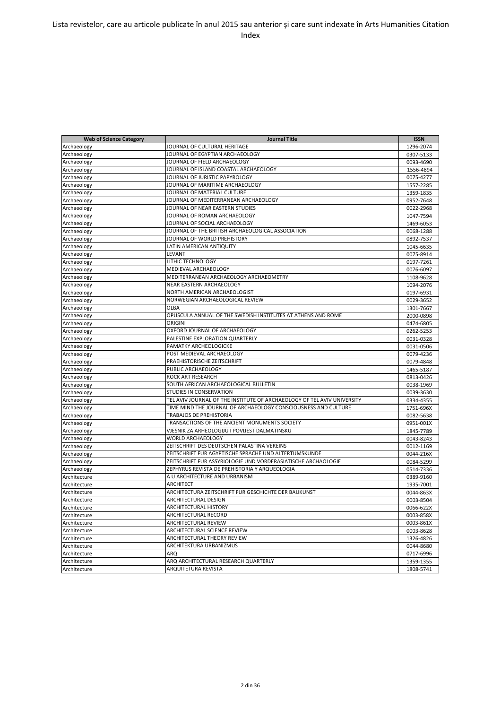| <b>Web of Science Category</b> | <b>Journal Title</b>                                                    | <b>ISSN</b>            |
|--------------------------------|-------------------------------------------------------------------------|------------------------|
| Archaeology                    | JOURNAL OF CULTURAL HERITAGE                                            | 1296-2074              |
| Archaeology                    | JOURNAL OF EGYPTIAN ARCHAEOLOGY                                         | 0307-5133              |
| Archaeology                    | JOURNAL OF FIELD ARCHAEOLOGY                                            | 0093-4690              |
| Archaeology                    | JOURNAL OF ISLAND COASTAL ARCHAEOLOGY                                   | 1556-4894              |
| Archaeology                    | JOURNAL OF JURISTIC PAPYROLOGY                                          | 0075-4277              |
| Archaeology                    | JOURNAL OF MARITIME ARCHAEOLOGY                                         | 1557-2285              |
| Archaeology                    | JOURNAL OF MATERIAL CULTURE                                             | 1359-1835              |
| Archaeology                    | JOURNAL OF MEDITERRANEAN ARCHAEOLOGY                                    | 0952-7648              |
| Archaeology                    | JOURNAL OF NEAR EASTERN STUDIES                                         | 0022-2968              |
| Archaeology                    | JOURNAL OF ROMAN ARCHAEOLOGY                                            | 1047-7594              |
| Archaeology                    | JOURNAL OF SOCIAL ARCHAEOLOGY                                           | 1469-6053              |
| Archaeology                    | JOURNAL OF THE BRITISH ARCHAEOLOGICAL ASSOCIATION                       | 0068-1288              |
| Archaeology                    | JOURNAL OF WORLD PREHISTORY                                             | 0892-7537              |
| Archaeology                    | LATIN AMERICAN ANTIQUITY                                                | 1045-6635              |
| Archaeology                    | LEVANT                                                                  | 0075-8914              |
| Archaeology                    | LITHIC TECHNOLOGY                                                       | 0197-7261              |
| Archaeology                    | MEDIEVAL ARCHAEOLOGY                                                    | 0076-6097              |
| Archaeology                    | MEDITERRANEAN ARCHAEOLOGY ARCHAEOMETRY                                  | 1108-9628              |
| Archaeology                    | NEAR EASTERN ARCHAEOLOGY                                                | 1094-2076              |
| Archaeology                    | NORTH AMERICAN ARCHAEOLOGIST                                            | 0197-6931              |
| Archaeology                    | NORWEGIAN ARCHAEOLOGICAL REVIEW                                         | 0029-3652              |
| Archaeology                    | OLBA                                                                    | 1301-7667              |
| Archaeology                    | OPUSCULA ANNUAL OF THE SWEDISH INSTITUTES AT ATHENS AND ROME            | 2000-0898              |
| Archaeology                    | <b>ORIGINI</b>                                                          | 0474-6805              |
| Archaeology                    | OXFORD JOURNAL OF ARCHAEOLOGY                                           | 0262-5253              |
| Archaeology                    | PALESTINE EXPLORATION QUARTERLY                                         | 0031-0328              |
| Archaeology                    | PAMATKY ARCHEOLOGICKE                                                   | 0031-0506              |
| Archaeology                    | POST MEDIEVAL ARCHAEOLOGY                                               | 0079-4236              |
| Archaeology                    | PRAEHISTORISCHE ZEITSCHRIFT                                             | 0079-4848              |
| Archaeology                    | PUBLIC ARCHAEOLOGY                                                      | 1465-5187              |
|                                | ROCK ART RESEARCH                                                       | 0813-0426              |
| Archaeology                    | SOUTH AFRICAN ARCHAEOLOGICAL BULLETIN                                   |                        |
| Archaeology<br>Archaeology     | STUDIES IN CONSERVATION                                                 | 0038-1969<br>0039-3630 |
|                                | TEL AVIV JOURNAL OF THE INSTITUTE OF ARCHAEOLOGY OF TEL AVIV UNIVERSITY | 0334-4355              |
| Archaeology<br>Archaeology     | TIME MIND THE JOURNAL OF ARCHAEOLOGY CONSCIOUSNESS AND CULTURE          | 1751-696X              |
|                                | TRABAJOS DE PREHISTORIA                                                 | 0082-5638              |
| Archaeology                    | TRANSACTIONS OF THE ANCIENT MONUMENTS SOCIETY                           | 0951-001X              |
| Archaeology                    | VJESNIK ZA ARHEOLOGIJU I POVIJEST DALMATINSKU                           |                        |
| Archaeology                    | WORLD ARCHAEOLOGY                                                       | 1845-7789              |
| Archaeology                    | ZEITSCHRIFT DES DEUTSCHEN PALASTINA VEREINS                             | 0043-8243              |
| Archaeology                    | ZEITSCHRIFT FUR AGYPTISCHE SPRACHE UND ALTERTUMSKUNDE                   | 0012-1169              |
| Archaeology                    | ZEITSCHRIFT FUR ASSYRIOLOGIE UND VORDERASIATISCHE ARCHAOLOGIE           | 0044-216X              |
| Archaeology                    | ZEPHYRUS REVISTA DE PREHISTORIA Y ARQUEOLOGIA                           | 0084-5299              |
| Archaeology                    | A U ARCHITECTURE AND URBANISM                                           | 0514-7336              |
| Architecture                   |                                                                         | 0389-9160              |
| Architecture                   | <b>ARCHITECT</b>                                                        | 1935-7001              |
| Architecture                   | ARCHITECTURA ZEITSCHRIFT FUR GESCHICHTE DER BAUKUNST                    | 0044-863X              |
| Architecture                   | ARCHITECTURAL DESIGN                                                    | 0003-8504              |
| Architecture                   | <b>ARCHITECTURAL HISTORY</b>                                            | 0066-622X              |
| Architecture                   | ARCHITECTURAL RECORD                                                    | 0003-858X              |
| Architecture                   | <b>ARCHITECTURAL REVIEW</b>                                             | 0003-861X              |
| Architecture                   | <b>ARCHITECTURAL SCIENCE REVIEW</b>                                     | 0003-8628              |
| Architecture                   | ARCHITECTURAL THEORY REVIEW                                             | 1326-4826              |
| Architecture                   | ARCHITEKTURA URBANIZMUS                                                 | 0044-8680              |
| Architecture                   | ARQ                                                                     | 0717-6996              |
| Architecture                   | ARQ ARCHITECTURAL RESEARCH QUARTERLY                                    | 1359-1355              |
| Architecture                   | ARQUITETURA REVISTA                                                     | 1808-5741              |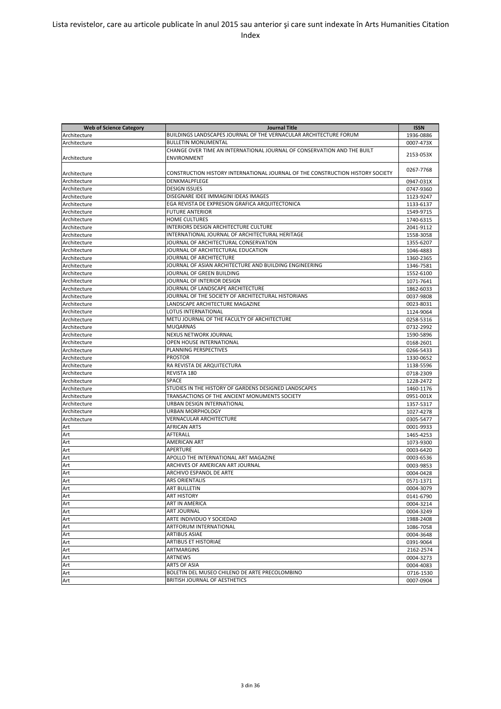| <b>Web of Science Category</b> | <b>Journal Title</b>                                                           | <b>ISSN</b> |
|--------------------------------|--------------------------------------------------------------------------------|-------------|
| Architecture                   | BUILDINGS LANDSCAPES JOURNAL OF THE VERNACULAR ARCHITECTURE FORUM              | 1936-0886   |
| Architecture                   | <b>BULLETIN MONUMENTAL</b>                                                     | 0007-473X   |
|                                | CHANGE OVER TIME AN INTERNATIONAL JOURNAL OF CONSERVATION AND THE BUILT        |             |
| Architecture                   | <b>ENVIRONMENT</b>                                                             | 2153-053X   |
|                                |                                                                                |             |
| Architecture                   | CONSTRUCTION HISTORY INTERNATIONAL JOURNAL OF THE CONSTRUCTION HISTORY SOCIETY | 0267-7768   |
| Architecture                   | <b>DENKMALPFLEGE</b>                                                           | 0947-031X   |
| Architecture                   | <b>DESIGN ISSUES</b>                                                           | 0747-9360   |
| Architecture                   | DISEGNARE IDEE IMMAGINI IDEAS IMAGES                                           | 1123-9247   |
| Architecture                   | EGA REVISTA DE EXPRESION GRAFICA ARQUITECTONICA                                | 1133-6137   |
| Architecture                   | <b>FUTURE ANTERIOR</b>                                                         | 1549-9715   |
| Architecture                   | <b>HOME CULTURES</b>                                                           | 1740-6315   |
| Architecture                   | INTERIORS DESIGN ARCHITECTURE CULTURE                                          | 2041-9112   |
| Architecture                   | INTERNATIONAL JOURNAL OF ARCHITECTURAL HERITAGE                                | 1558-3058   |
| Architecture                   | JOURNAL OF ARCHITECTURAL CONSERVATION                                          | 1355-6207   |
| Architecture                   | JOURNAL OF ARCHITECTURAL EDUCATION                                             | 1046-4883   |
| Architecture                   | JOURNAL OF ARCHITECTURE                                                        | 1360-2365   |
| Architecture                   | JOURNAL OF ASIAN ARCHITECTURE AND BUILDING ENGINEERING                         | 1346-7581   |
| Architecture                   | JOURNAL OF GREEN BUILDING                                                      |             |
| Architecture                   | JOURNAL OF INTERIOR DESIGN                                                     | 1552-6100   |
|                                | JOURNAL OF LANDSCAPE ARCHITECTURE                                              | 1071-7641   |
| Architecture                   | JOURNAL OF THE SOCIETY OF ARCHITECTURAL HISTORIANS                             | 1862-6033   |
| Architecture                   |                                                                                | 0037-9808   |
| Architecture                   | LANDSCAPE ARCHITECTURE MAGAZINE                                                | 0023-8031   |
| Architecture                   | LOTUS INTERNATIONAL                                                            | 1124-9064   |
| Architecture                   | METU JOURNAL OF THE FACULTY OF ARCHITECTURE                                    | 0258-5316   |
| Architecture                   | <b>MUQARNAS</b>                                                                | 0732-2992   |
| Architecture                   | <b>NEXUS NETWORK JOURNAL</b>                                                   | 1590-5896   |
| Architecture                   | OPEN HOUSE INTERNATIONAL                                                       | 0168-2601   |
| Architecture                   | PLANNING PERSPECTIVES                                                          | 0266-5433   |
| Architecture                   | <b>PROSTOR</b>                                                                 | 1330-0652   |
| Architecture                   | RA REVISTA DE ARQUITECTURA                                                     | 1138-5596   |
| Architecture                   | REVISTA 180                                                                    | 0718-2309   |
| Architecture                   | SPACE                                                                          | 1228-2472   |
| Architecture                   | STUDIES IN THE HISTORY OF GARDENS DESIGNED LANDSCAPES                          | 1460-1176   |
| Architecture                   | TRANSACTIONS OF THE ANCIENT MONUMENTS SOCIETY                                  | 0951-001X   |
| Architecture                   | URBAN DESIGN INTERNATIONAL                                                     | 1357-5317   |
| Architecture                   | <b>URBAN MORPHOLOGY</b>                                                        | 1027-4278   |
| Architecture                   | VERNACULAR ARCHITECTURE                                                        | 0305-5477   |
| Art                            | <b>AFRICAN ARTS</b>                                                            | 0001-9933   |
| Art                            | AFTERALL                                                                       | 1465-4253   |
| Art                            | <b>AMERICAN ART</b>                                                            | 1073-9300   |
| Art                            | APERTURE                                                                       | 0003-6420   |
| Art                            | APOLLO THE INTERNATIONAL ART MAGAZINE                                          | 0003-6536   |
| Art                            | ARCHIVES OF AMERICAN ART JOURNAL                                               | 0003-9853   |
| Art                            | ARCHIVO ESPANOL DE ARTE                                                        | 0004-0428   |
| Art                            | <b>ARS ORIENTALIS</b>                                                          | 0571-1371   |
| Art                            | <b>ART BULLETIN</b>                                                            | 0004-3079   |
| Art                            | <b>ART HISTORY</b>                                                             | 0141-6790   |
| Art                            | <b>ART IN AMERICA</b>                                                          | 0004-3214   |
| Art                            | <b>ART JOURNAL</b>                                                             | 0004-3249   |
| Art                            | ARTE INDIVIDUO Y SOCIEDAD                                                      | 1988-2408   |
| Art                            | ARTFORUM INTERNATIONAL                                                         | 1086-7058   |
| Art                            | <b>ARTIBUS ASIAE</b>                                                           | 0004-3648   |
| Art                            | <b>ARTIBUS ET HISTORIAE</b>                                                    | 0391-9064   |
| Art                            | ARTMARGINS                                                                     | 2162-2574   |
| Art                            | ARTNEWS                                                                        | 0004-3273   |
| Art                            | ARTS OF ASIA                                                                   | 0004-4083   |
| Art                            | BOLETIN DEL MUSEO CHILENO DE ARTE PRECOLOMBINO                                 | 0716-1530   |
| Art                            | BRITISH JOURNAL OF AESTHETICS                                                  | 0007-0904   |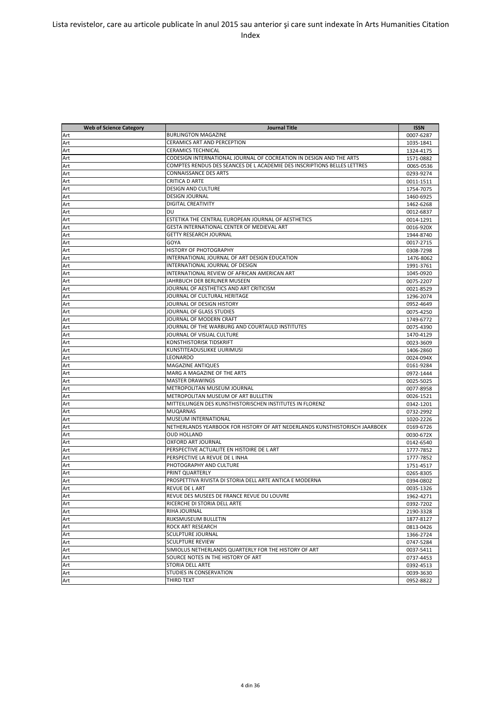| <b>Web of Science Category</b> | <b>Journal Title</b>                                                        | <b>ISSN</b>            |
|--------------------------------|-----------------------------------------------------------------------------|------------------------|
| Art                            | <b>BURLINGTON MAGAZINE</b>                                                  | 0007-6287              |
| Art                            | <b>CERAMICS ART AND PERCEPTION</b>                                          | 1035-1841              |
| Art                            | <b>CERAMICS TECHNICAL</b>                                                   | 1324-4175              |
| Art                            | CODESIGN INTERNATIONAL JOURNAL OF COCREATION IN DESIGN AND THE ARTS         | 1571-0882              |
| Art                            | COMPTES RENDUS DES SEANCES DE L ACADEMIE DES INSCRIPTIONS BELLES LETTRES    | 0065-0536              |
| Art                            | <b>CONNAISSANCE DES ARTS</b>                                                | 0293-9274              |
| Art                            | <b>CRITICA D ARTE</b>                                                       | 0011-1511              |
| Art                            | <b>DESIGN AND CULTURE</b>                                                   | 1754-7075              |
| Art                            | <b>DESIGN JOURNAL</b>                                                       | 1460-6925              |
| Art                            | <b>DIGITAL CREATIVITY</b>                                                   | 1462-6268              |
| Art                            | DU                                                                          | 0012-6837              |
| Art                            | ESTETIKA THE CENTRAL EUROPEAN JOURNAL OF AESTHETICS                         | 0014-1291              |
| Art                            | GESTA INTERNATIONAL CENTER OF MEDIEVAL ART                                  | 0016-920X              |
| Art                            | <b>GETTY RESEARCH JOURNAL</b>                                               | 1944-8740              |
| Art                            | GOYA                                                                        | 0017-2715              |
| Art                            | HISTORY OF PHOTOGRAPHY                                                      | 0308-7298              |
| Art                            | INTERNATIONAL JOURNAL OF ART DESIGN EDUCATION                               | 1476-8062              |
| Art                            | INTERNATIONAL JOURNAL OF DESIGN                                             | 1991-3761              |
| Art                            | INTERNATIONAL REVIEW OF AFRICAN AMERICAN ART                                | 1045-0920              |
| Art                            | JAHRBUCH DER BERLINER MUSEEN                                                | 0075-2207              |
| Art                            | JOURNAL OF AESTHETICS AND ART CRITICISM                                     | 0021-8529              |
| Art                            | JOURNAL OF CULTURAL HERITAGE                                                | 1296-2074              |
| Art                            | JOURNAL OF DESIGN HISTORY                                                   | 0952-4649              |
| Art                            | JOURNAL OF GLASS STUDIES                                                    | 0075-4250              |
| Art                            | JOURNAL OF MODERN CRAFT                                                     | 1749-6772              |
| Art                            | JOURNAL OF THE WARBURG AND COURTAULD INSTITUTES                             | 0075-4390              |
| Art                            | JOURNAL OF VISUAL CULTURE                                                   |                        |
| Art                            | <b>KONSTHISTORISK TIDSKRIFT</b>                                             | 1470-4129<br>0023-3609 |
| Art                            | KUNSTITEADUSLIKKE UURIMUSI                                                  | 1406-2860              |
| Art                            | LEONARDO                                                                    | 0024-094X              |
| Art                            | <b>MAGAZINE ANTIQUES</b>                                                    | 0161-9284              |
| Art                            | MARG A MAGAZINE OF THE ARTS                                                 | 0972-1444              |
| Art                            | <b>MASTER DRAWINGS</b>                                                      | 0025-5025              |
| Art                            | METROPOLITAN MUSEUM JOURNAL                                                 | 0077-8958              |
| Art                            | METROPOLITAN MUSEUM OF ART BULLETIN                                         | 0026-1521              |
| Art                            | MITTEILUNGEN DES KUNSTHISTORISCHEN INSTITUTES IN FLORENZ                    | 0342-1201              |
| Art                            | <b>MUQARNAS</b>                                                             | 0732-2992              |
| Art                            | MUSEUM INTERNATIONAL                                                        | 1020-2226              |
| Art                            | NETHERLANDS YEARBOOK FOR HISTORY OF ART NEDERLANDS KUNSTHISTORISCH JAARBOEK | 0169-6726              |
| Art                            | <b>OUD HOLLAND</b>                                                          | 0030-672X              |
| Art                            | <b>OXFORD ART JOURNAL</b>                                                   | 0142-6540              |
| Art                            | PERSPECTIVE ACTUALITE EN HISTOIRE DE L ART                                  | 1777-7852              |
| Art                            | PERSPECTIVE LA REVUE DE L INHA                                              | 1777-7852              |
| Art                            | PHOTOGRAPHY AND CULTURE                                                     | 1751-4517              |
| Art                            | PRINT QUARTERLY                                                             | 0265-8305              |
| Art                            | PROSPETTIVA RIVISTA DI STORIA DELL ARTE ANTICA E MODERNA                    | 0394-0802              |
| Art                            | <b>REVUE DE LART</b>                                                        | 0035-1326              |
| Art                            | REVUE DES MUSEES DE FRANCE REVUE DU LOUVRE                                  | 1962-4271              |
| Art                            | RICERCHE DI STORIA DELL ARTE                                                | 0392-7202              |
| Art                            | RIHA JOURNAL                                                                | 2190-3328              |
| Art                            | RIJKSMUSEUM BULLETIN                                                        | 1877-8127              |
| Art                            | <b>ROCK ART RESEARCH</b>                                                    | 0813-0426              |
| Art                            | <b>SCULPTURE JOURNAL</b>                                                    | 1366-2724              |
| Art                            | <b>SCULPTURE REVIEW</b>                                                     | 0747-5284              |
| Art                            | SIMIOLUS NETHERLANDS QUARTERLY FOR THE HISTORY OF ART                       | 0037-5411              |
| Art                            | SOURCE NOTES IN THE HISTORY OF ART                                          | 0737-4453              |
| Art                            | <b>STORIA DELL ARTE</b>                                                     | 0392-4513              |
| Art                            | <b>STUDIES IN CONSERVATION</b>                                              | 0039-3630              |
| Art                            | THIRD TEXT                                                                  | 0952-8822              |
|                                |                                                                             |                        |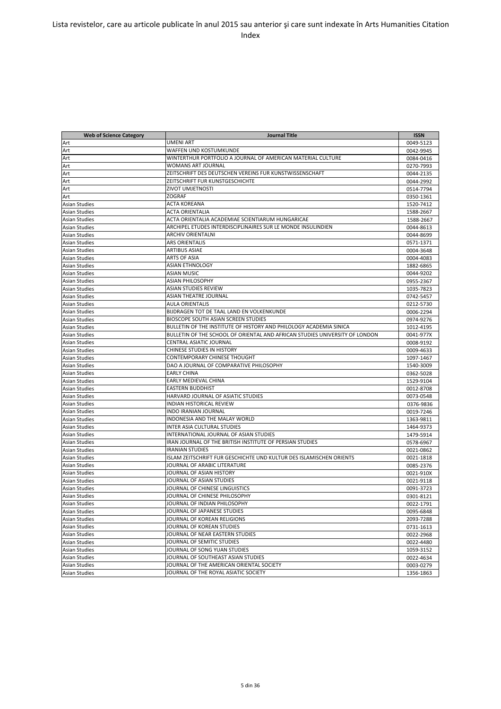| <b>Web of Science Category</b> | <b>Journal Title</b>                                                        | <b>ISSN</b> |
|--------------------------------|-----------------------------------------------------------------------------|-------------|
| Art                            | UMENI ART                                                                   | 0049-5123   |
| Art                            | WAFFEN UND KOSTUMKUNDE                                                      | 0042-9945   |
| Art                            | WINTERTHUR PORTFOLIO A JOURNAL OF AMERICAN MATERIAL CULTURE                 | 0084-0416   |
| Art                            | WOMANS ART JOURNAL                                                          | 0270-7993   |
| Art                            | ZEITSCHRIFT DES DEUTSCHEN VEREINS FUR KUNSTWISSENSCHAFT                     | 0044-2135   |
| Art                            | ZEITSCHRIFT FUR KUNSTGESCHICHTE                                             | 0044-2992   |
| Art                            | <b>ZIVOT UMJETNOSTI</b>                                                     | 0514-7794   |
| Art                            | <b>ZOGRAF</b>                                                               | 0350-1361   |
| Asian Studies                  | <b>ACTA KOREANA</b>                                                         | 1520-7412   |
| Asian Studies                  | ACTA ORIENTALIA                                                             | 1588-2667   |
| Asian Studies                  | ACTA ORIENTALIA ACADEMIAE SCIENTIARUM HUNGARICAE                            | 1588-2667   |
| <b>Asian Studies</b>           | ARCHIPEL ETUDES INTERDISCIPLINAIRES SUR LE MONDE INSULINDIEN                | 0044-8613   |
| <b>Asian Studies</b>           | ARCHIV ORIENTALNI                                                           | 0044-8699   |
| <b>Asian Studies</b>           | <b>ARS ORIENTALIS</b>                                                       | 0571-1371   |
| <b>Asian Studies</b>           | <b>ARTIBUS ASIAE</b>                                                        | 0004-3648   |
| <b>Asian Studies</b>           | ARTS OF ASIA                                                                | 0004-4083   |
| <b>Asian Studies</b>           | <b>ASIAN ETHNOLOGY</b>                                                      | 1882-6865   |
| <b>Asian Studies</b>           | ASIAN MUSIC                                                                 | 0044-9202   |
| Asian Studies                  | ASIAN PHILOSOPHY                                                            | 0955-2367   |
| <b>Asian Studies</b>           | ASIAN STUDIES REVIEW                                                        | 1035-7823   |
| <b>Asian Studies</b>           | <b>ASIAN THEATRE JOURNAL</b>                                                | 0742-5457   |
| <b>Asian Studies</b>           | <b>AULA ORIENTALIS</b>                                                      | 0212-5730   |
| Asian Studies                  | BIJDRAGEN TOT DE TAAL LAND EN VOLKENKUNDE                                   | 0006-2294   |
| <b>Asian Studies</b>           | BIOSCOPE SOUTH ASIAN SCREEN STUDIES                                         | 0974-9276   |
| <b>Asian Studies</b>           | BULLETIN OF THE INSTITUTE OF HISTORY AND PHILOLOGY ACADEMIA SINICA          | 1012-4195   |
| <b>Asian Studies</b>           | BULLETIN OF THE SCHOOL OF ORIENTAL AND AFRICAN STUDIES UNIVERSITY OF LONDON | 0041-977X   |
| <b>Asian Studies</b>           | CENTRAL ASIATIC JOURNAL                                                     | 0008-9192   |
| Asian Studies                  | CHINESE STUDIES IN HISTORY                                                  | 0009-4633   |
| Asian Studies                  | CONTEMPORARY CHINESE THOUGHT                                                | 1097-1467   |
| Asian Studies                  | DAO A JOURNAL OF COMPARATIVE PHILOSOPHY                                     | 1540-3009   |
| Asian Studies                  | <b>EARLY CHINA</b>                                                          | 0362-5028   |
| Asian Studies                  | EARLY MEDIEVAL CHINA                                                        | 1529-9104   |
| Asian Studies                  | <b>EASTERN BUDDHIST</b>                                                     | 0012-8708   |
| Asian Studies                  | HARVARD JOURNAL OF ASIATIC STUDIES                                          | 0073-0548   |
| <b>Asian Studies</b>           | <b>INDIAN HISTORICAL REVIEW</b>                                             | 0376-9836   |
| Asian Studies                  | <b>INDO IRANIAN JOURNAL</b>                                                 | 0019-7246   |
| <b>Asian Studies</b>           | INDONESIA AND THE MALAY WORLD                                               | 1363-9811   |
| <b>Asian Studies</b>           | INTER ASIA CULTURAL STUDIES                                                 | 1464-9373   |
| <b>Asian Studies</b>           | INTERNATIONAL JOURNAL OF ASIAN STUDIES                                      | 1479-5914   |
| <b>Asian Studies</b>           | IRAN JOURNAL OF THE BRITISH INSTITUTE OF PERSIAN STUDIES                    | 0578-6967   |
| <b>Asian Studies</b>           | <b>IRANIAN STUDIES</b>                                                      | 0021-0862   |
| <b>Asian Studies</b>           | <b>ISLAM ZEITSCHRIFT FUR GESCHICHTE UND KULTUR DES ISLAMISCHEN ORIENTS</b>  | 0021-1818   |
| Asian Studies                  | JOURNAL OF ARABIC LITERATURE                                                | 0085-2376   |
| <b>Asian Studies</b>           | JOURNAL OF ASIAN HISTORY                                                    | 0021-910X   |
| <b>Asian Studies</b>           | JOURNAL OF ASIAN STUDIES                                                    | 0021-9118   |
| Asian Studies                  | JOURNAL OF CHINESE LINGUISTICS                                              | 0091-3723   |
| <b>Asian Studies</b>           | JOURNAL OF CHINESE PHILOSOPHY                                               | 0301-8121   |
| <b>Asian Studies</b>           | JOURNAL OF INDIAN PHILOSOPHY                                                | 0022-1791   |
| Asian Studies                  | JOURNAL OF JAPANESE STUDIES                                                 | 0095-6848   |
| <b>Asian Studies</b>           | JOURNAL OF KOREAN RELIGIONS                                                 | 2093-7288   |
| <b>Asian Studies</b>           | JOURNAL OF KOREAN STUDIES                                                   | 0731-1613   |
| <b>Asian Studies</b>           | JOURNAL OF NEAR EASTERN STUDIES                                             | 0022-2968   |
| Asian Studies                  | JOURNAL OF SEMITIC STUDIES                                                  | 0022-4480   |
| Asian Studies                  | JOURNAL OF SONG YUAN STUDIES                                                | 1059-3152   |
| Asian Studies                  | JOURNAL OF SOUTHEAST ASIAN STUDIES                                          | 0022-4634   |
| Asian Studies                  | JOURNAL OF THE AMERICAN ORIENTAL SOCIETY                                    | 0003-0279   |
| <b>Asian Studies</b>           | JOURNAL OF THE ROYAL ASIATIC SOCIETY                                        | 1356-1863   |
|                                |                                                                             |             |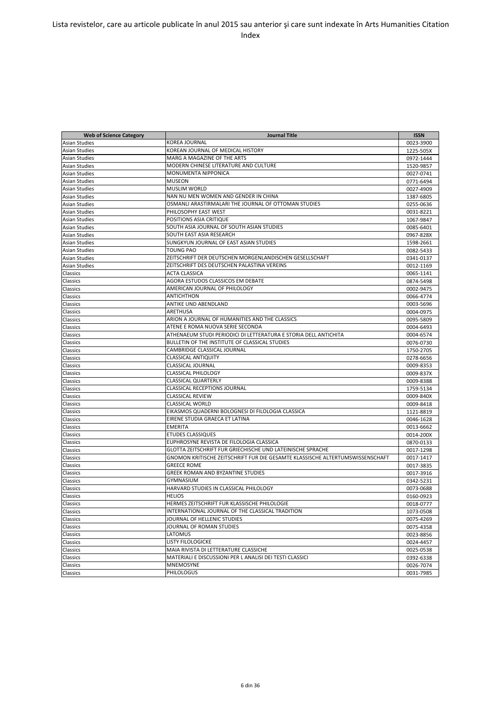| <b>Web of Science Category</b> | <b>Journal Title</b>                                                          | <b>ISSN</b> |
|--------------------------------|-------------------------------------------------------------------------------|-------------|
| <b>Asian Studies</b>           | <b>KOREA JOURNAL</b>                                                          | 0023-3900   |
| Asian Studies                  | KOREAN JOURNAL OF MEDICAL HISTORY                                             | 1225-505X   |
| <b>Asian Studies</b>           | MARG A MAGAZINE OF THE ARTS                                                   | 0972-1444   |
| Asian Studies                  | MODERN CHINESE LITERATURE AND CULTURE                                         | 1520-9857   |
| <b>Asian Studies</b>           | MONUMENTA NIPPONICA                                                           | 0027-0741   |
| Asian Studies                  | <b>MUSEON</b>                                                                 | 0771-6494   |
| <b>Asian Studies</b>           | <b>MUSLIM WORLD</b>                                                           | 0027-4909   |
| Asian Studies                  | NAN NU MEN WOMEN AND GENDER IN CHINA                                          | 1387-6805   |
| <b>Asian Studies</b>           | OSMANLI ARASTIRMALARI THE JOURNAL OF OTTOMAN STUDIES                          | 0255-0636   |
| <b>Asian Studies</b>           | PHILOSOPHY EAST WEST                                                          | 0031-8221   |
| <b>Asian Studies</b>           | POSITIONS ASIA CRITIQUE                                                       | 1067-9847   |
| <b>Asian Studies</b>           | SOUTH ASIA JOURNAL OF SOUTH ASIAN STUDIES                                     | 0085-6401   |
| <b>Asian Studies</b>           | SOUTH EAST ASIA RESEARCH                                                      | 0967-828X   |
| <b>Asian Studies</b>           | SUNGKYUN JOURNAL OF EAST ASIAN STUDIES                                        | 1598-2661   |
| <b>Asian Studies</b>           | <b>TOUNG PAO</b>                                                              | 0082-5433   |
| <b>Asian Studies</b>           | ZEITSCHRIFT DER DEUTSCHEN MORGENLANDISCHEN GESELLSCHAFT                       | 0341-0137   |
| <b>Asian Studies</b>           | ZEITSCHRIFT DES DEUTSCHEN PALASTINA VEREINS                                   | 0012-1169   |
| Classics                       | <b>ACTA CLASSICA</b>                                                          | 0065-1141   |
| Classics                       | AGORA ESTUDOS CLASSICOS EM DEBATE                                             | 0874-5498   |
| Classics                       | AMERICAN JOURNAL OF PHILOLOGY                                                 | 0002-9475   |
| Classics                       | <b>ANTICHTHON</b>                                                             | 0066-4774   |
| Classics                       | <b>ANTIKE UND ABENDLAND</b>                                                   | 0003-5696   |
| Classics                       | ARETHUSA                                                                      | 0004-0975   |
| Classics                       | ARION A JOURNAL OF HUMANITIES AND THE CLASSICS                                | 0095-5809   |
| Classics                       | ATENE E ROMA NUOVA SERIE SECONDA                                              | 0004-6493   |
| Classics                       | ATHENAEUM STUDI PERIODICI DI LETTERATURA E STORIA DELL ANTICHITA              | 0004-6574   |
| Classics                       | BULLETIN OF THE INSTITUTE OF CLASSICAL STUDIES                                | 0076-0730   |
| Classics                       | CAMBRIDGE CLASSICAL JOURNAL                                                   | 1750-2705   |
| Classics                       | <b>CLASSICAL ANTIQUITY</b>                                                    | 0278-6656   |
| Classics                       | CLASSICAL JOURNAL                                                             | 0009-8353   |
| Classics                       | <b>CLASSICAL PHILOLOGY</b>                                                    | 0009-837X   |
| Classics                       | <b>CLASSICAL QUARTERLY</b>                                                    | 0009-8388   |
| Classics                       | <b>CLASSICAL RECEPTIONS JOURNAL</b>                                           | 1759-5134   |
| Classics                       | <b>CLASSICAL REVIEW</b>                                                       | 0009-840X   |
| Classics                       | <b>CLASSICAL WORLD</b>                                                        | 0009-8418   |
| Classics                       | EIKASMOS QUADERNI BOLOGNESI DI FILOLOGIA CLASSICA                             | 1121-8819   |
| Classics                       | EIRENE STUDIA GRAECA ET LATINA                                                | 0046-1628   |
| Classics                       | <b>EMERITA</b>                                                                | 0013-6662   |
| Classics                       | <b>ETUDES CLASSIQUES</b>                                                      | 0014-200X   |
| Classics                       | EUPHROSYNE REVISTA DE FILOLOGIA CLASSICA                                      | 0870-0133   |
| Classics                       | GLOTTA ZEITSCHRIFT FUR GRIECHISCHE UND LATEINISCHE SPRACHE                    | 0017-1298   |
| Classics                       | GNOMON KRITISCHE ZEITSCHRIFT FUR DIE GESAMTE KLASSISCHE ALTERTUMSWISSENSCHAFT | 0017-1417   |
| Classics                       | <b>GREECE ROME</b>                                                            | 0017-3835   |
| Classics                       | <b>GREEK ROMAN AND BYZANTINE STUDIES</b>                                      | 0017-3916   |
| Classics                       | <b>GYMNASIUM</b>                                                              | 0342-5231   |
| Classics                       | HARVARD STUDIES IN CLASSICAL PHILOLOGY                                        | 0073-0688   |
| Classics                       | <b>HELIOS</b>                                                                 | 0160-0923   |
| Classics                       | HERMES ZEITSCHRIFT FUR KLASSISCHE PHILOLOGIE                                  | 0018-0777   |
| Classics                       | INTERNATIONAL JOURNAL OF THE CLASSICAL TRADITION                              | 1073-0508   |
| Classics                       | JOURNAL OF HELLENIC STUDIES                                                   | 0075-4269   |
| Classics                       | JOURNAL OF ROMAN STUDIES                                                      | 0075-4358   |
| Classics                       | LATOMUS                                                                       | 0023-8856   |
| Classics                       | <b>LISTY FILOLOGICKE</b>                                                      | 0024-4457   |
| Classics                       | MAIA RIVISTA DI LETTERATURE CLASSICHE                                         | 0025-0538   |
| Classics                       | MATERIALI E DISCUSSIONI PER L ANALISI DEI TESTI CLASSICI                      | 0392-6338   |
| Classics                       | <b>MNEMOSYNE</b>                                                              | 0026-7074   |
| Classics                       | <b>PHILOLOGUS</b>                                                             | 0031-7985   |
|                                |                                                                               |             |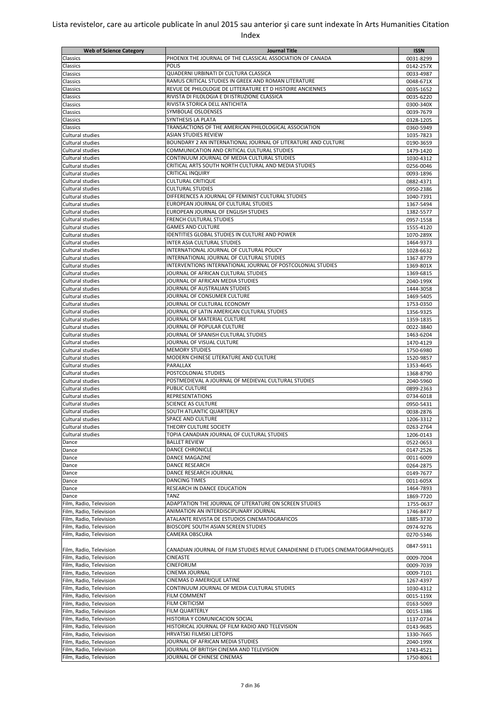| <b>Web of Science Category</b> | Journal Title                                                                                                      | <b>ISSN</b>            |
|--------------------------------|--------------------------------------------------------------------------------------------------------------------|------------------------|
| Classics                       | PHOENIX THE JOURNAL OF THE CLASSICAL ASSOCIATION OF CANADA                                                         | 0031-8299              |
| Classics                       | <b>POLIS</b>                                                                                                       | 0142-257X              |
|                                | QUADERNI URBINATI DI CULTURA CLASSICA                                                                              |                        |
| Classics                       |                                                                                                                    | 0033-4987              |
| Classics                       | RAMUS CRITICAL STUDIES IN GREEK AND ROMAN LITERATURE<br>REVUE DE PHILOLOGIE DE LITTERATURE ET D HISTOIRE ANCIENNES | 0048-671X              |
| Classics                       |                                                                                                                    | 0035-1652              |
| Classics                       | RIVISTA DI FILOLOGIA E DI ISTRUZIONE CLASSICA                                                                      | 0035-6220              |
| Classics                       | RIVISTA STORICA DELL ANTICHITA                                                                                     | 0300-340X              |
| Classics                       | SYMBOLAE OSLOENSES                                                                                                 | 0039-7679              |
| Classics                       | SYNTHESIS LA PLATA                                                                                                 | 0328-1205              |
| Classics                       | TRANSACTIONS OF THE AMERICAN PHILOLOGICAL ASSOCIATION                                                              | 0360-5949              |
| Cultural studies               | ASIAN STUDIES REVIEW                                                                                               | 1035-7823              |
| Cultural studies               | BOUNDARY 2 AN INTERNATIONAL JOURNAL OF LITERATURE AND CULTURE                                                      | 0190-3659              |
| <b>Cultural studies</b>        | COMMUNICATION AND CRITICAL CULTURAL STUDIES                                                                        | 1479-1420              |
| Cultural studies               | CONTINUUM JOURNAL OF MEDIA CULTURAL STUDIES                                                                        | 1030-4312              |
| Cultural studies               | CRITICAL ARTS SOUTH NORTH CULTURAL AND MEDIA STUDIES                                                               | 0256-0046              |
| Cultural studies               | <b>CRITICAL INQUIRY</b>                                                                                            | 0093-1896              |
| Cultural studies               | <b>CULTURAL CRITIQUE</b>                                                                                           | 0882-4371              |
| Cultural studies               | <b>CULTURAL STUDIES</b>                                                                                            | 0950-2386              |
| <b>Cultural studies</b>        | DIFFERENCES A JOURNAL OF FEMINIST CULTURAL STUDIES                                                                 | 1040-7391              |
| <b>Cultural studies</b>        | EUROPEAN JOURNAL OF CULTURAL STUDIES                                                                               | 1367-5494              |
| Cultural studies               | EUROPEAN JOURNAL OF ENGLISH STUDIES                                                                                | 1382-5577              |
| <b>Cultural studies</b>        | <b>FRENCH CULTURAL STUDIES</b>                                                                                     | 0957-1558              |
| Cultural studies               | <b>GAMES AND CULTURE</b>                                                                                           | 1555-4120              |
| Cultural studies               | IDENTITIES GLOBAL STUDIES IN CULTURE AND POWER                                                                     | 1070-289X              |
| Cultural studies               | <b>INTER ASIA CULTURAL STUDIES</b>                                                                                 | 1464-9373              |
| Cultural studies               | INTERNATIONAL JOURNAL OF CULTURAL POLICY                                                                           | 1028-6632              |
| Cultural studies               | INTERNATIONAL JOURNAL OF CULTURAL STUDIES                                                                          | 1367-8779              |
| Cultural studies               | INTERVENTIONS INTERNATIONAL JOURNAL OF POSTCOLONIAL STUDIES                                                        |                        |
| Cultural studies               | JOURNAL OF AFRICAN CULTURAL STUDIES                                                                                | 1369-801X<br>1369-6815 |
|                                | JOURNAL OF AFRICAN MEDIA STUDIES                                                                                   |                        |
| Cultural studies               |                                                                                                                    | 2040-199X              |
| Cultural studies               | JOURNAL OF AUSTRALIAN STUDIES                                                                                      | 1444-3058              |
| Cultural studies               | JOURNAL OF CONSUMER CULTURE                                                                                        | 1469-5405              |
| Cultural studies               | JOURNAL OF CULTURAL ECONOMY                                                                                        | 1753-0350              |
| Cultural studies               | JOURNAL OF LATIN AMERICAN CULTURAL STUDIES                                                                         | 1356-9325              |
| Cultural studies               | JOURNAL OF MATERIAL CULTURE                                                                                        | 1359-1835              |
| Cultural studies               | JOURNAL OF POPULAR CULTURE                                                                                         | 0022-3840              |
| Cultural studies               | JOURNAL OF SPANISH CULTURAL STUDIES                                                                                | 1463-6204              |
| Cultural studies               | JOURNAL OF VISUAL CULTURE                                                                                          | 1470-4129              |
| Cultural studies               | <b>MEMORY STUDIES</b>                                                                                              | 1750-6980              |
| Cultural studies               | MODERN CHINESE LITERATURE AND CULTURE                                                                              | 1520-9857              |
| Cultural studies               | PARALLAX                                                                                                           | 1353-4645              |
| Cultural studies               | POSTCOLONIAL STUDIES                                                                                               | 1368-8790              |
| Cultural studies               | POSTMEDIEVAL A JOURNAL OF MEDIEVAL CULTURAL STUDIES                                                                | 2040-5960              |
| Cultural studies               | <b>PUBLIC CULTURE</b>                                                                                              | 0899-2363              |
| Cultural studies               | <b>REPRESENTATIONS</b>                                                                                             | 0734-6018              |
| Cultural studies               | <b>SCIENCE AS CULTURE</b>                                                                                          | 0950-5431              |
| Cultural studies               | SOUTH ATLANTIC QUARTERLY                                                                                           | 0038-2876              |
| Cultural studies               | SPACE AND CULTURE                                                                                                  | 1206-3312              |
| Cultural studies               | THEORY CULTURE SOCIETY                                                                                             | 0263-2764              |
| Cultural studies               | TOPIA CANADIAN JOURNAL OF CULTURAL STUDIES                                                                         | 1206-0143              |
| Dance                          | <b>BALLET REVIEW</b>                                                                                               | 0522-0653              |
| Dance                          | <b>DANCE CHRONICLE</b>                                                                                             | 0147-2526              |
|                                | DANCE MAGAZINE                                                                                                     |                        |
| Dance                          |                                                                                                                    | 0011-6009              |
| Dance                          | DANCE RESEARCH                                                                                                     | 0264-2875              |
| Dance                          | DANCE RESEARCH JOURNAL                                                                                             | 0149-7677              |
| Dance                          | <b>DANCING TIMES</b>                                                                                               | 0011-605X              |
| Dance                          | RESEARCH IN DANCE EDUCATION                                                                                        | 1464-7893              |
| Dance                          | TANZ                                                                                                               | 1869-7720              |
| Film, Radio, Television        | ADAPTATION THE JOURNAL OF LITERATURE ON SCREEN STUDIES                                                             | 1755-0637              |
| Film, Radio, Television        | ANIMATION AN INTERDISCIPLINARY JOURNAL                                                                             | 1746-8477              |
| Film, Radio, Television        | ATALANTE REVISTA DE ESTUDIOS CINEMATOGRAFICOS                                                                      | 1885-3730              |
| Film, Radio, Television        | <b>BIOSCOPE SOUTH ASIAN SCREEN STUDIES</b>                                                                         | 0974-9276              |
| Film, Radio, Television        | CAMERA OBSCURA                                                                                                     | 0270-5346              |
|                                |                                                                                                                    | 0847-5911              |
| Film, Radio, Television        | CANADIAN JOURNAL OF FILM STUDIES REVUE CANADIENNE D ETUDES CINEMATOGRAPHIQUES                                      |                        |
| Film, Radio, Television        | <b>CINEASTE</b>                                                                                                    | 0009-7004              |
| Film, Radio, Television        | CINEFORUM                                                                                                          | 0009-7039              |
| Film, Radio, Television        | <b>CINEMA JOURNAL</b>                                                                                              | 0009-7101              |
| Film, Radio, Television        | CINEMAS D AMERIQUE LATINE                                                                                          | 1267-4397              |
| Film, Radio, Television        | CONTINUUM JOURNAL OF MEDIA CULTURAL STUDIES                                                                        | 1030-4312              |
| Film, Radio, Television        | <b>FILM COMMENT</b>                                                                                                | 0015-119X              |
| Film, Radio, Television        | <b>FILM CRITICISM</b>                                                                                              | 0163-5069              |
| Film, Radio, Television        | <b>FILM QUARTERLY</b>                                                                                              | 0015-1386              |
| Film, Radio, Television        | HISTORIA Y COMUNICACION SOCIAL                                                                                     | 1137-0734              |
| Film, Radio, Television        | HISTORICAL JOURNAL OF FILM RADIO AND TELEVISION                                                                    | 0143-9685              |
|                                | HRVATSKI FILMSKI LJETOPIS                                                                                          |                        |
| Film, Radio, Television        |                                                                                                                    | 1330-7665              |
| Film, Radio, Television        | JOURNAL OF AFRICAN MEDIA STUDIES                                                                                   | 2040-199X              |
| Film, Radio, Television        | JOURNAL OF BRITISH CINEMA AND TELEVISION                                                                           | 1743-4521              |
| Film, Radio, Television        | JOURNAL OF CHINESE CINEMAS                                                                                         | 1750-8061              |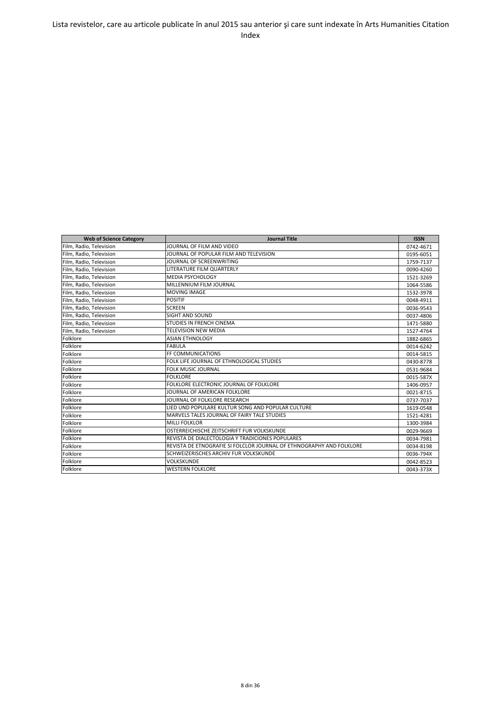| <b>Web of Science Category</b> | <b>Journal Title</b>                                                 | <b>ISSN</b> |
|--------------------------------|----------------------------------------------------------------------|-------------|
| Film, Radio, Television        | JOURNAL OF FILM AND VIDEO                                            | 0742-4671   |
| Film, Radio, Television        | JOURNAL OF POPULAR FILM AND TELEVISION                               | 0195-6051   |
| Film, Radio, Television        | JOURNAL OF SCREENWRITING                                             | 1759-7137   |
| Film, Radio, Television        | LITERATURE FILM QUARTERLY                                            | 0090-4260   |
| Film, Radio, Television        | <b>MEDIA PSYCHOLOGY</b>                                              | 1521-3269   |
| Film, Radio, Television        | MILLENNIUM FILM JOURNAL                                              | 1064-5586   |
| Film, Radio, Television        | <b>MOVING IMAGE</b>                                                  | 1532-3978   |
| Film, Radio, Television        | <b>POSITIF</b>                                                       | 0048-4911   |
| Film, Radio, Television        | <b>SCREEN</b>                                                        | 0036-9543   |
| Film, Radio, Television        | SIGHT AND SOUND                                                      | 0037-4806   |
| Film, Radio, Television        | STUDIES IN FRENCH CINEMA                                             | 1471-5880   |
| Film, Radio, Television        | <b>TELEVISION NEW MEDIA</b>                                          | 1527-4764   |
| Folklore                       | <b>ASIAN ETHNOLOGY</b>                                               | 1882-6865   |
| Folklore                       | <b>FABULA</b>                                                        | 0014-6242   |
| Folklore                       | FF COMMUNICATIONS                                                    | 0014-5815   |
| Folklore                       | FOLK LIFE JOURNAL OF ETHNOLOGICAL STUDIES                            | 0430-8778   |
| Folklore                       | <b>FOLK MUSIC JOURNAL</b>                                            | 0531-9684   |
| Folklore                       | <b>FOLKLORE</b>                                                      | 0015-587X   |
| Folklore                       | FOLKLORE ELECTRONIC JOURNAL OF FOLKLORE                              | 1406-0957   |
| Folklore                       | JOURNAL OF AMERICAN FOLKLORE                                         | 0021-8715   |
| Folklore                       | JOURNAL OF FOLKLORE RESEARCH                                         | 0737-7037   |
| Folklore                       | LIED UND POPULARE KULTUR SONG AND POPULAR CULTURE                    | 1619-0548   |
| Folklore                       | MARVELS TALES JOURNAL OF FAIRY TALE STUDIES                          | 1521-4281   |
| Folklore                       | <b>MILLI FOLKLOR</b>                                                 | 1300-3984   |
| Folklore                       | OSTERREICHISCHE ZEITSCHRIFT FUR VOLKSKUNDE                           | 0029-9669   |
| Folklore                       | REVISTA DE DIALECTOLOGIA Y TRADICIONES POPULARES                     | 0034-7981   |
| Folklore                       | REVISTA DE ETNOGRAFIE SI FOLCLOR JOURNAL OF ETHNOGRAPHY AND FOLKLORE | 0034-8198   |
| Folklore                       | SCHWEIZERISCHES ARCHIV FUR VOLKSKUNDE                                | 0036-794X   |
| Folklore                       | <b>VOLKSKUNDE</b>                                                    | 0042-8523   |
| Folklore                       | <b>WESTERN FOLKLORE</b>                                              | 0043-373X   |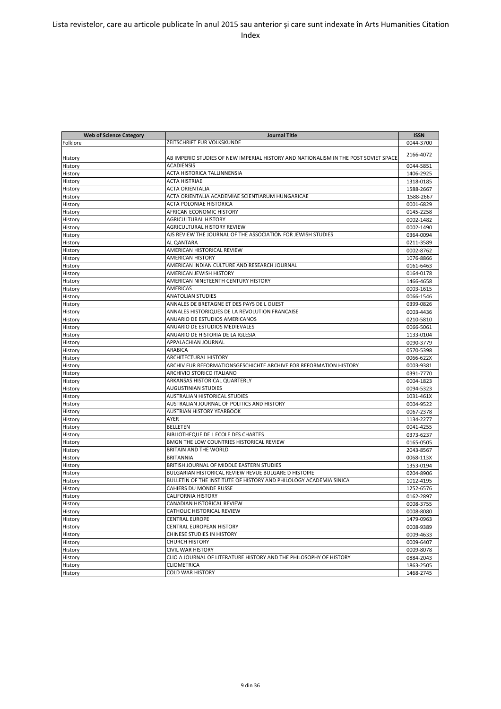| ZEITSCHRIFT FUR VOLKSKUNDE<br>0044-3700<br>2166-4072<br>AB IMPERIO STUDIES OF NEW IMPERIAL HISTORY AND NATIONALISM IN THE POST SOVIET SPACE<br><b>ACADIENSIS</b><br>0044-5851<br>ACTA HISTORICA TALLINNENSIA<br>1406-2925<br>ACTA HISTRIAE<br>History<br>1318-0185<br><b>ACTA ORIENTALIA</b><br>1588-2667<br>History<br>ACTA ORIENTALIA ACADEMIAE SCIENTIARUM HUNGARICAE<br>History<br>1588-2667<br>ACTA POLONIAE HISTORICA<br>0001-6829<br><b>AFRICAN ECONOMIC HISTORY</b><br>0145-2258<br>History<br><b>AGRICULTURAL HISTORY</b><br>History<br>0002-1482<br>AGRICULTURAL HISTORY REVIEW<br>History<br>0002-1490<br>AJS REVIEW THE JOURNAL OF THE ASSOCIATION FOR JEWISH STUDIES<br>0364-0094<br>History<br><b>AL QANTARA</b><br>History<br>0211-3589<br>AMERICAN HISTORICAL REVIEW<br>0002-8762<br><b>AMERICAN HISTORY</b><br>1076-8866<br>History<br>AMERICAN INDIAN CULTURE AND RESEARCH JOURNAL<br>History<br>0161-6463<br>AMERICAN JEWISH HISTORY<br>History<br>0164-0178<br>AMERICAN NINETEENTH CENTURY HISTORY<br>History<br>1466-4658<br>AMERICAS<br>History<br>0003-1615<br><b>ANATOLIAN STUDIES</b><br>History<br>0066-1546<br>ANNALES DE BRETAGNE ET DES PAYS DE LOUEST<br>0399-0826<br>History<br>ANNALES HISTORIQUES DE LA REVOLUTION FRANCAISE<br>History<br>0003-4436<br><b>ANUARIO DE ESTUDIOS AMERICANOS</b><br>History<br>0210-5810<br>ANUARIO DE ESTUDIOS MEDIEVALES<br>0066-5061<br>History<br>ANUARIO DE HISTORIA DE LA IGLESIA<br>History<br>1133-0104<br>APPALACHIAN JOURNAL<br>History<br>0090-3779<br>ARABICA<br>0570-5398<br>History<br><b>ARCHITECTURAL HISTORY</b><br>0066-622X<br>History<br>ARCHIV FUR REFORMATIONSGESCHICHTE ARCHIVE FOR REFORMATION HISTORY<br>History<br>0003-9381<br>ARCHIVIO STORICO ITALIANO<br>0391-7770<br>History<br>ARKANSAS HISTORICAL QUARTERLY<br>0004-1823<br>History<br><b>AUGUSTINIAN STUDIES</b><br>History<br>0094-5323<br>AUSTRALIAN HISTORICAL STUDIES<br>1031-461X<br>AUSTRALIAN JOURNAL OF POLITICS AND HISTORY<br>0004-9522<br>History<br><b>AUSTRIAN HISTORY YEARBOOK</b><br>History<br>0067-2378<br>AYER<br>History<br>1134-2277<br><b>BELLETEN</b><br>0041-4255<br>History<br>BIBLIOTHEQUE DE L ECOLE DES CHARTES<br>History<br>0373-6237<br>BMGN THE LOW COUNTRIES HISTORICAL REVIEW<br>0165-0505<br><b>BRITAIN AND THE WORLD</b><br>History<br>2043-8567<br><b>BRITANNIA</b><br>History<br>0068-113X<br>History<br>BRITISH JOURNAL OF MIDDLE EASTERN STUDIES<br>1353-0194<br><b>BULGARIAN HISTORICAL REVIEW REVUE BULGARE D HISTOIRE</b><br>History<br>0204-8906<br>BULLETIN OF THE INSTITUTE OF HISTORY AND PHILOLOGY ACADEMIA SINICA<br>History<br>1012-4195<br>History<br>CAHIERS DU MONDE RUSSE<br>1252-6576<br><b>CALIFORNIA HISTORY</b><br>History<br>0162-2897<br>CANADIAN HISTORICAL REVIEW<br>History<br>0008-3755<br>History<br>CATHOLIC HISTORICAL REVIEW<br>0008-8080<br><b>CENTRAL EUROPE</b><br>History<br>1479-0963<br>CENTRAL EUROPEAN HISTORY<br>History<br>0008-9389<br>CHINESE STUDIES IN HISTORY<br>History<br>0009-4633<br><b>CHURCH HISTORY</b><br>0009-6407<br>History | <b>Web of Science Category</b> | <b>Journal Title</b>     | <b>ISSN</b> |
|--------------------------------------------------------------------------------------------------------------------------------------------------------------------------------------------------------------------------------------------------------------------------------------------------------------------------------------------------------------------------------------------------------------------------------------------------------------------------------------------------------------------------------------------------------------------------------------------------------------------------------------------------------------------------------------------------------------------------------------------------------------------------------------------------------------------------------------------------------------------------------------------------------------------------------------------------------------------------------------------------------------------------------------------------------------------------------------------------------------------------------------------------------------------------------------------------------------------------------------------------------------------------------------------------------------------------------------------------------------------------------------------------------------------------------------------------------------------------------------------------------------------------------------------------------------------------------------------------------------------------------------------------------------------------------------------------------------------------------------------------------------------------------------------------------------------------------------------------------------------------------------------------------------------------------------------------------------------------------------------------------------------------------------------------------------------------------------------------------------------------------------------------------------------------------------------------------------------------------------------------------------------------------------------------------------------------------------------------------------------------------------------------------------------------------------------------------------------------------------------------------------------------------------------------------------------------------------------------------------------------------------------------------------------------------------------------------------------------------------------------------------------------------------------------------------------------------------------------------------------------------------------------------------------------------------------------------------------------------------------------------------------------------------------------------------------------|--------------------------------|--------------------------|-------------|
|                                                                                                                                                                                                                                                                                                                                                                                                                                                                                                                                                                                                                                                                                                                                                                                                                                                                                                                                                                                                                                                                                                                                                                                                                                                                                                                                                                                                                                                                                                                                                                                                                                                                                                                                                                                                                                                                                                                                                                                                                                                                                                                                                                                                                                                                                                                                                                                                                                                                                                                                                                                                                                                                                                                                                                                                                                                                                                                                                                                                                                                                          | Folklore                       |                          |             |
|                                                                                                                                                                                                                                                                                                                                                                                                                                                                                                                                                                                                                                                                                                                                                                                                                                                                                                                                                                                                                                                                                                                                                                                                                                                                                                                                                                                                                                                                                                                                                                                                                                                                                                                                                                                                                                                                                                                                                                                                                                                                                                                                                                                                                                                                                                                                                                                                                                                                                                                                                                                                                                                                                                                                                                                                                                                                                                                                                                                                                                                                          |                                |                          |             |
|                                                                                                                                                                                                                                                                                                                                                                                                                                                                                                                                                                                                                                                                                                                                                                                                                                                                                                                                                                                                                                                                                                                                                                                                                                                                                                                                                                                                                                                                                                                                                                                                                                                                                                                                                                                                                                                                                                                                                                                                                                                                                                                                                                                                                                                                                                                                                                                                                                                                                                                                                                                                                                                                                                                                                                                                                                                                                                                                                                                                                                                                          | History                        |                          |             |
|                                                                                                                                                                                                                                                                                                                                                                                                                                                                                                                                                                                                                                                                                                                                                                                                                                                                                                                                                                                                                                                                                                                                                                                                                                                                                                                                                                                                                                                                                                                                                                                                                                                                                                                                                                                                                                                                                                                                                                                                                                                                                                                                                                                                                                                                                                                                                                                                                                                                                                                                                                                                                                                                                                                                                                                                                                                                                                                                                                                                                                                                          | History                        |                          |             |
|                                                                                                                                                                                                                                                                                                                                                                                                                                                                                                                                                                                                                                                                                                                                                                                                                                                                                                                                                                                                                                                                                                                                                                                                                                                                                                                                                                                                                                                                                                                                                                                                                                                                                                                                                                                                                                                                                                                                                                                                                                                                                                                                                                                                                                                                                                                                                                                                                                                                                                                                                                                                                                                                                                                                                                                                                                                                                                                                                                                                                                                                          | History                        |                          |             |
|                                                                                                                                                                                                                                                                                                                                                                                                                                                                                                                                                                                                                                                                                                                                                                                                                                                                                                                                                                                                                                                                                                                                                                                                                                                                                                                                                                                                                                                                                                                                                                                                                                                                                                                                                                                                                                                                                                                                                                                                                                                                                                                                                                                                                                                                                                                                                                                                                                                                                                                                                                                                                                                                                                                                                                                                                                                                                                                                                                                                                                                                          |                                |                          |             |
|                                                                                                                                                                                                                                                                                                                                                                                                                                                                                                                                                                                                                                                                                                                                                                                                                                                                                                                                                                                                                                                                                                                                                                                                                                                                                                                                                                                                                                                                                                                                                                                                                                                                                                                                                                                                                                                                                                                                                                                                                                                                                                                                                                                                                                                                                                                                                                                                                                                                                                                                                                                                                                                                                                                                                                                                                                                                                                                                                                                                                                                                          |                                |                          |             |
|                                                                                                                                                                                                                                                                                                                                                                                                                                                                                                                                                                                                                                                                                                                                                                                                                                                                                                                                                                                                                                                                                                                                                                                                                                                                                                                                                                                                                                                                                                                                                                                                                                                                                                                                                                                                                                                                                                                                                                                                                                                                                                                                                                                                                                                                                                                                                                                                                                                                                                                                                                                                                                                                                                                                                                                                                                                                                                                                                                                                                                                                          |                                |                          |             |
|                                                                                                                                                                                                                                                                                                                                                                                                                                                                                                                                                                                                                                                                                                                                                                                                                                                                                                                                                                                                                                                                                                                                                                                                                                                                                                                                                                                                                                                                                                                                                                                                                                                                                                                                                                                                                                                                                                                                                                                                                                                                                                                                                                                                                                                                                                                                                                                                                                                                                                                                                                                                                                                                                                                                                                                                                                                                                                                                                                                                                                                                          | History                        |                          |             |
|                                                                                                                                                                                                                                                                                                                                                                                                                                                                                                                                                                                                                                                                                                                                                                                                                                                                                                                                                                                                                                                                                                                                                                                                                                                                                                                                                                                                                                                                                                                                                                                                                                                                                                                                                                                                                                                                                                                                                                                                                                                                                                                                                                                                                                                                                                                                                                                                                                                                                                                                                                                                                                                                                                                                                                                                                                                                                                                                                                                                                                                                          |                                |                          |             |
|                                                                                                                                                                                                                                                                                                                                                                                                                                                                                                                                                                                                                                                                                                                                                                                                                                                                                                                                                                                                                                                                                                                                                                                                                                                                                                                                                                                                                                                                                                                                                                                                                                                                                                                                                                                                                                                                                                                                                                                                                                                                                                                                                                                                                                                                                                                                                                                                                                                                                                                                                                                                                                                                                                                                                                                                                                                                                                                                                                                                                                                                          |                                |                          |             |
|                                                                                                                                                                                                                                                                                                                                                                                                                                                                                                                                                                                                                                                                                                                                                                                                                                                                                                                                                                                                                                                                                                                                                                                                                                                                                                                                                                                                                                                                                                                                                                                                                                                                                                                                                                                                                                                                                                                                                                                                                                                                                                                                                                                                                                                                                                                                                                                                                                                                                                                                                                                                                                                                                                                                                                                                                                                                                                                                                                                                                                                                          |                                |                          |             |
|                                                                                                                                                                                                                                                                                                                                                                                                                                                                                                                                                                                                                                                                                                                                                                                                                                                                                                                                                                                                                                                                                                                                                                                                                                                                                                                                                                                                                                                                                                                                                                                                                                                                                                                                                                                                                                                                                                                                                                                                                                                                                                                                                                                                                                                                                                                                                                                                                                                                                                                                                                                                                                                                                                                                                                                                                                                                                                                                                                                                                                                                          |                                |                          |             |
|                                                                                                                                                                                                                                                                                                                                                                                                                                                                                                                                                                                                                                                                                                                                                                                                                                                                                                                                                                                                                                                                                                                                                                                                                                                                                                                                                                                                                                                                                                                                                                                                                                                                                                                                                                                                                                                                                                                                                                                                                                                                                                                                                                                                                                                                                                                                                                                                                                                                                                                                                                                                                                                                                                                                                                                                                                                                                                                                                                                                                                                                          |                                |                          |             |
|                                                                                                                                                                                                                                                                                                                                                                                                                                                                                                                                                                                                                                                                                                                                                                                                                                                                                                                                                                                                                                                                                                                                                                                                                                                                                                                                                                                                                                                                                                                                                                                                                                                                                                                                                                                                                                                                                                                                                                                                                                                                                                                                                                                                                                                                                                                                                                                                                                                                                                                                                                                                                                                                                                                                                                                                                                                                                                                                                                                                                                                                          | History                        |                          |             |
|                                                                                                                                                                                                                                                                                                                                                                                                                                                                                                                                                                                                                                                                                                                                                                                                                                                                                                                                                                                                                                                                                                                                                                                                                                                                                                                                                                                                                                                                                                                                                                                                                                                                                                                                                                                                                                                                                                                                                                                                                                                                                                                                                                                                                                                                                                                                                                                                                                                                                                                                                                                                                                                                                                                                                                                                                                                                                                                                                                                                                                                                          |                                |                          |             |
|                                                                                                                                                                                                                                                                                                                                                                                                                                                                                                                                                                                                                                                                                                                                                                                                                                                                                                                                                                                                                                                                                                                                                                                                                                                                                                                                                                                                                                                                                                                                                                                                                                                                                                                                                                                                                                                                                                                                                                                                                                                                                                                                                                                                                                                                                                                                                                                                                                                                                                                                                                                                                                                                                                                                                                                                                                                                                                                                                                                                                                                                          |                                |                          |             |
|                                                                                                                                                                                                                                                                                                                                                                                                                                                                                                                                                                                                                                                                                                                                                                                                                                                                                                                                                                                                                                                                                                                                                                                                                                                                                                                                                                                                                                                                                                                                                                                                                                                                                                                                                                                                                                                                                                                                                                                                                                                                                                                                                                                                                                                                                                                                                                                                                                                                                                                                                                                                                                                                                                                                                                                                                                                                                                                                                                                                                                                                          |                                |                          |             |
|                                                                                                                                                                                                                                                                                                                                                                                                                                                                                                                                                                                                                                                                                                                                                                                                                                                                                                                                                                                                                                                                                                                                                                                                                                                                                                                                                                                                                                                                                                                                                                                                                                                                                                                                                                                                                                                                                                                                                                                                                                                                                                                                                                                                                                                                                                                                                                                                                                                                                                                                                                                                                                                                                                                                                                                                                                                                                                                                                                                                                                                                          |                                |                          |             |
|                                                                                                                                                                                                                                                                                                                                                                                                                                                                                                                                                                                                                                                                                                                                                                                                                                                                                                                                                                                                                                                                                                                                                                                                                                                                                                                                                                                                                                                                                                                                                                                                                                                                                                                                                                                                                                                                                                                                                                                                                                                                                                                                                                                                                                                                                                                                                                                                                                                                                                                                                                                                                                                                                                                                                                                                                                                                                                                                                                                                                                                                          |                                |                          |             |
|                                                                                                                                                                                                                                                                                                                                                                                                                                                                                                                                                                                                                                                                                                                                                                                                                                                                                                                                                                                                                                                                                                                                                                                                                                                                                                                                                                                                                                                                                                                                                                                                                                                                                                                                                                                                                                                                                                                                                                                                                                                                                                                                                                                                                                                                                                                                                                                                                                                                                                                                                                                                                                                                                                                                                                                                                                                                                                                                                                                                                                                                          |                                |                          |             |
|                                                                                                                                                                                                                                                                                                                                                                                                                                                                                                                                                                                                                                                                                                                                                                                                                                                                                                                                                                                                                                                                                                                                                                                                                                                                                                                                                                                                                                                                                                                                                                                                                                                                                                                                                                                                                                                                                                                                                                                                                                                                                                                                                                                                                                                                                                                                                                                                                                                                                                                                                                                                                                                                                                                                                                                                                                                                                                                                                                                                                                                                          |                                |                          |             |
|                                                                                                                                                                                                                                                                                                                                                                                                                                                                                                                                                                                                                                                                                                                                                                                                                                                                                                                                                                                                                                                                                                                                                                                                                                                                                                                                                                                                                                                                                                                                                                                                                                                                                                                                                                                                                                                                                                                                                                                                                                                                                                                                                                                                                                                                                                                                                                                                                                                                                                                                                                                                                                                                                                                                                                                                                                                                                                                                                                                                                                                                          |                                |                          |             |
|                                                                                                                                                                                                                                                                                                                                                                                                                                                                                                                                                                                                                                                                                                                                                                                                                                                                                                                                                                                                                                                                                                                                                                                                                                                                                                                                                                                                                                                                                                                                                                                                                                                                                                                                                                                                                                                                                                                                                                                                                                                                                                                                                                                                                                                                                                                                                                                                                                                                                                                                                                                                                                                                                                                                                                                                                                                                                                                                                                                                                                                                          |                                |                          |             |
|                                                                                                                                                                                                                                                                                                                                                                                                                                                                                                                                                                                                                                                                                                                                                                                                                                                                                                                                                                                                                                                                                                                                                                                                                                                                                                                                                                                                                                                                                                                                                                                                                                                                                                                                                                                                                                                                                                                                                                                                                                                                                                                                                                                                                                                                                                                                                                                                                                                                                                                                                                                                                                                                                                                                                                                                                                                                                                                                                                                                                                                                          |                                |                          |             |
|                                                                                                                                                                                                                                                                                                                                                                                                                                                                                                                                                                                                                                                                                                                                                                                                                                                                                                                                                                                                                                                                                                                                                                                                                                                                                                                                                                                                                                                                                                                                                                                                                                                                                                                                                                                                                                                                                                                                                                                                                                                                                                                                                                                                                                                                                                                                                                                                                                                                                                                                                                                                                                                                                                                                                                                                                                                                                                                                                                                                                                                                          |                                |                          |             |
|                                                                                                                                                                                                                                                                                                                                                                                                                                                                                                                                                                                                                                                                                                                                                                                                                                                                                                                                                                                                                                                                                                                                                                                                                                                                                                                                                                                                                                                                                                                                                                                                                                                                                                                                                                                                                                                                                                                                                                                                                                                                                                                                                                                                                                                                                                                                                                                                                                                                                                                                                                                                                                                                                                                                                                                                                                                                                                                                                                                                                                                                          |                                |                          |             |
|                                                                                                                                                                                                                                                                                                                                                                                                                                                                                                                                                                                                                                                                                                                                                                                                                                                                                                                                                                                                                                                                                                                                                                                                                                                                                                                                                                                                                                                                                                                                                                                                                                                                                                                                                                                                                                                                                                                                                                                                                                                                                                                                                                                                                                                                                                                                                                                                                                                                                                                                                                                                                                                                                                                                                                                                                                                                                                                                                                                                                                                                          |                                |                          |             |
|                                                                                                                                                                                                                                                                                                                                                                                                                                                                                                                                                                                                                                                                                                                                                                                                                                                                                                                                                                                                                                                                                                                                                                                                                                                                                                                                                                                                                                                                                                                                                                                                                                                                                                                                                                                                                                                                                                                                                                                                                                                                                                                                                                                                                                                                                                                                                                                                                                                                                                                                                                                                                                                                                                                                                                                                                                                                                                                                                                                                                                                                          |                                |                          |             |
|                                                                                                                                                                                                                                                                                                                                                                                                                                                                                                                                                                                                                                                                                                                                                                                                                                                                                                                                                                                                                                                                                                                                                                                                                                                                                                                                                                                                                                                                                                                                                                                                                                                                                                                                                                                                                                                                                                                                                                                                                                                                                                                                                                                                                                                                                                                                                                                                                                                                                                                                                                                                                                                                                                                                                                                                                                                                                                                                                                                                                                                                          |                                |                          |             |
|                                                                                                                                                                                                                                                                                                                                                                                                                                                                                                                                                                                                                                                                                                                                                                                                                                                                                                                                                                                                                                                                                                                                                                                                                                                                                                                                                                                                                                                                                                                                                                                                                                                                                                                                                                                                                                                                                                                                                                                                                                                                                                                                                                                                                                                                                                                                                                                                                                                                                                                                                                                                                                                                                                                                                                                                                                                                                                                                                                                                                                                                          |                                |                          |             |
|                                                                                                                                                                                                                                                                                                                                                                                                                                                                                                                                                                                                                                                                                                                                                                                                                                                                                                                                                                                                                                                                                                                                                                                                                                                                                                                                                                                                                                                                                                                                                                                                                                                                                                                                                                                                                                                                                                                                                                                                                                                                                                                                                                                                                                                                                                                                                                                                                                                                                                                                                                                                                                                                                                                                                                                                                                                                                                                                                                                                                                                                          |                                |                          |             |
|                                                                                                                                                                                                                                                                                                                                                                                                                                                                                                                                                                                                                                                                                                                                                                                                                                                                                                                                                                                                                                                                                                                                                                                                                                                                                                                                                                                                                                                                                                                                                                                                                                                                                                                                                                                                                                                                                                                                                                                                                                                                                                                                                                                                                                                                                                                                                                                                                                                                                                                                                                                                                                                                                                                                                                                                                                                                                                                                                                                                                                                                          |                                |                          |             |
|                                                                                                                                                                                                                                                                                                                                                                                                                                                                                                                                                                                                                                                                                                                                                                                                                                                                                                                                                                                                                                                                                                                                                                                                                                                                                                                                                                                                                                                                                                                                                                                                                                                                                                                                                                                                                                                                                                                                                                                                                                                                                                                                                                                                                                                                                                                                                                                                                                                                                                                                                                                                                                                                                                                                                                                                                                                                                                                                                                                                                                                                          | History                        |                          |             |
|                                                                                                                                                                                                                                                                                                                                                                                                                                                                                                                                                                                                                                                                                                                                                                                                                                                                                                                                                                                                                                                                                                                                                                                                                                                                                                                                                                                                                                                                                                                                                                                                                                                                                                                                                                                                                                                                                                                                                                                                                                                                                                                                                                                                                                                                                                                                                                                                                                                                                                                                                                                                                                                                                                                                                                                                                                                                                                                                                                                                                                                                          |                                |                          |             |
|                                                                                                                                                                                                                                                                                                                                                                                                                                                                                                                                                                                                                                                                                                                                                                                                                                                                                                                                                                                                                                                                                                                                                                                                                                                                                                                                                                                                                                                                                                                                                                                                                                                                                                                                                                                                                                                                                                                                                                                                                                                                                                                                                                                                                                                                                                                                                                                                                                                                                                                                                                                                                                                                                                                                                                                                                                                                                                                                                                                                                                                                          |                                |                          |             |
|                                                                                                                                                                                                                                                                                                                                                                                                                                                                                                                                                                                                                                                                                                                                                                                                                                                                                                                                                                                                                                                                                                                                                                                                                                                                                                                                                                                                                                                                                                                                                                                                                                                                                                                                                                                                                                                                                                                                                                                                                                                                                                                                                                                                                                                                                                                                                                                                                                                                                                                                                                                                                                                                                                                                                                                                                                                                                                                                                                                                                                                                          |                                |                          |             |
|                                                                                                                                                                                                                                                                                                                                                                                                                                                                                                                                                                                                                                                                                                                                                                                                                                                                                                                                                                                                                                                                                                                                                                                                                                                                                                                                                                                                                                                                                                                                                                                                                                                                                                                                                                                                                                                                                                                                                                                                                                                                                                                                                                                                                                                                                                                                                                                                                                                                                                                                                                                                                                                                                                                                                                                                                                                                                                                                                                                                                                                                          |                                |                          |             |
|                                                                                                                                                                                                                                                                                                                                                                                                                                                                                                                                                                                                                                                                                                                                                                                                                                                                                                                                                                                                                                                                                                                                                                                                                                                                                                                                                                                                                                                                                                                                                                                                                                                                                                                                                                                                                                                                                                                                                                                                                                                                                                                                                                                                                                                                                                                                                                                                                                                                                                                                                                                                                                                                                                                                                                                                                                                                                                                                                                                                                                                                          |                                |                          |             |
|                                                                                                                                                                                                                                                                                                                                                                                                                                                                                                                                                                                                                                                                                                                                                                                                                                                                                                                                                                                                                                                                                                                                                                                                                                                                                                                                                                                                                                                                                                                                                                                                                                                                                                                                                                                                                                                                                                                                                                                                                                                                                                                                                                                                                                                                                                                                                                                                                                                                                                                                                                                                                                                                                                                                                                                                                                                                                                                                                                                                                                                                          | History                        |                          |             |
|                                                                                                                                                                                                                                                                                                                                                                                                                                                                                                                                                                                                                                                                                                                                                                                                                                                                                                                                                                                                                                                                                                                                                                                                                                                                                                                                                                                                                                                                                                                                                                                                                                                                                                                                                                                                                                                                                                                                                                                                                                                                                                                                                                                                                                                                                                                                                                                                                                                                                                                                                                                                                                                                                                                                                                                                                                                                                                                                                                                                                                                                          |                                |                          |             |
|                                                                                                                                                                                                                                                                                                                                                                                                                                                                                                                                                                                                                                                                                                                                                                                                                                                                                                                                                                                                                                                                                                                                                                                                                                                                                                                                                                                                                                                                                                                                                                                                                                                                                                                                                                                                                                                                                                                                                                                                                                                                                                                                                                                                                                                                                                                                                                                                                                                                                                                                                                                                                                                                                                                                                                                                                                                                                                                                                                                                                                                                          |                                |                          |             |
|                                                                                                                                                                                                                                                                                                                                                                                                                                                                                                                                                                                                                                                                                                                                                                                                                                                                                                                                                                                                                                                                                                                                                                                                                                                                                                                                                                                                                                                                                                                                                                                                                                                                                                                                                                                                                                                                                                                                                                                                                                                                                                                                                                                                                                                                                                                                                                                                                                                                                                                                                                                                                                                                                                                                                                                                                                                                                                                                                                                                                                                                          |                                |                          |             |
|                                                                                                                                                                                                                                                                                                                                                                                                                                                                                                                                                                                                                                                                                                                                                                                                                                                                                                                                                                                                                                                                                                                                                                                                                                                                                                                                                                                                                                                                                                                                                                                                                                                                                                                                                                                                                                                                                                                                                                                                                                                                                                                                                                                                                                                                                                                                                                                                                                                                                                                                                                                                                                                                                                                                                                                                                                                                                                                                                                                                                                                                          |                                |                          |             |
|                                                                                                                                                                                                                                                                                                                                                                                                                                                                                                                                                                                                                                                                                                                                                                                                                                                                                                                                                                                                                                                                                                                                                                                                                                                                                                                                                                                                                                                                                                                                                                                                                                                                                                                                                                                                                                                                                                                                                                                                                                                                                                                                                                                                                                                                                                                                                                                                                                                                                                                                                                                                                                                                                                                                                                                                                                                                                                                                                                                                                                                                          |                                |                          |             |
|                                                                                                                                                                                                                                                                                                                                                                                                                                                                                                                                                                                                                                                                                                                                                                                                                                                                                                                                                                                                                                                                                                                                                                                                                                                                                                                                                                                                                                                                                                                                                                                                                                                                                                                                                                                                                                                                                                                                                                                                                                                                                                                                                                                                                                                                                                                                                                                                                                                                                                                                                                                                                                                                                                                                                                                                                                                                                                                                                                                                                                                                          |                                |                          |             |
|                                                                                                                                                                                                                                                                                                                                                                                                                                                                                                                                                                                                                                                                                                                                                                                                                                                                                                                                                                                                                                                                                                                                                                                                                                                                                                                                                                                                                                                                                                                                                                                                                                                                                                                                                                                                                                                                                                                                                                                                                                                                                                                                                                                                                                                                                                                                                                                                                                                                                                                                                                                                                                                                                                                                                                                                                                                                                                                                                                                                                                                                          |                                |                          |             |
|                                                                                                                                                                                                                                                                                                                                                                                                                                                                                                                                                                                                                                                                                                                                                                                                                                                                                                                                                                                                                                                                                                                                                                                                                                                                                                                                                                                                                                                                                                                                                                                                                                                                                                                                                                                                                                                                                                                                                                                                                                                                                                                                                                                                                                                                                                                                                                                                                                                                                                                                                                                                                                                                                                                                                                                                                                                                                                                                                                                                                                                                          |                                |                          |             |
|                                                                                                                                                                                                                                                                                                                                                                                                                                                                                                                                                                                                                                                                                                                                                                                                                                                                                                                                                                                                                                                                                                                                                                                                                                                                                                                                                                                                                                                                                                                                                                                                                                                                                                                                                                                                                                                                                                                                                                                                                                                                                                                                                                                                                                                                                                                                                                                                                                                                                                                                                                                                                                                                                                                                                                                                                                                                                                                                                                                                                                                                          |                                |                          |             |
|                                                                                                                                                                                                                                                                                                                                                                                                                                                                                                                                                                                                                                                                                                                                                                                                                                                                                                                                                                                                                                                                                                                                                                                                                                                                                                                                                                                                                                                                                                                                                                                                                                                                                                                                                                                                                                                                                                                                                                                                                                                                                                                                                                                                                                                                                                                                                                                                                                                                                                                                                                                                                                                                                                                                                                                                                                                                                                                                                                                                                                                                          |                                |                          |             |
|                                                                                                                                                                                                                                                                                                                                                                                                                                                                                                                                                                                                                                                                                                                                                                                                                                                                                                                                                                                                                                                                                                                                                                                                                                                                                                                                                                                                                                                                                                                                                                                                                                                                                                                                                                                                                                                                                                                                                                                                                                                                                                                                                                                                                                                                                                                                                                                                                                                                                                                                                                                                                                                                                                                                                                                                                                                                                                                                                                                                                                                                          |                                |                          |             |
|                                                                                                                                                                                                                                                                                                                                                                                                                                                                                                                                                                                                                                                                                                                                                                                                                                                                                                                                                                                                                                                                                                                                                                                                                                                                                                                                                                                                                                                                                                                                                                                                                                                                                                                                                                                                                                                                                                                                                                                                                                                                                                                                                                                                                                                                                                                                                                                                                                                                                                                                                                                                                                                                                                                                                                                                                                                                                                                                                                                                                                                                          |                                |                          |             |
|                                                                                                                                                                                                                                                                                                                                                                                                                                                                                                                                                                                                                                                                                                                                                                                                                                                                                                                                                                                                                                                                                                                                                                                                                                                                                                                                                                                                                                                                                                                                                                                                                                                                                                                                                                                                                                                                                                                                                                                                                                                                                                                                                                                                                                                                                                                                                                                                                                                                                                                                                                                                                                                                                                                                                                                                                                                                                                                                                                                                                                                                          |                                |                          |             |
|                                                                                                                                                                                                                                                                                                                                                                                                                                                                                                                                                                                                                                                                                                                                                                                                                                                                                                                                                                                                                                                                                                                                                                                                                                                                                                                                                                                                                                                                                                                                                                                                                                                                                                                                                                                                                                                                                                                                                                                                                                                                                                                                                                                                                                                                                                                                                                                                                                                                                                                                                                                                                                                                                                                                                                                                                                                                                                                                                                                                                                                                          | History                        | <b>CIVIL WAR HISTORY</b> | 0009-8078   |
| CLIO A JOURNAL OF LITERATURE HISTORY AND THE PHILOSOPHY OF HISTORY<br>History<br>0884-2043                                                                                                                                                                                                                                                                                                                                                                                                                                                                                                                                                                                                                                                                                                                                                                                                                                                                                                                                                                                                                                                                                                                                                                                                                                                                                                                                                                                                                                                                                                                                                                                                                                                                                                                                                                                                                                                                                                                                                                                                                                                                                                                                                                                                                                                                                                                                                                                                                                                                                                                                                                                                                                                                                                                                                                                                                                                                                                                                                                               |                                |                          |             |
| <b>CLIOMETRICA</b><br>1863-2505<br>History                                                                                                                                                                                                                                                                                                                                                                                                                                                                                                                                                                                                                                                                                                                                                                                                                                                                                                                                                                                                                                                                                                                                                                                                                                                                                                                                                                                                                                                                                                                                                                                                                                                                                                                                                                                                                                                                                                                                                                                                                                                                                                                                                                                                                                                                                                                                                                                                                                                                                                                                                                                                                                                                                                                                                                                                                                                                                                                                                                                                                               |                                |                          |             |
| <b>COLD WAR HISTORY</b><br>History<br>1468-2745                                                                                                                                                                                                                                                                                                                                                                                                                                                                                                                                                                                                                                                                                                                                                                                                                                                                                                                                                                                                                                                                                                                                                                                                                                                                                                                                                                                                                                                                                                                                                                                                                                                                                                                                                                                                                                                                                                                                                                                                                                                                                                                                                                                                                                                                                                                                                                                                                                                                                                                                                                                                                                                                                                                                                                                                                                                                                                                                                                                                                          |                                |                          |             |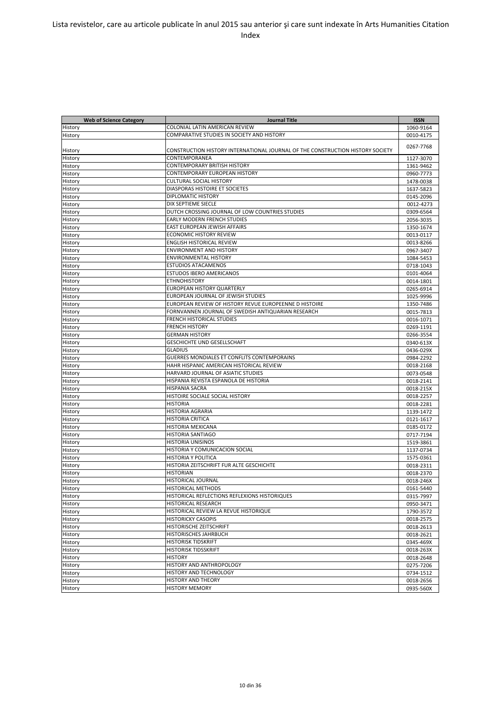| COLONIAL LATIN AMERICAN REVIEW<br>History<br>1060-9164<br>COMPARATIVE STUDIES IN SOCIETY AND HISTORY<br>0010-4175<br>History<br>0267-7768<br>CONSTRUCTION HISTORY INTERNATIONAL JOURNAL OF THE CONSTRUCTION HISTORY SOCIETY<br>History<br>CONTEMPORANEA<br>History<br>1127-3070<br><b>CONTEMPORARY BRITISH HISTORY</b><br>History<br>1361-9462<br><b>CONTEMPORARY EUROPEAN HISTORY</b><br>History<br>0960-7773<br><b>CULTURAL SOCIAL HISTORY</b><br>History<br>1478-0038<br>DIASPORAS HISTOIRE ET SOCIETES<br>History<br>1637-5823<br><b>DIPLOMATIC HISTORY</b><br>History<br>0145-2096<br>DIX SEPTIEME SIECLE<br>History<br>0012-4273<br>DUTCH CROSSING JOURNAL OF LOW COUNTRIES STUDIES<br>History<br>0309-6564<br>EARLY MODERN FRENCH STUDIES<br>History<br>2056-3035<br>EAST EUROPEAN JEWISH AFFAIRS<br>History<br>1350-1674<br><b>ECONOMIC HISTORY REVIEW</b><br>0013-0117<br>History<br><b>ENGLISH HISTORICAL REVIEW</b><br>History<br>0013-8266<br><b>ENVIRONMENT AND HISTORY</b><br>0967-3407<br>History<br><b>ENVIRONMENTAL HISTORY</b><br>History<br>1084-5453<br><b>ESTUDIOS ATACAMENOS</b><br>History<br>0718-1043<br><b>ESTUDOS IBERO AMERICANOS</b><br>History<br>0101-4064<br>ETHNOHISTORY<br>History<br>0014-1801<br>EUROPEAN HISTORY QUARTERLY<br>History<br>0265-6914<br>EUROPEAN JOURNAL OF JEWISH STUDIES<br>History<br>1025-9996<br>EUROPEAN REVIEW OF HISTORY REVUE EUROPEENNE D HISTOIRE<br>1350-7486<br>History<br>FORNVANNEN JOURNAL OF SWEDISH ANTIQUARIAN RESEARCH<br>History<br>0015-7813<br><b>FRENCH HISTORICAL STUDIES</b><br>History<br>0016-1071<br><b>FRENCH HISTORY</b><br>0269-1191<br>History<br><b>GERMAN HISTORY</b><br>History<br>0266-3554<br><b>GESCHICHTE UND GESELLSCHAFT</b><br>History<br>0340-613X<br><b>GLADIUS</b><br>0436-029X<br>History<br><b>GUERRES MONDIALES ET CONFLITS CONTEMPORAINS</b><br>0984-2292<br>History<br>HAHR HISPANIC AMERICAN HISTORICAL REVIEW<br>History<br>0018-2168<br>HARVARD JOURNAL OF ASIATIC STUDIES<br>0073-0548<br>History<br>HISPANIA REVISTA ESPANOLA DE HISTORIA<br>History<br>0018-2141<br>HISPANIA SACRA<br>History<br>0018-215X<br>HISTOIRE SOCIALE SOCIAL HISTORY<br>History<br>0018-2257<br><b>HISTORIA</b><br>History<br>0018-2281<br>HISTORIA AGRARIA<br>History<br>1139-1472<br><b>HISTORIA CRITICA</b><br>History<br>0121-1617<br>HISTORIA MEXICANA<br>0185-0172<br>History<br><b>HISTORIA SANTIAGO</b><br>History<br>0717-7194<br><b>HISTORIA UNISINOS</b><br>1519-3861<br>HISTORIA Y COMUNICACION SOCIAL<br>1137-0734<br><b>HISTORIA Y POLITICA</b><br>History<br>1575-0361<br>HISTORIA ZEITSCHRIFT FUR ALTE GESCHICHTE<br>0018-2311<br>HISTORIAN<br>0018-2370<br><b>HISTORICAL JOURNAL</b><br>0018-246X<br><b>HISTORICAL METHODS</b><br>0161-5440<br>HISTORICAL REFLECTIONS REFLEXIONS HISTORIQUES<br>0315-7997<br>HISTORICAL RESEARCH<br>0950-3471<br>HISTORICAL REVIEW LA REVUE HISTORIQUE<br>1790-3572<br><b>HISTORICKY CASOPIS</b><br>0018-2575<br>HISTORISCHE ZEITSCHRIFT<br>0018-2613<br>HISTORISCHES JAHRBUCH<br>0018-2621<br><b>HISTORISK TIDSKRIFT</b><br>0345-469X<br><b>HISTORISK TIDSSKRIFT</b><br>0018-263X<br>HISTORY<br>0018-2648<br>HISTORY AND ANTHROPOLOGY<br>0275-7206<br>HISTORY AND TECHNOLOGY<br>0734-1512<br>HISTORY AND THEORY<br>0018-2656<br><b>HISTORY MEMORY</b><br>0935-560X | <b>Web of Science Category</b> | <b>Journal Title</b> | <b>ISSN</b> |
|-----------------------------------------------------------------------------------------------------------------------------------------------------------------------------------------------------------------------------------------------------------------------------------------------------------------------------------------------------------------------------------------------------------------------------------------------------------------------------------------------------------------------------------------------------------------------------------------------------------------------------------------------------------------------------------------------------------------------------------------------------------------------------------------------------------------------------------------------------------------------------------------------------------------------------------------------------------------------------------------------------------------------------------------------------------------------------------------------------------------------------------------------------------------------------------------------------------------------------------------------------------------------------------------------------------------------------------------------------------------------------------------------------------------------------------------------------------------------------------------------------------------------------------------------------------------------------------------------------------------------------------------------------------------------------------------------------------------------------------------------------------------------------------------------------------------------------------------------------------------------------------------------------------------------------------------------------------------------------------------------------------------------------------------------------------------------------------------------------------------------------------------------------------------------------------------------------------------------------------------------------------------------------------------------------------------------------------------------------------------------------------------------------------------------------------------------------------------------------------------------------------------------------------------------------------------------------------------------------------------------------------------------------------------------------------------------------------------------------------------------------------------------------------------------------------------------------------------------------------------------------------------------------------------------------------------------------------------------------------------------------------------------------------------------------------------------------------------------------------------------------------------------------------------------------------------------------------------------------------------------------------------------------------------------------------|--------------------------------|----------------------|-------------|
|                                                                                                                                                                                                                                                                                                                                                                                                                                                                                                                                                                                                                                                                                                                                                                                                                                                                                                                                                                                                                                                                                                                                                                                                                                                                                                                                                                                                                                                                                                                                                                                                                                                                                                                                                                                                                                                                                                                                                                                                                                                                                                                                                                                                                                                                                                                                                                                                                                                                                                                                                                                                                                                                                                                                                                                                                                                                                                                                                                                                                                                                                                                                                                                                                                                                                                           |                                |                      |             |
|                                                                                                                                                                                                                                                                                                                                                                                                                                                                                                                                                                                                                                                                                                                                                                                                                                                                                                                                                                                                                                                                                                                                                                                                                                                                                                                                                                                                                                                                                                                                                                                                                                                                                                                                                                                                                                                                                                                                                                                                                                                                                                                                                                                                                                                                                                                                                                                                                                                                                                                                                                                                                                                                                                                                                                                                                                                                                                                                                                                                                                                                                                                                                                                                                                                                                                           |                                |                      |             |
|                                                                                                                                                                                                                                                                                                                                                                                                                                                                                                                                                                                                                                                                                                                                                                                                                                                                                                                                                                                                                                                                                                                                                                                                                                                                                                                                                                                                                                                                                                                                                                                                                                                                                                                                                                                                                                                                                                                                                                                                                                                                                                                                                                                                                                                                                                                                                                                                                                                                                                                                                                                                                                                                                                                                                                                                                                                                                                                                                                                                                                                                                                                                                                                                                                                                                                           |                                |                      |             |
|                                                                                                                                                                                                                                                                                                                                                                                                                                                                                                                                                                                                                                                                                                                                                                                                                                                                                                                                                                                                                                                                                                                                                                                                                                                                                                                                                                                                                                                                                                                                                                                                                                                                                                                                                                                                                                                                                                                                                                                                                                                                                                                                                                                                                                                                                                                                                                                                                                                                                                                                                                                                                                                                                                                                                                                                                                                                                                                                                                                                                                                                                                                                                                                                                                                                                                           |                                |                      |             |
|                                                                                                                                                                                                                                                                                                                                                                                                                                                                                                                                                                                                                                                                                                                                                                                                                                                                                                                                                                                                                                                                                                                                                                                                                                                                                                                                                                                                                                                                                                                                                                                                                                                                                                                                                                                                                                                                                                                                                                                                                                                                                                                                                                                                                                                                                                                                                                                                                                                                                                                                                                                                                                                                                                                                                                                                                                                                                                                                                                                                                                                                                                                                                                                                                                                                                                           |                                |                      |             |
|                                                                                                                                                                                                                                                                                                                                                                                                                                                                                                                                                                                                                                                                                                                                                                                                                                                                                                                                                                                                                                                                                                                                                                                                                                                                                                                                                                                                                                                                                                                                                                                                                                                                                                                                                                                                                                                                                                                                                                                                                                                                                                                                                                                                                                                                                                                                                                                                                                                                                                                                                                                                                                                                                                                                                                                                                                                                                                                                                                                                                                                                                                                                                                                                                                                                                                           |                                |                      |             |
|                                                                                                                                                                                                                                                                                                                                                                                                                                                                                                                                                                                                                                                                                                                                                                                                                                                                                                                                                                                                                                                                                                                                                                                                                                                                                                                                                                                                                                                                                                                                                                                                                                                                                                                                                                                                                                                                                                                                                                                                                                                                                                                                                                                                                                                                                                                                                                                                                                                                                                                                                                                                                                                                                                                                                                                                                                                                                                                                                                                                                                                                                                                                                                                                                                                                                                           |                                |                      |             |
|                                                                                                                                                                                                                                                                                                                                                                                                                                                                                                                                                                                                                                                                                                                                                                                                                                                                                                                                                                                                                                                                                                                                                                                                                                                                                                                                                                                                                                                                                                                                                                                                                                                                                                                                                                                                                                                                                                                                                                                                                                                                                                                                                                                                                                                                                                                                                                                                                                                                                                                                                                                                                                                                                                                                                                                                                                                                                                                                                                                                                                                                                                                                                                                                                                                                                                           |                                |                      |             |
|                                                                                                                                                                                                                                                                                                                                                                                                                                                                                                                                                                                                                                                                                                                                                                                                                                                                                                                                                                                                                                                                                                                                                                                                                                                                                                                                                                                                                                                                                                                                                                                                                                                                                                                                                                                                                                                                                                                                                                                                                                                                                                                                                                                                                                                                                                                                                                                                                                                                                                                                                                                                                                                                                                                                                                                                                                                                                                                                                                                                                                                                                                                                                                                                                                                                                                           |                                |                      |             |
|                                                                                                                                                                                                                                                                                                                                                                                                                                                                                                                                                                                                                                                                                                                                                                                                                                                                                                                                                                                                                                                                                                                                                                                                                                                                                                                                                                                                                                                                                                                                                                                                                                                                                                                                                                                                                                                                                                                                                                                                                                                                                                                                                                                                                                                                                                                                                                                                                                                                                                                                                                                                                                                                                                                                                                                                                                                                                                                                                                                                                                                                                                                                                                                                                                                                                                           |                                |                      |             |
|                                                                                                                                                                                                                                                                                                                                                                                                                                                                                                                                                                                                                                                                                                                                                                                                                                                                                                                                                                                                                                                                                                                                                                                                                                                                                                                                                                                                                                                                                                                                                                                                                                                                                                                                                                                                                                                                                                                                                                                                                                                                                                                                                                                                                                                                                                                                                                                                                                                                                                                                                                                                                                                                                                                                                                                                                                                                                                                                                                                                                                                                                                                                                                                                                                                                                                           |                                |                      |             |
|                                                                                                                                                                                                                                                                                                                                                                                                                                                                                                                                                                                                                                                                                                                                                                                                                                                                                                                                                                                                                                                                                                                                                                                                                                                                                                                                                                                                                                                                                                                                                                                                                                                                                                                                                                                                                                                                                                                                                                                                                                                                                                                                                                                                                                                                                                                                                                                                                                                                                                                                                                                                                                                                                                                                                                                                                                                                                                                                                                                                                                                                                                                                                                                                                                                                                                           |                                |                      |             |
|                                                                                                                                                                                                                                                                                                                                                                                                                                                                                                                                                                                                                                                                                                                                                                                                                                                                                                                                                                                                                                                                                                                                                                                                                                                                                                                                                                                                                                                                                                                                                                                                                                                                                                                                                                                                                                                                                                                                                                                                                                                                                                                                                                                                                                                                                                                                                                                                                                                                                                                                                                                                                                                                                                                                                                                                                                                                                                                                                                                                                                                                                                                                                                                                                                                                                                           |                                |                      |             |
|                                                                                                                                                                                                                                                                                                                                                                                                                                                                                                                                                                                                                                                                                                                                                                                                                                                                                                                                                                                                                                                                                                                                                                                                                                                                                                                                                                                                                                                                                                                                                                                                                                                                                                                                                                                                                                                                                                                                                                                                                                                                                                                                                                                                                                                                                                                                                                                                                                                                                                                                                                                                                                                                                                                                                                                                                                                                                                                                                                                                                                                                                                                                                                                                                                                                                                           |                                |                      |             |
|                                                                                                                                                                                                                                                                                                                                                                                                                                                                                                                                                                                                                                                                                                                                                                                                                                                                                                                                                                                                                                                                                                                                                                                                                                                                                                                                                                                                                                                                                                                                                                                                                                                                                                                                                                                                                                                                                                                                                                                                                                                                                                                                                                                                                                                                                                                                                                                                                                                                                                                                                                                                                                                                                                                                                                                                                                                                                                                                                                                                                                                                                                                                                                                                                                                                                                           |                                |                      |             |
|                                                                                                                                                                                                                                                                                                                                                                                                                                                                                                                                                                                                                                                                                                                                                                                                                                                                                                                                                                                                                                                                                                                                                                                                                                                                                                                                                                                                                                                                                                                                                                                                                                                                                                                                                                                                                                                                                                                                                                                                                                                                                                                                                                                                                                                                                                                                                                                                                                                                                                                                                                                                                                                                                                                                                                                                                                                                                                                                                                                                                                                                                                                                                                                                                                                                                                           |                                |                      |             |
|                                                                                                                                                                                                                                                                                                                                                                                                                                                                                                                                                                                                                                                                                                                                                                                                                                                                                                                                                                                                                                                                                                                                                                                                                                                                                                                                                                                                                                                                                                                                                                                                                                                                                                                                                                                                                                                                                                                                                                                                                                                                                                                                                                                                                                                                                                                                                                                                                                                                                                                                                                                                                                                                                                                                                                                                                                                                                                                                                                                                                                                                                                                                                                                                                                                                                                           |                                |                      |             |
|                                                                                                                                                                                                                                                                                                                                                                                                                                                                                                                                                                                                                                                                                                                                                                                                                                                                                                                                                                                                                                                                                                                                                                                                                                                                                                                                                                                                                                                                                                                                                                                                                                                                                                                                                                                                                                                                                                                                                                                                                                                                                                                                                                                                                                                                                                                                                                                                                                                                                                                                                                                                                                                                                                                                                                                                                                                                                                                                                                                                                                                                                                                                                                                                                                                                                                           |                                |                      |             |
|                                                                                                                                                                                                                                                                                                                                                                                                                                                                                                                                                                                                                                                                                                                                                                                                                                                                                                                                                                                                                                                                                                                                                                                                                                                                                                                                                                                                                                                                                                                                                                                                                                                                                                                                                                                                                                                                                                                                                                                                                                                                                                                                                                                                                                                                                                                                                                                                                                                                                                                                                                                                                                                                                                                                                                                                                                                                                                                                                                                                                                                                                                                                                                                                                                                                                                           |                                |                      |             |
|                                                                                                                                                                                                                                                                                                                                                                                                                                                                                                                                                                                                                                                                                                                                                                                                                                                                                                                                                                                                                                                                                                                                                                                                                                                                                                                                                                                                                                                                                                                                                                                                                                                                                                                                                                                                                                                                                                                                                                                                                                                                                                                                                                                                                                                                                                                                                                                                                                                                                                                                                                                                                                                                                                                                                                                                                                                                                                                                                                                                                                                                                                                                                                                                                                                                                                           |                                |                      |             |
|                                                                                                                                                                                                                                                                                                                                                                                                                                                                                                                                                                                                                                                                                                                                                                                                                                                                                                                                                                                                                                                                                                                                                                                                                                                                                                                                                                                                                                                                                                                                                                                                                                                                                                                                                                                                                                                                                                                                                                                                                                                                                                                                                                                                                                                                                                                                                                                                                                                                                                                                                                                                                                                                                                                                                                                                                                                                                                                                                                                                                                                                                                                                                                                                                                                                                                           |                                |                      |             |
|                                                                                                                                                                                                                                                                                                                                                                                                                                                                                                                                                                                                                                                                                                                                                                                                                                                                                                                                                                                                                                                                                                                                                                                                                                                                                                                                                                                                                                                                                                                                                                                                                                                                                                                                                                                                                                                                                                                                                                                                                                                                                                                                                                                                                                                                                                                                                                                                                                                                                                                                                                                                                                                                                                                                                                                                                                                                                                                                                                                                                                                                                                                                                                                                                                                                                                           |                                |                      |             |
|                                                                                                                                                                                                                                                                                                                                                                                                                                                                                                                                                                                                                                                                                                                                                                                                                                                                                                                                                                                                                                                                                                                                                                                                                                                                                                                                                                                                                                                                                                                                                                                                                                                                                                                                                                                                                                                                                                                                                                                                                                                                                                                                                                                                                                                                                                                                                                                                                                                                                                                                                                                                                                                                                                                                                                                                                                                                                                                                                                                                                                                                                                                                                                                                                                                                                                           |                                |                      |             |
|                                                                                                                                                                                                                                                                                                                                                                                                                                                                                                                                                                                                                                                                                                                                                                                                                                                                                                                                                                                                                                                                                                                                                                                                                                                                                                                                                                                                                                                                                                                                                                                                                                                                                                                                                                                                                                                                                                                                                                                                                                                                                                                                                                                                                                                                                                                                                                                                                                                                                                                                                                                                                                                                                                                                                                                                                                                                                                                                                                                                                                                                                                                                                                                                                                                                                                           |                                |                      |             |
|                                                                                                                                                                                                                                                                                                                                                                                                                                                                                                                                                                                                                                                                                                                                                                                                                                                                                                                                                                                                                                                                                                                                                                                                                                                                                                                                                                                                                                                                                                                                                                                                                                                                                                                                                                                                                                                                                                                                                                                                                                                                                                                                                                                                                                                                                                                                                                                                                                                                                                                                                                                                                                                                                                                                                                                                                                                                                                                                                                                                                                                                                                                                                                                                                                                                                                           |                                |                      |             |
|                                                                                                                                                                                                                                                                                                                                                                                                                                                                                                                                                                                                                                                                                                                                                                                                                                                                                                                                                                                                                                                                                                                                                                                                                                                                                                                                                                                                                                                                                                                                                                                                                                                                                                                                                                                                                                                                                                                                                                                                                                                                                                                                                                                                                                                                                                                                                                                                                                                                                                                                                                                                                                                                                                                                                                                                                                                                                                                                                                                                                                                                                                                                                                                                                                                                                                           |                                |                      |             |
|                                                                                                                                                                                                                                                                                                                                                                                                                                                                                                                                                                                                                                                                                                                                                                                                                                                                                                                                                                                                                                                                                                                                                                                                                                                                                                                                                                                                                                                                                                                                                                                                                                                                                                                                                                                                                                                                                                                                                                                                                                                                                                                                                                                                                                                                                                                                                                                                                                                                                                                                                                                                                                                                                                                                                                                                                                                                                                                                                                                                                                                                                                                                                                                                                                                                                                           |                                |                      |             |
|                                                                                                                                                                                                                                                                                                                                                                                                                                                                                                                                                                                                                                                                                                                                                                                                                                                                                                                                                                                                                                                                                                                                                                                                                                                                                                                                                                                                                                                                                                                                                                                                                                                                                                                                                                                                                                                                                                                                                                                                                                                                                                                                                                                                                                                                                                                                                                                                                                                                                                                                                                                                                                                                                                                                                                                                                                                                                                                                                                                                                                                                                                                                                                                                                                                                                                           |                                |                      |             |
|                                                                                                                                                                                                                                                                                                                                                                                                                                                                                                                                                                                                                                                                                                                                                                                                                                                                                                                                                                                                                                                                                                                                                                                                                                                                                                                                                                                                                                                                                                                                                                                                                                                                                                                                                                                                                                                                                                                                                                                                                                                                                                                                                                                                                                                                                                                                                                                                                                                                                                                                                                                                                                                                                                                                                                                                                                                                                                                                                                                                                                                                                                                                                                                                                                                                                                           |                                |                      |             |
|                                                                                                                                                                                                                                                                                                                                                                                                                                                                                                                                                                                                                                                                                                                                                                                                                                                                                                                                                                                                                                                                                                                                                                                                                                                                                                                                                                                                                                                                                                                                                                                                                                                                                                                                                                                                                                                                                                                                                                                                                                                                                                                                                                                                                                                                                                                                                                                                                                                                                                                                                                                                                                                                                                                                                                                                                                                                                                                                                                                                                                                                                                                                                                                                                                                                                                           |                                |                      |             |
|                                                                                                                                                                                                                                                                                                                                                                                                                                                                                                                                                                                                                                                                                                                                                                                                                                                                                                                                                                                                                                                                                                                                                                                                                                                                                                                                                                                                                                                                                                                                                                                                                                                                                                                                                                                                                                                                                                                                                                                                                                                                                                                                                                                                                                                                                                                                                                                                                                                                                                                                                                                                                                                                                                                                                                                                                                                                                                                                                                                                                                                                                                                                                                                                                                                                                                           |                                |                      |             |
|                                                                                                                                                                                                                                                                                                                                                                                                                                                                                                                                                                                                                                                                                                                                                                                                                                                                                                                                                                                                                                                                                                                                                                                                                                                                                                                                                                                                                                                                                                                                                                                                                                                                                                                                                                                                                                                                                                                                                                                                                                                                                                                                                                                                                                                                                                                                                                                                                                                                                                                                                                                                                                                                                                                                                                                                                                                                                                                                                                                                                                                                                                                                                                                                                                                                                                           |                                |                      |             |
|                                                                                                                                                                                                                                                                                                                                                                                                                                                                                                                                                                                                                                                                                                                                                                                                                                                                                                                                                                                                                                                                                                                                                                                                                                                                                                                                                                                                                                                                                                                                                                                                                                                                                                                                                                                                                                                                                                                                                                                                                                                                                                                                                                                                                                                                                                                                                                                                                                                                                                                                                                                                                                                                                                                                                                                                                                                                                                                                                                                                                                                                                                                                                                                                                                                                                                           |                                |                      |             |
|                                                                                                                                                                                                                                                                                                                                                                                                                                                                                                                                                                                                                                                                                                                                                                                                                                                                                                                                                                                                                                                                                                                                                                                                                                                                                                                                                                                                                                                                                                                                                                                                                                                                                                                                                                                                                                                                                                                                                                                                                                                                                                                                                                                                                                                                                                                                                                                                                                                                                                                                                                                                                                                                                                                                                                                                                                                                                                                                                                                                                                                                                                                                                                                                                                                                                                           |                                |                      |             |
|                                                                                                                                                                                                                                                                                                                                                                                                                                                                                                                                                                                                                                                                                                                                                                                                                                                                                                                                                                                                                                                                                                                                                                                                                                                                                                                                                                                                                                                                                                                                                                                                                                                                                                                                                                                                                                                                                                                                                                                                                                                                                                                                                                                                                                                                                                                                                                                                                                                                                                                                                                                                                                                                                                                                                                                                                                                                                                                                                                                                                                                                                                                                                                                                                                                                                                           |                                |                      |             |
|                                                                                                                                                                                                                                                                                                                                                                                                                                                                                                                                                                                                                                                                                                                                                                                                                                                                                                                                                                                                                                                                                                                                                                                                                                                                                                                                                                                                                                                                                                                                                                                                                                                                                                                                                                                                                                                                                                                                                                                                                                                                                                                                                                                                                                                                                                                                                                                                                                                                                                                                                                                                                                                                                                                                                                                                                                                                                                                                                                                                                                                                                                                                                                                                                                                                                                           |                                |                      |             |
|                                                                                                                                                                                                                                                                                                                                                                                                                                                                                                                                                                                                                                                                                                                                                                                                                                                                                                                                                                                                                                                                                                                                                                                                                                                                                                                                                                                                                                                                                                                                                                                                                                                                                                                                                                                                                                                                                                                                                                                                                                                                                                                                                                                                                                                                                                                                                                                                                                                                                                                                                                                                                                                                                                                                                                                                                                                                                                                                                                                                                                                                                                                                                                                                                                                                                                           |                                |                      |             |
|                                                                                                                                                                                                                                                                                                                                                                                                                                                                                                                                                                                                                                                                                                                                                                                                                                                                                                                                                                                                                                                                                                                                                                                                                                                                                                                                                                                                                                                                                                                                                                                                                                                                                                                                                                                                                                                                                                                                                                                                                                                                                                                                                                                                                                                                                                                                                                                                                                                                                                                                                                                                                                                                                                                                                                                                                                                                                                                                                                                                                                                                                                                                                                                                                                                                                                           |                                |                      |             |
|                                                                                                                                                                                                                                                                                                                                                                                                                                                                                                                                                                                                                                                                                                                                                                                                                                                                                                                                                                                                                                                                                                                                                                                                                                                                                                                                                                                                                                                                                                                                                                                                                                                                                                                                                                                                                                                                                                                                                                                                                                                                                                                                                                                                                                                                                                                                                                                                                                                                                                                                                                                                                                                                                                                                                                                                                                                                                                                                                                                                                                                                                                                                                                                                                                                                                                           |                                |                      |             |
|                                                                                                                                                                                                                                                                                                                                                                                                                                                                                                                                                                                                                                                                                                                                                                                                                                                                                                                                                                                                                                                                                                                                                                                                                                                                                                                                                                                                                                                                                                                                                                                                                                                                                                                                                                                                                                                                                                                                                                                                                                                                                                                                                                                                                                                                                                                                                                                                                                                                                                                                                                                                                                                                                                                                                                                                                                                                                                                                                                                                                                                                                                                                                                                                                                                                                                           |                                |                      |             |
|                                                                                                                                                                                                                                                                                                                                                                                                                                                                                                                                                                                                                                                                                                                                                                                                                                                                                                                                                                                                                                                                                                                                                                                                                                                                                                                                                                                                                                                                                                                                                                                                                                                                                                                                                                                                                                                                                                                                                                                                                                                                                                                                                                                                                                                                                                                                                                                                                                                                                                                                                                                                                                                                                                                                                                                                                                                                                                                                                                                                                                                                                                                                                                                                                                                                                                           |                                |                      |             |
|                                                                                                                                                                                                                                                                                                                                                                                                                                                                                                                                                                                                                                                                                                                                                                                                                                                                                                                                                                                                                                                                                                                                                                                                                                                                                                                                                                                                                                                                                                                                                                                                                                                                                                                                                                                                                                                                                                                                                                                                                                                                                                                                                                                                                                                                                                                                                                                                                                                                                                                                                                                                                                                                                                                                                                                                                                                                                                                                                                                                                                                                                                                                                                                                                                                                                                           | History                        |                      |             |
|                                                                                                                                                                                                                                                                                                                                                                                                                                                                                                                                                                                                                                                                                                                                                                                                                                                                                                                                                                                                                                                                                                                                                                                                                                                                                                                                                                                                                                                                                                                                                                                                                                                                                                                                                                                                                                                                                                                                                                                                                                                                                                                                                                                                                                                                                                                                                                                                                                                                                                                                                                                                                                                                                                                                                                                                                                                                                                                                                                                                                                                                                                                                                                                                                                                                                                           | History                        |                      |             |
|                                                                                                                                                                                                                                                                                                                                                                                                                                                                                                                                                                                                                                                                                                                                                                                                                                                                                                                                                                                                                                                                                                                                                                                                                                                                                                                                                                                                                                                                                                                                                                                                                                                                                                                                                                                                                                                                                                                                                                                                                                                                                                                                                                                                                                                                                                                                                                                                                                                                                                                                                                                                                                                                                                                                                                                                                                                                                                                                                                                                                                                                                                                                                                                                                                                                                                           |                                |                      |             |
|                                                                                                                                                                                                                                                                                                                                                                                                                                                                                                                                                                                                                                                                                                                                                                                                                                                                                                                                                                                                                                                                                                                                                                                                                                                                                                                                                                                                                                                                                                                                                                                                                                                                                                                                                                                                                                                                                                                                                                                                                                                                                                                                                                                                                                                                                                                                                                                                                                                                                                                                                                                                                                                                                                                                                                                                                                                                                                                                                                                                                                                                                                                                                                                                                                                                                                           | History                        |                      |             |
|                                                                                                                                                                                                                                                                                                                                                                                                                                                                                                                                                                                                                                                                                                                                                                                                                                                                                                                                                                                                                                                                                                                                                                                                                                                                                                                                                                                                                                                                                                                                                                                                                                                                                                                                                                                                                                                                                                                                                                                                                                                                                                                                                                                                                                                                                                                                                                                                                                                                                                                                                                                                                                                                                                                                                                                                                                                                                                                                                                                                                                                                                                                                                                                                                                                                                                           | History                        |                      |             |
|                                                                                                                                                                                                                                                                                                                                                                                                                                                                                                                                                                                                                                                                                                                                                                                                                                                                                                                                                                                                                                                                                                                                                                                                                                                                                                                                                                                                                                                                                                                                                                                                                                                                                                                                                                                                                                                                                                                                                                                                                                                                                                                                                                                                                                                                                                                                                                                                                                                                                                                                                                                                                                                                                                                                                                                                                                                                                                                                                                                                                                                                                                                                                                                                                                                                                                           | History                        |                      |             |
|                                                                                                                                                                                                                                                                                                                                                                                                                                                                                                                                                                                                                                                                                                                                                                                                                                                                                                                                                                                                                                                                                                                                                                                                                                                                                                                                                                                                                                                                                                                                                                                                                                                                                                                                                                                                                                                                                                                                                                                                                                                                                                                                                                                                                                                                                                                                                                                                                                                                                                                                                                                                                                                                                                                                                                                                                                                                                                                                                                                                                                                                                                                                                                                                                                                                                                           | History                        |                      |             |
|                                                                                                                                                                                                                                                                                                                                                                                                                                                                                                                                                                                                                                                                                                                                                                                                                                                                                                                                                                                                                                                                                                                                                                                                                                                                                                                                                                                                                                                                                                                                                                                                                                                                                                                                                                                                                                                                                                                                                                                                                                                                                                                                                                                                                                                                                                                                                                                                                                                                                                                                                                                                                                                                                                                                                                                                                                                                                                                                                                                                                                                                                                                                                                                                                                                                                                           | History                        |                      |             |
|                                                                                                                                                                                                                                                                                                                                                                                                                                                                                                                                                                                                                                                                                                                                                                                                                                                                                                                                                                                                                                                                                                                                                                                                                                                                                                                                                                                                                                                                                                                                                                                                                                                                                                                                                                                                                                                                                                                                                                                                                                                                                                                                                                                                                                                                                                                                                                                                                                                                                                                                                                                                                                                                                                                                                                                                                                                                                                                                                                                                                                                                                                                                                                                                                                                                                                           | History                        |                      |             |
|                                                                                                                                                                                                                                                                                                                                                                                                                                                                                                                                                                                                                                                                                                                                                                                                                                                                                                                                                                                                                                                                                                                                                                                                                                                                                                                                                                                                                                                                                                                                                                                                                                                                                                                                                                                                                                                                                                                                                                                                                                                                                                                                                                                                                                                                                                                                                                                                                                                                                                                                                                                                                                                                                                                                                                                                                                                                                                                                                                                                                                                                                                                                                                                                                                                                                                           | History                        |                      |             |
|                                                                                                                                                                                                                                                                                                                                                                                                                                                                                                                                                                                                                                                                                                                                                                                                                                                                                                                                                                                                                                                                                                                                                                                                                                                                                                                                                                                                                                                                                                                                                                                                                                                                                                                                                                                                                                                                                                                                                                                                                                                                                                                                                                                                                                                                                                                                                                                                                                                                                                                                                                                                                                                                                                                                                                                                                                                                                                                                                                                                                                                                                                                                                                                                                                                                                                           | History                        |                      |             |
|                                                                                                                                                                                                                                                                                                                                                                                                                                                                                                                                                                                                                                                                                                                                                                                                                                                                                                                                                                                                                                                                                                                                                                                                                                                                                                                                                                                                                                                                                                                                                                                                                                                                                                                                                                                                                                                                                                                                                                                                                                                                                                                                                                                                                                                                                                                                                                                                                                                                                                                                                                                                                                                                                                                                                                                                                                                                                                                                                                                                                                                                                                                                                                                                                                                                                                           | History                        |                      |             |
|                                                                                                                                                                                                                                                                                                                                                                                                                                                                                                                                                                                                                                                                                                                                                                                                                                                                                                                                                                                                                                                                                                                                                                                                                                                                                                                                                                                                                                                                                                                                                                                                                                                                                                                                                                                                                                                                                                                                                                                                                                                                                                                                                                                                                                                                                                                                                                                                                                                                                                                                                                                                                                                                                                                                                                                                                                                                                                                                                                                                                                                                                                                                                                                                                                                                                                           | History                        |                      |             |
|                                                                                                                                                                                                                                                                                                                                                                                                                                                                                                                                                                                                                                                                                                                                                                                                                                                                                                                                                                                                                                                                                                                                                                                                                                                                                                                                                                                                                                                                                                                                                                                                                                                                                                                                                                                                                                                                                                                                                                                                                                                                                                                                                                                                                                                                                                                                                                                                                                                                                                                                                                                                                                                                                                                                                                                                                                                                                                                                                                                                                                                                                                                                                                                                                                                                                                           | History                        |                      |             |
|                                                                                                                                                                                                                                                                                                                                                                                                                                                                                                                                                                                                                                                                                                                                                                                                                                                                                                                                                                                                                                                                                                                                                                                                                                                                                                                                                                                                                                                                                                                                                                                                                                                                                                                                                                                                                                                                                                                                                                                                                                                                                                                                                                                                                                                                                                                                                                                                                                                                                                                                                                                                                                                                                                                                                                                                                                                                                                                                                                                                                                                                                                                                                                                                                                                                                                           | History                        |                      |             |
|                                                                                                                                                                                                                                                                                                                                                                                                                                                                                                                                                                                                                                                                                                                                                                                                                                                                                                                                                                                                                                                                                                                                                                                                                                                                                                                                                                                                                                                                                                                                                                                                                                                                                                                                                                                                                                                                                                                                                                                                                                                                                                                                                                                                                                                                                                                                                                                                                                                                                                                                                                                                                                                                                                                                                                                                                                                                                                                                                                                                                                                                                                                                                                                                                                                                                                           | History                        |                      |             |
|                                                                                                                                                                                                                                                                                                                                                                                                                                                                                                                                                                                                                                                                                                                                                                                                                                                                                                                                                                                                                                                                                                                                                                                                                                                                                                                                                                                                                                                                                                                                                                                                                                                                                                                                                                                                                                                                                                                                                                                                                                                                                                                                                                                                                                                                                                                                                                                                                                                                                                                                                                                                                                                                                                                                                                                                                                                                                                                                                                                                                                                                                                                                                                                                                                                                                                           | History                        |                      |             |
|                                                                                                                                                                                                                                                                                                                                                                                                                                                                                                                                                                                                                                                                                                                                                                                                                                                                                                                                                                                                                                                                                                                                                                                                                                                                                                                                                                                                                                                                                                                                                                                                                                                                                                                                                                                                                                                                                                                                                                                                                                                                                                                                                                                                                                                                                                                                                                                                                                                                                                                                                                                                                                                                                                                                                                                                                                                                                                                                                                                                                                                                                                                                                                                                                                                                                                           | History                        |                      |             |
|                                                                                                                                                                                                                                                                                                                                                                                                                                                                                                                                                                                                                                                                                                                                                                                                                                                                                                                                                                                                                                                                                                                                                                                                                                                                                                                                                                                                                                                                                                                                                                                                                                                                                                                                                                                                                                                                                                                                                                                                                                                                                                                                                                                                                                                                                                                                                                                                                                                                                                                                                                                                                                                                                                                                                                                                                                                                                                                                                                                                                                                                                                                                                                                                                                                                                                           | History                        |                      |             |
|                                                                                                                                                                                                                                                                                                                                                                                                                                                                                                                                                                                                                                                                                                                                                                                                                                                                                                                                                                                                                                                                                                                                                                                                                                                                                                                                                                                                                                                                                                                                                                                                                                                                                                                                                                                                                                                                                                                                                                                                                                                                                                                                                                                                                                                                                                                                                                                                                                                                                                                                                                                                                                                                                                                                                                                                                                                                                                                                                                                                                                                                                                                                                                                                                                                                                                           | History                        |                      |             |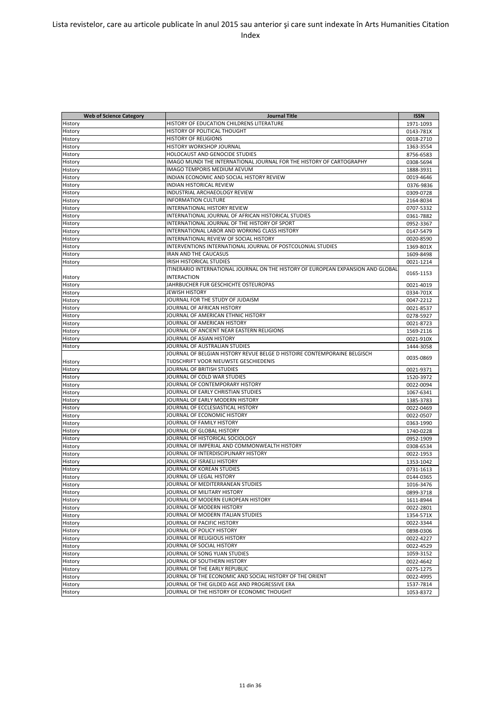| <b>Web of Science Category</b> | <b>Journal Title</b>                                                             | <b>ISSN</b>            |
|--------------------------------|----------------------------------------------------------------------------------|------------------------|
| History                        | HISTORY OF EDUCATION CHILDRENS LITERATURE                                        | 1971-1093              |
| History                        | HISTORY OF POLITICAL THOUGHT                                                     | 0143-781X              |
| History                        | <b>HISTORY OF RELIGIONS</b>                                                      | 0018-2710              |
| History                        | HISTORY WORKSHOP JOURNAL                                                         | 1363-3554              |
| History                        | HOLOCAUST AND GENOCIDE STUDIES                                                   | 8756-6583              |
| History                        | IMAGO MUNDI THE INTERNATIONAL JOURNAL FOR THE HISTORY OF CARTOGRAPHY             | 0308-5694              |
| History                        | <b>IMAGO TEMPORIS MEDIUM AEVUM</b>                                               | 1888-3931              |
| History                        | INDIAN ECONOMIC AND SOCIAL HISTORY REVIEW                                        | 0019-4646              |
| History                        | <b>INDIAN HISTORICAL REVIEW</b>                                                  | 0376-9836              |
| History                        | INDUSTRIAL ARCHAEOLOGY REVIEW                                                    | 0309-0728              |
| History                        | <b>INFORMATION CULTURE</b>                                                       | 2164-8034              |
| History                        | INTERNATIONAL HISTORY REVIEW                                                     | 0707-5332              |
| History                        | INTERNATIONAL JOURNAL OF AFRICAN HISTORICAL STUDIES                              | 0361-7882              |
| History                        | INTERNATIONAL JOURNAL OF THE HISTORY OF SPORT                                    | 0952-3367              |
| History                        | INTERNATIONAL LABOR AND WORKING CLASS HISTORY                                    | 0147-5479              |
| History                        | INTERNATIONAL REVIEW OF SOCIAL HISTORY                                           | 0020-8590              |
| History                        | INTERVENTIONS INTERNATIONAL JOURNAL OF POSTCOLONIAL STUDIES                      | 1369-801X              |
| History                        | <b>IRAN AND THE CAUCASUS</b>                                                     | 1609-8498              |
| History                        | <b>IRISH HISTORICAL STUDIES</b>                                                  | 0021-1214              |
|                                | ITINERARIO INTERNATIONAL JOURNAL ON THE HISTORY OF EUROPEAN EXPANSION AND GLOBAL |                        |
| History                        | <b>INTERACTION</b>                                                               | 0165-1153              |
| History                        | JAHRBUCHER FUR GESCHICHTE OSTEUROPAS                                             | 0021-4019              |
| History                        | <b>JEWISH HISTORY</b>                                                            | 0334-701X              |
| History                        | JOURNAL FOR THE STUDY OF JUDAISM                                                 | 0047-2212              |
| History                        | JOURNAL OF AFRICAN HISTORY                                                       | 0021-8537              |
| History                        | JOURNAL OF AMERICAN ETHNIC HISTORY                                               | 0278-5927              |
| History                        | JOURNAL OF AMERICAN HISTORY                                                      | 0021-8723              |
| History                        | JOURNAL OF ANCIENT NEAR EASTERN RELIGIONS                                        | 1569-2116              |
| History                        | JOURNAL OF ASIAN HISTORY                                                         |                        |
| History                        | JOURNAL OF AUSTRALIAN STUDIES                                                    | 0021-910X              |
|                                | JOURNAL OF BELGIAN HISTORY REVUE BELGE D HISTOIRE CONTEMPORAINE BELGISCH         | 1444-3058              |
|                                | TIJDSCHRIFT VOOR NIEUWSTE GESCHIEDENIS                                           | 0035-0869              |
| History<br>History             | JOURNAL OF BRITISH STUDIES                                                       |                        |
|                                | JOURNAL OF COLD WAR STUDIES                                                      | 0021-9371              |
| History<br>History             | JOURNAL OF CONTEMPORARY HISTORY                                                  | 1520-3972              |
| History                        | JOURNAL OF EARLY CHRISTIAN STUDIES                                               | 0022-0094              |
| History                        | JOURNAL OF EARLY MODERN HISTORY                                                  | 1067-6341<br>1385-3783 |
| History                        | JOURNAL OF ECCLESIASTICAL HISTORY                                                | 0022-0469              |
| History                        | JOURNAL OF ECONOMIC HISTORY                                                      | 0022-0507              |
|                                | JOURNAL OF FAMILY HISTORY                                                        | 0363-1990              |
| History<br>History             | JOURNAL OF GLOBAL HISTORY                                                        | 1740-0228              |
| History                        | JOURNAL OF HISTORICAL SOCIOLOGY                                                  |                        |
|                                | JOURNAL OF IMPERIAL AND COMMONWEALTH HISTORY                                     | 0952-1909<br>0308-6534 |
| History                        | JOURNAL OF INTERDISCIPLINARY HISTORY                                             |                        |
| History                        | JOURNAL OF ISRAELI HISTORY                                                       | 0022-1953              |
| History                        | JOURNAL OF KOREAN STUDIES                                                        | 1353-1042              |
| History                        | JOURNAL OF LEGAL HISTORY                                                         | 0731-1613              |
| History                        | JOURNAL OF MEDITERRANEAN STUDIES                                                 | 0144-0365              |
| History                        |                                                                                  | 1016-3476              |
| History                        | JOURNAL OF MILITARY HISTORY                                                      | 0899-3718              |
| History                        | JOURNAL OF MODERN EUROPEAN HISTORY                                               | 1611-8944              |
| History                        | JOURNAL OF MODERN HISTORY                                                        | 0022-2801              |
| History                        | JOURNAL OF MODERN ITALIAN STUDIES                                                | 1354-571X              |
| History                        | JOURNAL OF PACIFIC HISTORY                                                       | 0022-3344              |
| History                        | JOURNAL OF POLICY HISTORY                                                        | 0898-0306              |
| History                        | JOURNAL OF RELIGIOUS HISTORY                                                     | 0022-4227              |
| History                        | JOURNAL OF SOCIAL HISTORY                                                        | 0022-4529              |
| History                        | JOURNAL OF SONG YUAN STUDIES                                                     | 1059-3152              |
| History                        | JOURNAL OF SOUTHERN HISTORY                                                      | 0022-4642              |
| History                        | JOURNAL OF THE EARLY REPUBLIC                                                    | 0275-1275              |
| History                        | JOURNAL OF THE ECONOMIC AND SOCIAL HISTORY OF THE ORIENT                         | 0022-4995              |
| History                        | JOURNAL OF THE GILDED AGE AND PROGRESSIVE ERA                                    | 1537-7814              |
| History                        | JOURNAL OF THE HISTORY OF ECONOMIC THOUGHT                                       | 1053-8372              |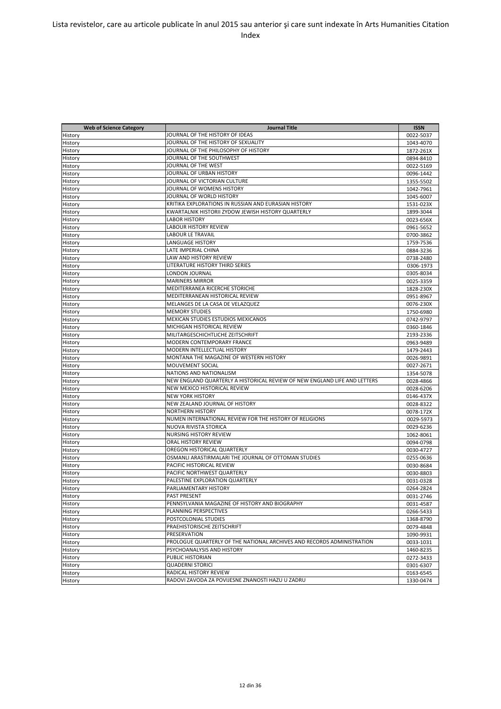| <b>Web of Science Category</b> | <b>Journal Title</b>                                                      | <b>ISSN</b> |
|--------------------------------|---------------------------------------------------------------------------|-------------|
| History                        | JOURNAL OF THE HISTORY OF IDEAS                                           | 0022-5037   |
| History                        | JOURNAL OF THE HISTORY OF SEXUALITY                                       | 1043-4070   |
| History                        | JOURNAL OF THE PHILOSOPHY OF HISTORY                                      | 1872-261X   |
| History                        | JOURNAL OF THE SOUTHWEST                                                  | 0894-8410   |
| History                        | JOURNAL OF THE WEST                                                       | 0022-5169   |
| History                        | JOURNAL OF URBAN HISTORY                                                  | 0096-1442   |
| History                        | JOURNAL OF VICTORIAN CULTURE                                              | 1355-5502   |
| History                        | JOURNAL OF WOMENS HISTORY                                                 | 1042-7961   |
| History                        | JOURNAL OF WORLD HISTORY                                                  | 1045-6007   |
| History                        | KRITIKA EXPLORATIONS IN RUSSIAN AND EURASIAN HISTORY                      | 1531-023X   |
| History                        | KWARTALNIK HISTORII ZYDOW JEWISH HISTORY QUARTERLY                        | 1899-3044   |
| History                        | <b>LABOR HISTORY</b>                                                      | 0023-656X   |
| History                        | LABOUR HISTORY REVIEW                                                     | 0961-5652   |
| History                        | <b>LABOUR LE TRAVAIL</b>                                                  | 0700-3862   |
| History                        | <b>LANGUAGE HISTORY</b>                                                   | 1759-7536   |
| History                        | LATE IMPERIAL CHINA                                                       | 0884-3236   |
| History                        | LAW AND HISTORY REVIEW                                                    | 0738-2480   |
| History                        | LITERATURE HISTORY THIRD SERIES                                           | 0306-1973   |
| History                        | LONDON JOURNAL                                                            | 0305-8034   |
| History                        | <b>MARINERS MIRROR</b>                                                    | 0025-3359   |
| History                        | MEDITERRANEA RICERCHE STORICHE                                            | 1828-230X   |
| History                        | MEDITERRANEAN HISTORICAL REVIEW                                           | 0951-8967   |
| History                        | MELANGES DE LA CASA DE VELAZQUEZ                                          | 0076-230X   |
| History                        | <b>MEMORY STUDIES</b>                                                     | 1750-6980   |
| History                        | MEXICAN STUDIES ESTUDIOS MEXICANOS                                        | 0742-9797   |
| History                        | MICHIGAN HISTORICAL REVIEW                                                | 0360-1846   |
| History                        | MILITARGESCHICHTLICHE ZEITSCHRIFT                                         | 2193-2336   |
| History                        | MODERN CONTEMPORARY FRANCE                                                | 0963-9489   |
| History                        | MODERN INTELLECTUAL HISTORY                                               | 1479-2443   |
| History                        | MONTANA THE MAGAZINE OF WESTERN HISTORY                                   | 0026-9891   |
| History                        | MOUVEMENT SOCIAL                                                          | 0027-2671   |
| History                        | NATIONS AND NATIONALISM                                                   | 1354-5078   |
| History                        | NEW ENGLAND QUARTERLY A HISTORICAL REVIEW OF NEW ENGLAND LIFE AND LETTERS | 0028-4866   |
| History                        | NEW MEXICO HISTORICAL REVIEW                                              | 0028-6206   |
| History                        | <b>NEW YORK HISTORY</b>                                                   | 0146-437X   |
| History                        | NEW ZEALAND JOURNAL OF HISTORY                                            | 0028-8322   |
| History                        | <b>NORTHERN HISTORY</b>                                                   | 0078-172X   |
| History                        | NUMEN INTERNATIONAL REVIEW FOR THE HISTORY OF RELIGIONS                   | 0029-5973   |
| History                        | NUOVA RIVISTA STORICA                                                     | 0029-6236   |
| History                        | NURSING HISTORY REVIEW                                                    | 1062-8061   |
| History                        | ORAL HISTORY REVIEW                                                       | 0094-0798   |
| History                        | OREGON HISTORICAL QUARTERLY                                               | 0030-4727   |
| History                        | OSMANLI ARASTIRMALARI THE JOURNAL OF OTTOMAN STUDIES                      | 0255-0636   |
| History                        | PACIFIC HISTORICAL REVIEW                                                 | 0030-8684   |
| History                        | PACIFIC NORTHWEST QUARTERLY                                               | 0030-8803   |
| History                        | PALESTINE EXPLORATION QUARTERLY                                           | 0031-0328   |
| History                        | PARLIAMENTARY HISTORY                                                     | 0264-2824   |
| History                        | PAST PRESENT                                                              | 0031-2746   |
| History                        | PENNSYLVANIA MAGAZINE OF HISTORY AND BIOGRAPHY                            | 0031-4587   |
| History                        | PLANNING PERSPECTIVES                                                     | 0266-5433   |
| History                        | POSTCOLONIAL STUDIES                                                      | 1368-8790   |
| History                        | PRAEHISTORISCHE ZEITSCHRIFT                                               | 0079-4848   |
| History                        | PRESERVATION                                                              | 1090-9931   |
| History                        | PROLOGUE QUARTERLY OF THE NATIONAL ARCHIVES AND RECORDS ADMINISTRATION    | 0033-1031   |
| History                        | PSYCHOANALYSIS AND HISTORY                                                | 1460-8235   |
| History                        | PUBLIC HISTORIAN                                                          | 0272-3433   |
| History                        | <b>QUADERNI STORICI</b>                                                   | 0301-6307   |
| History                        | RADICAL HISTORY REVIEW                                                    | 0163-6545   |
| History                        | RADOVI ZAVODA ZA POVIJESNE ZNANOSTI HAZU U ZADRU                          | 1330-0474   |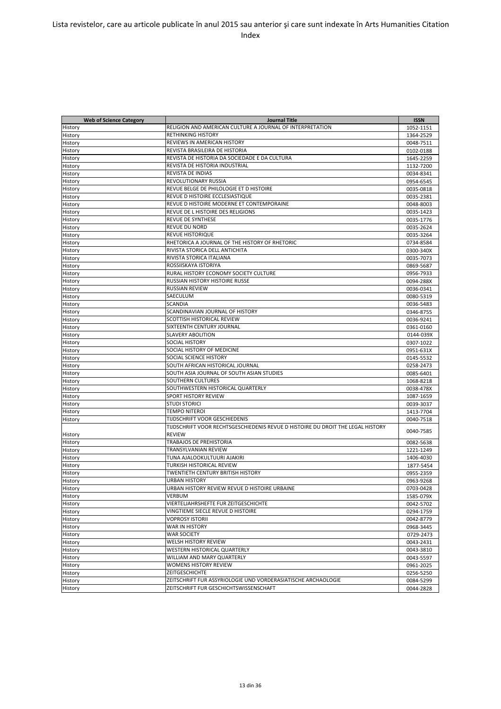| <b>Web of Science Category</b> | <b>Journal Title</b>                                                            | <b>ISSN</b>            |
|--------------------------------|---------------------------------------------------------------------------------|------------------------|
|                                | RELIGION AND AMERICAN CULTURE A JOURNAL OF INTERPRETATION                       |                        |
| History<br>History             | <b>RETHINKING HISTORY</b>                                                       | 1052-1151<br>1364-2529 |
|                                | REVIEWS IN AMERICAN HISTORY                                                     | 0048-7511              |
| History                        | REVISTA BRASILEIRA DE HISTORIA                                                  |                        |
| History                        |                                                                                 | 0102-0188              |
| History                        | REVISTA DE HISTORIA DA SOCIEDADE E DA CULTURA                                   | 1645-2259              |
| History                        | REVISTA DE HISTORIA INDUSTRIAL<br><b>REVISTA DE INDIAS</b>                      | 1132-7200              |
| History                        |                                                                                 | 0034-8341              |
| History                        | REVOLUTIONARY RUSSIA                                                            | 0954-6545              |
| History                        | REVUE BELGE DE PHILOLOGIE ET D HISTOIRE                                         | 0035-0818              |
| History                        | REVUE D HISTOIRE ECCLESIASTIQUE                                                 | 0035-2381              |
| History                        | REVUE D HISTOIRE MODERNE ET CONTEMPORAINE                                       | 0048-8003              |
| History                        | REVUE DE L HISTOIRE DES RELIGIONS                                               | 0035-1423              |
| History                        | <b>REVUE DE SYNTHESE</b>                                                        | 0035-1776              |
| History                        | <b>REVUE DU NORD</b>                                                            | 0035-2624              |
| History                        | <b>REVUE HISTORIQUE</b>                                                         | 0035-3264              |
| History                        | RHETORICA A JOURNAL OF THE HISTORY OF RHETORIC                                  | 0734-8584              |
| History                        | RIVISTA STORICA DELL ANTICHITA                                                  | 0300-340X              |
| History                        | RIVISTA STORICA ITALIANA                                                        | 0035-7073              |
| History                        | ROSSIISKAYA ISTORIYA                                                            | 0869-5687              |
| History                        | RURAL HISTORY ECONOMY SOCIETY CULTURE                                           | 0956-7933              |
| History                        | <b>RUSSIAN HISTORY HISTOIRE RUSSE</b>                                           | 0094-288X              |
| History                        | <b>RUSSIAN REVIEW</b>                                                           | 0036-0341              |
| History                        | SAECULUM                                                                        | 0080-5319              |
| History                        | <b>SCANDIA</b>                                                                  | 0036-5483              |
| History                        | SCANDINAVIAN JOURNAL OF HISTORY                                                 | 0346-8755              |
| History                        | SCOTTISH HISTORICAL REVIEW                                                      | 0036-9241              |
| History                        | SIXTEENTH CENTURY JOURNAL                                                       | 0361-0160              |
| History                        | <b>SLAVERY ABOLITION</b>                                                        | 0144-039X              |
| History                        | <b>SOCIAL HISTORY</b>                                                           | 0307-1022              |
| History                        | SOCIAL HISTORY OF MEDICINE                                                      | 0951-631X              |
| History                        | SOCIAL SCIENCE HISTORY                                                          | 0145-5532              |
| History                        | SOUTH AFRICAN HISTORICAL JOURNAL                                                | 0258-2473              |
| History                        | SOUTH ASIA JOURNAL OF SOUTH ASIAN STUDIES                                       | 0085-6401              |
|                                | SOUTHERN CULTURES                                                               | 1068-8218              |
| History                        | SOUTHWESTERN HISTORICAL QUARTERLY                                               |                        |
| History                        | <b>SPORT HISTORY REVIEW</b>                                                     | 0038-478X              |
| History                        |                                                                                 | 1087-1659              |
| History                        | <b>STUDI STORICI</b>                                                            | 0039-3037              |
| History                        | <b>TEMPO NITEROI</b>                                                            | 1413-7704              |
| History                        | TIJDSCHRIFT VOOR GESCHIEDENIS                                                   | 0040-7518              |
|                                | TIJDSCHRIFT VOOR RECHTSGESCHIEDENIS REVUE D HISTOIRE DU DROIT THE LEGAL HISTORY | 0040-7585              |
| History                        | <b>REVIEW</b>                                                                   |                        |
| History                        | TRABAJOS DE PREHISTORIA                                                         | 0082-5638              |
| History                        | TRANSYLVANIAN REVIEW                                                            | 1221-1249              |
| History                        | TUNA AJALOOKULTUURI AJAKIRI                                                     | 1406-4030              |
| History                        | TURKISH HISTORICAL REVIEW                                                       | 1877-5454              |
| History                        | TWENTIETH CENTURY BRITISH HISTORY                                               | 0955-2359              |
| History                        | <b>URBAN HISTORY</b>                                                            | 0963-9268              |
| History                        | URBAN HISTORY REVIEW REVUE D HISTOIRE URBAINE                                   | 0703-0428              |
| History                        | <b>VERBUM</b>                                                                   | 1585-079X              |
| History                        | VIERTELJAHRSHEFTE FUR ZEITGESCHICHTE                                            | 0042-5702              |
| History                        | VINGTIEME SIECLE REVUE D HISTOIRE                                               | 0294-1759              |
| History                        | <b>VOPROSY ISTORII</b>                                                          | 0042-8779              |
| History                        | WAR IN HISTORY                                                                  | 0968-3445              |
| History                        | <b>WAR SOCIETY</b>                                                              | 0729-2473              |
| History                        | WELSH HISTORY REVIEW                                                            | 0043-2431              |
| History                        | WESTERN HISTORICAL QUARTERLY                                                    | 0043-3810              |
| History                        | WILLIAM AND MARY QUARTERLY                                                      | 0043-5597              |
| History                        | WOMENS HISTORY REVIEW                                                           | 0961-2025              |
| History                        | ZEITGESCHICHTE                                                                  | 0256-5250              |
| History                        | ZEITSCHRIFT FUR ASSYRIOLOGIE UND VORDERASIATISCHE ARCHAOLOGIE                   | 0084-5299              |
|                                | ZEITSCHRIFT FUR GESCHICHTSWISSENSCHAFT                                          |                        |
| History                        |                                                                                 | 0044-2828              |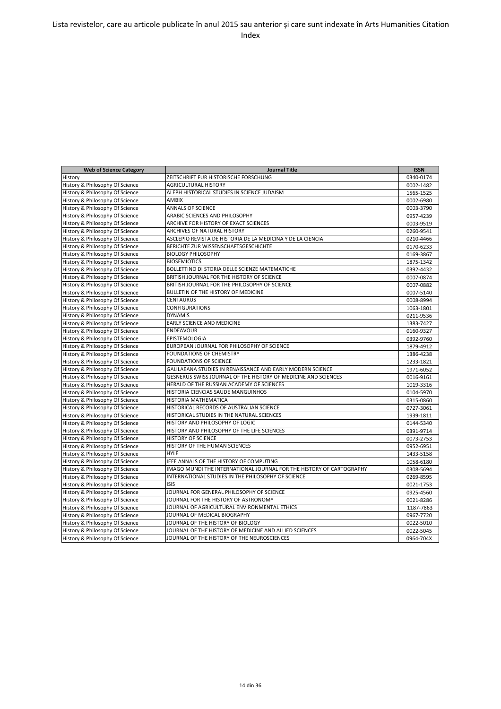| <b>Web of Science Category</b>  | <b>Journal Title</b>                                                 | <b>ISSN</b> |
|---------------------------------|----------------------------------------------------------------------|-------------|
| History                         | ZEITSCHRIFT FUR HISTORISCHE FORSCHUNG                                | 0340-0174   |
| History & Philosophy Of Science | <b>AGRICULTURAL HISTORY</b>                                          | 0002-1482   |
| History & Philosophy Of Science | ALEPH HISTORICAL STUDIES IN SCIENCE JUDAISM                          | 1565-1525   |
| History & Philosophy Of Science | <b>AMBIX</b>                                                         | 0002-6980   |
| History & Philosophy Of Science | <b>ANNALS OF SCIENCE</b>                                             | 0003-3790   |
| History & Philosophy Of Science | ARABIC SCIENCES AND PHILOSOPHY                                       | 0957-4239   |
| History & Philosophy Of Science | ARCHIVE FOR HISTORY OF EXACT SCIENCES                                | 0003-9519   |
| History & Philosophy Of Science | ARCHIVES OF NATURAL HISTORY                                          | 0260-9541   |
| History & Philosophy Of Science | ASCLEPIO REVISTA DE HISTORIA DE LA MEDICINA Y DE LA CIENCIA          | 0210-4466   |
| History & Philosophy Of Science | BERICHTE ZUR WISSENSCHAFTSGESCHICHTE                                 | 0170-6233   |
| History & Philosophy Of Science | <b>BIOLOGY PHILOSOPHY</b>                                            | 0169-3867   |
| History & Philosophy Of Science | <b>BIOSEMIOTICS</b>                                                  | 1875-1342   |
| History & Philosophy Of Science | BOLLETTINO DI STORIA DELLE SCIENZE MATEMATICHE                       | 0392-4432   |
| History & Philosophy Of Science | BRITISH JOURNAL FOR THE HISTORY OF SCIENCE                           | 0007-0874   |
| History & Philosophy Of Science | BRITISH JOURNAL FOR THE PHILOSOPHY OF SCIENCE                        | 0007-0882   |
| History & Philosophy Of Science | BULLETIN OF THE HISTORY OF MEDICINE                                  | 0007-5140   |
| History & Philosophy Of Science | <b>CENTAURUS</b>                                                     | 0008-8994   |
| History & Philosophy Of Science | <b>CONFIGURATIONS</b>                                                | 1063-1801   |
| History & Philosophy Of Science | <b>DYNAMIS</b>                                                       | 0211-9536   |
| History & Philosophy Of Science | <b>EARLY SCIENCE AND MEDICINE</b>                                    | 1383-7427   |
| History & Philosophy Of Science | <b>ENDEAVOUR</b>                                                     | 0160-9327   |
| History & Philosophy Of Science | <b>EPISTEMOLOGIA</b>                                                 | 0392-9760   |
| History & Philosophy Of Science | EUROPEAN JOURNAL FOR PHILOSOPHY OF SCIENCE                           | 1879-4912   |
| History & Philosophy Of Science | FOUNDATIONS OF CHEMISTRY                                             | 1386-4238   |
| History & Philosophy Of Science | FOUNDATIONS OF SCIENCE                                               | 1233-1821   |
| History & Philosophy Of Science | GALILAEANA STUDIES IN RENAISSANCE AND EARLY MODERN SCIENCE           | 1971-6052   |
| History & Philosophy Of Science | GESNERUS SWISS JOURNAL OF THE HISTORY OF MEDICINE AND SCIENCES       | 0016-9161   |
| History & Philosophy Of Science | HERALD OF THE RUSSIAN ACADEMY OF SCIENCES                            | 1019-3316   |
| History & Philosophy Of Science | HISTORIA CIENCIAS SAUDE MANGUINHOS                                   | 0104-5970   |
| History & Philosophy Of Science | HISTORIA MATHEMATICA                                                 | 0315-0860   |
| History & Philosophy Of Science | HISTORICAL RECORDS OF AUSTRALIAN SCIENCE                             | 0727-3061   |
| History & Philosophy Of Science | HISTORICAL STUDIES IN THE NATURAL SCIENCES                           | 1939-1811   |
| History & Philosophy Of Science | HISTORY AND PHILOSOPHY OF LOGIC                                      | 0144-5340   |
| History & Philosophy Of Science | HISTORY AND PHILOSOPHY OF THE LIFE SCIENCES                          | 0391-9714   |
| History & Philosophy Of Science | <b>HISTORY OF SCIENCE</b>                                            | 0073-2753   |
| History & Philosophy Of Science | HISTORY OF THE HUMAN SCIENCES                                        | 0952-6951   |
| History & Philosophy Of Science | <b>HYLE</b>                                                          | 1433-5158   |
| History & Philosophy Of Science | IEEE ANNALS OF THE HISTORY OF COMPUTING                              | 1058-6180   |
| History & Philosophy Of Science | IMAGO MUNDI THE INTERNATIONAL JOURNAL FOR THE HISTORY OF CARTOGRAPHY | 0308-5694   |
| History & Philosophy Of Science | INTERNATIONAL STUDIES IN THE PHILOSOPHY OF SCIENCE                   | 0269-8595   |
| History & Philosophy Of Science | <b>ISIS</b>                                                          | 0021-1753   |
| History & Philosophy Of Science | JOURNAL FOR GENERAL PHILOSOPHY OF SCIENCE                            | 0925-4560   |
| History & Philosophy Of Science | JOURNAL FOR THE HISTORY OF ASTRONOMY                                 | 0021-8286   |
| History & Philosophy Of Science | JOURNAL OF AGRICULTURAL ENVIRONMENTAL ETHICS                         | 1187-7863   |
| History & Philosophy Of Science | JOURNAL OF MEDICAL BIOGRAPHY                                         | 0967-7720   |
| History & Philosophy Of Science | JOURNAL OF THE HISTORY OF BIOLOGY                                    | 0022-5010   |
| History & Philosophy Of Science | JOURNAL OF THE HISTORY OF MEDICINE AND ALLIED SCIENCES               | 0022-5045   |
| History & Philosophy Of Science | JOURNAL OF THE HISTORY OF THE NEUROSCIENCES                          | 0964-704X   |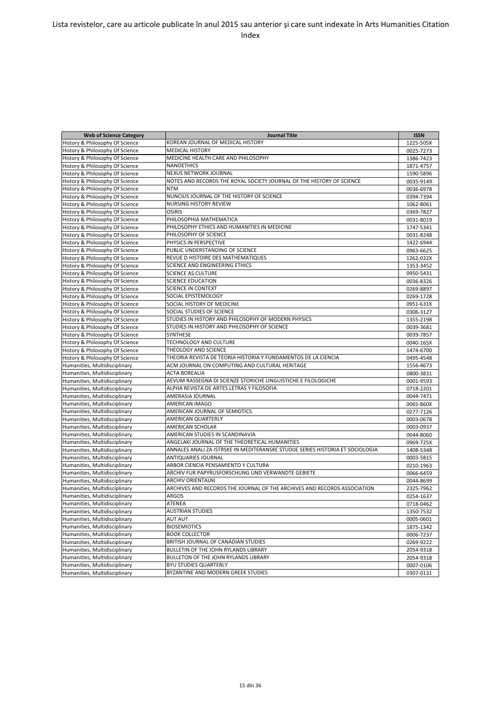| <b>Web of Science Category</b>  | <b>Journal Title</b>                                                           | <b>ISSN</b> |
|---------------------------------|--------------------------------------------------------------------------------|-------------|
| History & Philosophy Of Science | KOREAN JOURNAL OF MEDICAL HISTORY                                              | 1225-505X   |
| History & Philosophy Of Science | <b>MEDICAL HISTORY</b>                                                         | 0025-7273   |
| History & Philosophy Of Science | MEDICINE HEALTH CARE AND PHILOSOPHY                                            | 1386-7423   |
| History & Philosophy Of Science | <b>NANOETHICS</b>                                                              | 1871-4757   |
| History & Philosophy Of Science | NEXUS NETWORK JOURNAL                                                          | 1590-5896   |
| History & Philosophy Of Science | NOTES AND RECORDS THE ROYAL SOCIETY JOURNAL OF THE HISTORY OF SCIENCE          | 0035-9149   |
| History & Philosophy Of Science | <b>NTM</b>                                                                     | 0036-6978   |
| History & Philosophy Of Science | NUNCIUS JOURNAL OF THE HISTORY OF SCIENCE                                      | 0394-7394   |
| History & Philosophy Of Science | NURSING HISTORY REVIEW                                                         | 1062-8061   |
| History & Philosophy Of Science | <b>OSIRIS</b>                                                                  | 0369-7827   |
| History & Philosophy Of Science | PHILOSOPHIA MATHEMATICA                                                        | 0031-8019   |
| History & Philosophy Of Science | PHILOSOPHY ETHICS AND HUMANITIES IN MEDICINE                                   | 1747-5341   |
| History & Philosophy Of Science | PHILOSOPHY OF SCIENCE                                                          | 0031-8248   |
| History & Philosophy Of Science | PHYSICS IN PERSPECTIVE                                                         | 1422-6944   |
| History & Philosophy Of Science | PUBLIC UNDERSTANDING OF SCIENCE                                                | 0963-6625   |
| History & Philosophy Of Science | REVUE D HISTOIRE DES MATHEMATIQUES                                             | 1262-022X   |
| History & Philosophy Of Science | SCIENCE AND ENGINEERING ETHICS                                                 | 1353-3452   |
| History & Philosophy Of Science | <b>SCIENCE AS CULTURE</b>                                                      | 0950-5431   |
| History & Philosophy Of Science | <b>SCIENCE EDUCATION</b>                                                       | 0036-8326   |
| History & Philosophy Of Science | <b>SCIENCE IN CONTEXT</b>                                                      | 0269-8897   |
| History & Philosophy Of Science | SOCIAL EPISTEMOLOGY                                                            | 0269-1728   |
| History & Philosophy Of Science | SOCIAL HISTORY OF MEDICINE                                                     | 0951-631X   |
| History & Philosophy Of Science | SOCIAL STUDIES OF SCIENCE                                                      | 0306-3127   |
| History & Philosophy Of Science | STUDIES IN HISTORY AND PHILOSOPHY OF MODERN PHYSICS                            | 1355-2198   |
| History & Philosophy Of Science | STUDIES IN HISTORY AND PHILOSOPHY OF SCIENCE                                   | 0039-3681   |
| History & Philosophy Of Science | SYNTHESE                                                                       | 0039-7857   |
| History & Philosophy Of Science | TECHNOLOGY AND CULTURE                                                         | 0040-165X   |
| History & Philosophy Of Science | THEOLOGY AND SCIENCE                                                           | 1474-6700   |
| History & Philosophy Of Science | THEORIA REVISTA DE TEORIA HISTORIA Y FUNDAMENTOS DE LA CIENCIA                 | 0495-4548   |
| Humanities, Multidisciplinary   | ACM JOURNAL ON COMPUTING AND CULTURAL HERITAGE                                 | 1556-4673   |
| Humanities, Multidisciplinary   | <b>ACTA BOREALIA</b>                                                           | 0800-3831   |
| Humanities, Multidisciplinary   | AEVUM RASSEGNA DI SCIENZE STORICHE LINGUISTICHE E FILOLOGICHE                  | 0001-9593   |
| Humanities, Multidisciplinary   | ALPHA REVISTA DE ARTES LETRAS Y FILOSOFIA                                      | 0718-2201   |
| Humanities, Multidisciplinary   | AMERASIA JOURNAL                                                               | 0044-7471   |
| Humanities, Multidisciplinary   | <b>AMERICAN IMAGO</b>                                                          | 0065-860X   |
| Humanities, Multidisciplinary   | AMERICAN JOURNAL OF SEMIOTICS                                                  | 0277-7126   |
| Humanities, Multidisciplinary   | AMERICAN QUARTERLY                                                             | 0003-0678   |
| Humanities, Multidisciplinary   | <b>AMERICAN SCHOLAR</b>                                                        | 0003-0937   |
| Humanities, Multidisciplinary   | AMERICAN STUDIES IN SCANDINAVIA                                                | 0044-8060   |
| Humanities, Multidisciplinary   | ANGELAKI JOURNAL OF THE THEORETICAL HUMANITIES                                 | 0969-725X   |
| Humanities, Multidisciplinary   | ANNALES ANALI ZA ISTRSKE IN MEDITERANSKE STUDIJE SERIES HISTORIA ET SOCIOLOGIA | 1408-5348   |
| Humanities, Multidisciplinary   | <b>ANTIQUARIES JOURNAL</b>                                                     | 0003-5815   |
| Humanities, Multidisciplinary   | ARBOR CIENCIA PENSAMIENTO Y CULTURA                                            | 0210-1963   |
| Humanities, Multidisciplinary   | ARCHIV FUR PAPYRUSFORSCHUNG UND VERWANDTE GEBIETE                              | 0066-6459   |
| Humanities, Multidisciplinary   | <b>ARCHIV ORIENTALNI</b>                                                       | 0044-8699   |
| Humanities, Multidisciplinary   | ARCHIVES AND RECORDS THE JOURNAL OF THE ARCHIVES AND RECORDS ASSOCIATION       | 2325-7962   |
| Humanities, Multidisciplinary   | <b>ARGOS</b>                                                                   | 0254-1637   |
| Humanities, Multidisciplinary   | ATENEA                                                                         | 0718-0462   |
| Humanities, Multidisciplinary   | <b>AUSTRIAN STUDIES</b>                                                        | 1350-7532   |
| Humanities, Multidisciplinary   | <b>AUT AUT</b>                                                                 | 0005-0601   |
| Humanities, Multidisciplinary   | <b>BIOSEMIOTICS</b>                                                            | 1875-1342   |
| Humanities, Multidisciplinary   | <b>BOOK COLLECTOR</b>                                                          | 0006-7237   |
| Humanities, Multidisciplinary   | BRITISH JOURNAL OF CANADIAN STUDIES                                            | 0269-9222   |
| Humanities, Multidisciplinary   | BULLETIN OF THE JOHN RYLANDS LIBRARY                                           | 2054-9318   |
| Humanities, Multidisciplinary   | BULLETON OF THE JOHN RYLANDS LIBRARY                                           | 2054-9318   |
| Humanities, Multidisciplinary   | <b>BYU STUDIES QUARTERLY</b>                                                   | 0007-0106   |
| Humanities, Multidisciplinary   | BYZANTINE AND MODERN GREEK STUDIES                                             | 0307-0131   |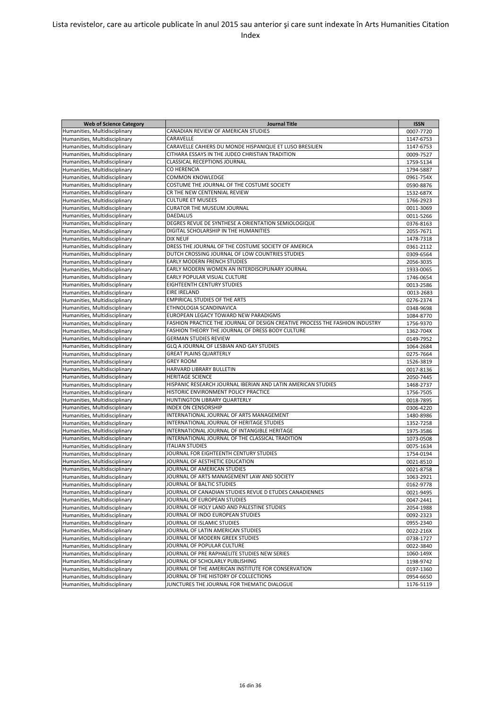| <b>Web of Science Category</b> | <b>Journal Title</b>                                                         | <b>ISSN</b> |
|--------------------------------|------------------------------------------------------------------------------|-------------|
| Humanities, Multidisciplinary  | CANADIAN REVIEW OF AMERICAN STUDIES                                          | 0007-7720   |
| Humanities, Multidisciplinary  | CARAVELLE                                                                    | 1147-6753   |
| Humanities, Multidisciplinary  | CARAVELLE CAHIERS DU MONDE HISPANIQUE ET LUSO BRESILIEN                      | 1147-6753   |
| Humanities, Multidisciplinary  | CITHARA ESSAYS IN THE JUDEO CHRISTIAN TRADITION                              | 0009-7527   |
| Humanities, Multidisciplinary  | <b>CLASSICAL RECEPTIONS JOURNAL</b>                                          | 1759-5134   |
| Humanities, Multidisciplinary  | CO HERENCIA                                                                  | 1794-5887   |
| Humanities, Multidisciplinary  | <b>COMMON KNOWLEDGE</b>                                                      | 0961-754X   |
| Humanities, Multidisciplinary  | COSTUME THE JOURNAL OF THE COSTUME SOCIETY                                   | 0590-8876   |
| Humanities, Multidisciplinary  | CR THE NEW CENTENNIAL REVIEW                                                 | 1532-687X   |
| Humanities, Multidisciplinary  | <b>CULTURE ET MUSEES</b>                                                     | 1766-2923   |
| Humanities, Multidisciplinary  | <b>CURATOR THE MUSEUM JOURNAL</b>                                            | 0011-3069   |
| Humanities, Multidisciplinary  | <b>DAEDALUS</b>                                                              | 0011-5266   |
| Humanities, Multidisciplinary  | DEGRES REVUE DE SYNTHESE A ORIENTATION SEMIOLOGIQUE                          | 0376-8163   |
| Humanities, Multidisciplinary  | DIGITAL SCHOLARSHIP IN THE HUMANITIES                                        | 2055-7671   |
| Humanities, Multidisciplinary  | <b>DIX NEUF</b>                                                              | 1478-7318   |
| Humanities, Multidisciplinary  | DRESS THE JOURNAL OF THE COSTUME SOCIETY OF AMERICA                          | 0361-2112   |
| Humanities, Multidisciplinary  | DUTCH CROSSING JOURNAL OF LOW COUNTRIES STUDIES                              | 0309-6564   |
| Humanities, Multidisciplinary  | <b>EARLY MODERN FRENCH STUDIES</b>                                           | 2056-3035   |
| Humanities, Multidisciplinary  | EARLY MODERN WOMEN AN INTERDISCIPLINARY JOURNAL                              | 1933-0065   |
| Humanities, Multidisciplinary  | EARLY POPULAR VISUAL CULTURE                                                 | 1746-0654   |
| Humanities, Multidisciplinary  | <b>EIGHTEENTH CENTURY STUDIES</b>                                            | 0013-2586   |
| Humanities, Multidisciplinary  | <b>EIRE IRELAND</b>                                                          | 0013-2683   |
| Humanities, Multidisciplinary  | <b>EMPIRICAL STUDIES OF THE ARTS</b>                                         | 0276-2374   |
| Humanities, Multidisciplinary  | ETHNOLOGIA SCANDINAVICA                                                      | 0348-9698   |
| Humanities, Multidisciplinary  | EUROPEAN LEGACY TOWARD NEW PARADIGMS                                         | 1084-8770   |
| Humanities, Multidisciplinary  | FASHION PRACTICE THE JOURNAL OF DESIGN CREATIVE PROCESS THE FASHION INDUSTRY | 1756-9370   |
| Humanities, Multidisciplinary  | FASHION THEORY THE JOURNAL OF DRESS BODY CULTURE                             | 1362-704X   |
| Humanities, Multidisciplinary  | <b>GERMAN STUDIES REVIEW</b>                                                 | 0149-7952   |
| Humanities, Multidisciplinary  | GLQ A JOURNAL OF LESBIAN AND GAY STUDIES                                     | 1064-2684   |
| Humanities, Multidisciplinary  | <b>GREAT PLAINS QUARTERLY</b>                                                | 0275-7664   |
| Humanities, Multidisciplinary  | <b>GREY ROOM</b>                                                             | 1526-3819   |
| Humanities, Multidisciplinary  | HARVARD LIBRARY BULLETIN                                                     | 0017-8136   |
| Humanities, Multidisciplinary  | <b>HERITAGE SCIENCE</b>                                                      | 2050-7445   |
| Humanities, Multidisciplinary  | HISPANIC RESEARCH JOURNAL IBERIAN AND LATIN AMERICAN STUDIES                 | 1468-2737   |
| Humanities, Multidisciplinary  | HISTORIC ENVIRONMENT POLICY PRACTICE                                         | 1756-7505   |
| Humanities, Multidisciplinary  | HUNTINGTON LIBRARY QUARTERLY                                                 | 0018-7895   |
| Humanities, Multidisciplinary  | <b>INDEX ON CENSORSHIP</b>                                                   | 0306-4220   |
| Humanities, Multidisciplinary  | INTERNATIONAL JOURNAL OF ARTS MANAGEMENT                                     | 1480-8986   |
| Humanities, Multidisciplinary  | INTERNATIONAL JOURNAL OF HERITAGE STUDIES                                    | 1352-7258   |
| Humanities, Multidisciplinary  | INTERNATIONAL JOURNAL OF INTANGIBLE HERITAGE                                 | 1975-3586   |
| Humanities, Multidisciplinary  | INTERNATIONAL JOURNAL OF THE CLASSICAL TRADITION                             | 1073-0508   |
| Humanities, Multidisciplinary  | <b>ITALIAN STUDIES</b>                                                       | 0075-1634   |
| Humanities, Multidisciplinary  | JOURNAL FOR EIGHTEENTH CENTURY STUDIES                                       | 1754-0194   |
| Humanities, Multidisciplinary  | JOURNAL OF AESTHETIC EDUCATION                                               | 0021-8510   |
| Humanities, Multidisciplinary  | JOURNAL OF AMERICAN STUDIES                                                  | 0021-8758   |
| Humanities, Multidisciplinary  | JOURNAL OF ARTS MANAGEMENT LAW AND SOCIETY                                   | 1063-2921   |
| Humanities, Multidisciplinary  | JOURNAL OF BALTIC STUDIES                                                    | 0162-9778   |
| Humanities, Multidisciplinary  | JOURNAL OF CANADIAN STUDIES REVUE D ETUDES CANADIENNES                       | 0021-9495   |
| Humanities, Multidisciplinary  | JOURNAL OF EUROPEAN STUDIES                                                  | 0047-2441   |
| Humanities, Multidisciplinary  | JOURNAL OF HOLY LAND AND PALESTINE STUDIES                                   | 2054-1988   |
| Humanities, Multidisciplinary  | JOURNAL OF INDO EUROPEAN STUDIES                                             | 0092-2323   |
| Humanities, Multidisciplinary  | JOURNAL OF ISLAMIC STUDIES                                                   | 0955-2340   |
| Humanities, Multidisciplinary  | JOURNAL OF LATIN AMERICAN STUDIES                                            | 0022-216X   |
| Humanities, Multidisciplinary  | JOURNAL OF MODERN GREEK STUDIES                                              | 0738-1727   |
| Humanities, Multidisciplinary  | JOURNAL OF POPULAR CULTURE                                                   | 0022-3840   |
| Humanities, Multidisciplinary  | JOURNAL OF PRE RAPHAELITE STUDIES NEW SERIES                                 | 1060-149X   |
| Humanities, Multidisciplinary  | JOURNAL OF SCHOLARLY PUBLISHING                                              | 1198-9742   |
| Humanities, Multidisciplinary  | JOURNAL OF THE AMERICAN INSTITUTE FOR CONSERVATION                           | 0197-1360   |
| Humanities, Multidisciplinary  | JOURNAL OF THE HISTORY OF COLLECTIONS                                        | 0954-6650   |
| Humanities, Multidisciplinary  | JUNCTURES THE JOURNAL FOR THEMATIC DIALOGUE                                  | 1176-5119   |
|                                |                                                                              |             |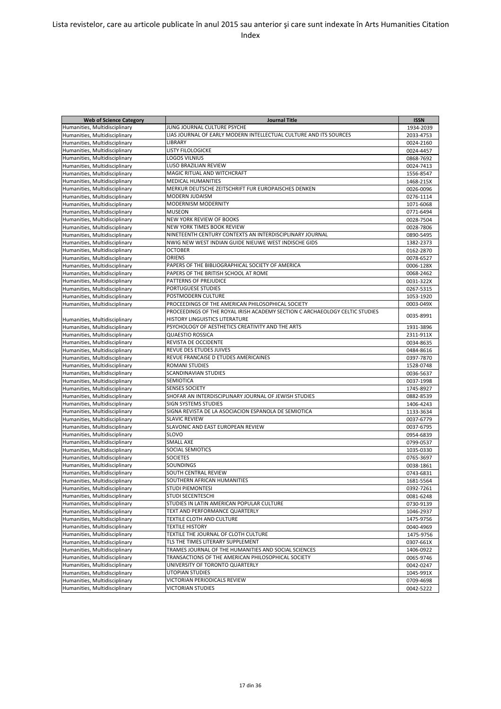| <b>Web of Science Category</b> | <b>Journal Title</b>                                                        | <b>ISSN</b> |
|--------------------------------|-----------------------------------------------------------------------------|-------------|
| Humanities, Multidisciplinary  | JUNG JOURNAL CULTURE PSYCHE                                                 | 1934-2039   |
| Humanities, Multidisciplinary  | LIAS JOURNAL OF EARLY MODERN INTELLECTUAL CULTURE AND ITS SOURCES           | 2033-4753   |
| Humanities, Multidisciplinary  | <b>LIBRARY</b>                                                              | 0024-2160   |
| Humanities, Multidisciplinary  | LISTY FILOLOGICKE                                                           | 0024-4457   |
| Humanities, Multidisciplinary  | <b>LOGOS VILNIUS</b>                                                        | 0868-7692   |
| Humanities, Multidisciplinary  | <b>LUSO BRAZILIAN REVIEW</b>                                                | 0024-7413   |
| Humanities, Multidisciplinary  | MAGIC RITUAL AND WITCHCRAFT                                                 | 1556-8547   |
| Humanities, Multidisciplinary  | <b>MEDICAL HUMANITIES</b>                                                   | 1468-215X   |
| Humanities, Multidisciplinary  | MERKUR DEUTSCHE ZEITSCHRIFT FUR EUROPAISCHES DENKEN                         | 0026-0096   |
| Humanities, Multidisciplinary  | <b>MODERN JUDAISM</b>                                                       | 0276-1114   |
| Humanities, Multidisciplinary  | MODERNISM MODERNITY                                                         | 1071-6068   |
| Humanities, Multidisciplinary  | <b>MUSEON</b>                                                               | 0771-6494   |
| Humanities, Multidisciplinary  | NEW YORK REVIEW OF BOOKS                                                    | 0028-7504   |
| Humanities, Multidisciplinary  | <b>NEW YORK TIMES BOOK REVIEW</b>                                           | 0028-7806   |
| Humanities, Multidisciplinary  | NINETEENTH CENTURY CONTEXTS AN INTERDISCIPLINARY JOURNAL                    | 0890-5495   |
| Humanities, Multidisciplinary  | NWIG NEW WEST INDIAN GUIDE NIEUWE WEST INDISCHE GIDS                        | 1382-2373   |
| Humanities, Multidisciplinary  | <b>OCTOBER</b>                                                              | 0162-2870   |
| Humanities, Multidisciplinary  | <b>ORIENS</b>                                                               | 0078-6527   |
| Humanities, Multidisciplinary  | PAPERS OF THE BIBLIOGRAPHICAL SOCIETY OF AMERICA                            | 0006-128X   |
| Humanities, Multidisciplinary  | PAPERS OF THE BRITISH SCHOOL AT ROME                                        | 0068-2462   |
| Humanities, Multidisciplinary  | PATTERNS OF PREJUDICE                                                       | 0031-322X   |
| Humanities, Multidisciplinary  | PORTUGUESE STUDIES                                                          | 0267-5315   |
| Humanities, Multidisciplinary  | POSTMODERN CULTURE                                                          | 1053-1920   |
| Humanities, Multidisciplinary  | PROCEEDINGS OF THE AMERICAN PHILOSOPHICAL SOCIETY                           | 0003-049X   |
|                                | PROCEEDINGS OF THE ROYAL IRISH ACADEMY SECTION C ARCHAEOLOGY CELTIC STUDIES |             |
| Humanities, Multidisciplinary  | HISTORY LINGUISTICS LITERATURE                                              | 0035-8991   |
| Humanities, Multidisciplinary  | PSYCHOLOGY OF AESTHETICS CREATIVITY AND THE ARTS                            | 1931-3896   |
| Humanities, Multidisciplinary  | <b>QUAESTIO ROSSICA</b>                                                     | 2311-911X   |
| Humanities, Multidisciplinary  | REVISTA DE OCCIDENTE                                                        | 0034-8635   |
| Humanities, Multidisciplinary  | <b>REVUE DES ETUDES JUIVES</b>                                              | 0484-8616   |
| Humanities, Multidisciplinary  | REVUE FRANCAISE D ETUDES AMERICAINES                                        | 0397-7870   |
| Humanities, Multidisciplinary  | <b>ROMANI STUDIES</b>                                                       | 1528-0748   |
| Humanities, Multidisciplinary  | <b>SCANDINAVIAN STUDIES</b>                                                 | 0036-5637   |
| Humanities, Multidisciplinary  | SEMIOTICA                                                                   | 0037-1998   |
| Humanities, Multidisciplinary  | <b>SENSES SOCIETY</b>                                                       | 1745-8927   |
| Humanities, Multidisciplinary  | SHOFAR AN INTERDISCIPLINARY JOURNAL OF JEWISH STUDIES                       | 0882-8539   |
| Humanities, Multidisciplinary  | <b>SIGN SYSTEMS STUDIES</b>                                                 | 1406-4243   |
| Humanities, Multidisciplinary  | SIGNA REVISTA DE LA ASOCIACION ESPANOLA DE SEMIOTICA                        | 1133-3634   |
| Humanities, Multidisciplinary  | <b>SLAVIC REVIEW</b>                                                        | 0037-6779   |
| Humanities, Multidisciplinary  | SLAVONIC AND EAST EUROPEAN REVIEW                                           | 0037-6795   |
| Humanities, Multidisciplinary  | <b>SLOVO</b>                                                                | 0954-6839   |
| Humanities, Multidisciplinary  | <b>SMALL AXE</b>                                                            | 0799-0537   |
| Humanities, Multidisciplinary  | SOCIAL SEMIOTICS                                                            | 1035-0330   |
| Humanities, Multidisciplinary  | <b>SOCIETES</b>                                                             | 0765-3697   |
| Humanities, Multidisciplinary  | <b>SOUNDINGS</b>                                                            | 0038-1861   |
| Humanities, Multidisciplinary  | SOUTH CENTRAL REVIEW                                                        | 0743-6831   |
| Humanities, Multidisciplinary  | SOUTHERN AFRICAN HUMANITIES                                                 | 1681-5564   |
| Humanities, Multidisciplinary  | <b>STUDI PIEMONTESI</b>                                                     | 0392-7261   |
| Humanities, Multidisciplinary  | STUDI SECENTESCHI                                                           | 0081-6248   |
| Humanities, Multidisciplinary  | STUDIES IN LATIN AMERICAN POPULAR CULTURE                                   | 0730-9139   |
| Humanities, Multidisciplinary  | TEXT AND PERFORMANCE QUARTERLY                                              | 1046-2937   |
| Humanities, Multidisciplinary  | TEXTILE CLOTH AND CULTURE                                                   | 1475-9756   |
| Humanities, Multidisciplinary  | <b>TEXTILE HISTORY</b>                                                      | 0040-4969   |
| Humanities, Multidisciplinary  | TEXTILE THE JOURNAL OF CLOTH CULTURE                                        | 1475-9756   |
| Humanities, Multidisciplinary  | TLS THE TIMES LITERARY SUPPLEMENT                                           | 0307-661X   |
| Humanities, Multidisciplinary  | TRAMES JOURNAL OF THE HUMANITIES AND SOCIAL SCIENCES                        | 1406-0922   |
| Humanities, Multidisciplinary  | TRANSACTIONS OF THE AMERICAN PHILOSOPHICAL SOCIETY                          | 0065-9746   |
| Humanities, Multidisciplinary  | UNIVERSITY OF TORONTO QUARTERLY                                             | 0042-0247   |
| Humanities, Multidisciplinary  | UTOPIAN STUDIES                                                             | 1045-991X   |
| Humanities, Multidisciplinary  | VICTORIAN PERIODICALS REVIEW                                                | 0709-4698   |
| Humanities, Multidisciplinary  | VICTORIAN STUDIES                                                           | 0042-5222   |
|                                |                                                                             |             |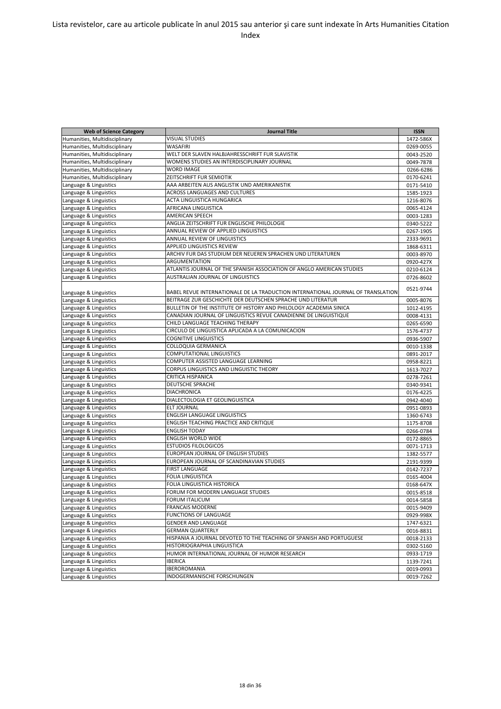| <b>Web of Science Category</b> | <b>Journal Title</b>                                                             | <b>ISSN</b> |
|--------------------------------|----------------------------------------------------------------------------------|-------------|
| Humanities, Multidisciplinary  | <b>VISUAL STUDIES</b>                                                            | 1472-586X   |
| Humanities, Multidisciplinary  | WASAFIRI                                                                         | 0269-0055   |
| Humanities, Multidisciplinary  | WELT DER SLAVEN HALBJAHRESSCHRIFT FUR SLAVISTIK                                  | 0043-2520   |
| Humanities, Multidisciplinary  | WOMENS STUDIES AN INTERDISCIPLINARY JOURNAL                                      | 0049-7878   |
| Humanities, Multidisciplinary  | <b>WORD IMAGE</b>                                                                | 0266-6286   |
| Humanities, Multidisciplinary  | ZEITSCHRIFT FUR SEMIOTIK                                                         | 0170-6241   |
| Language & Linguistics         | AAA ARBEITEN AUS ANGLISTIK UND AMERIKANISTIK                                     | 0171-5410   |
| Language & Linguistics         | <b>ACROSS LANGUAGES AND CULTURES</b>                                             | 1585-1923   |
| Language & Linguistics         | ACTA LINGUISTICA HUNGARICA                                                       | 1216-8076   |
| Language & Linguistics         | AFRICANA LINGUISTICA                                                             | 0065-4124   |
| Language & Linguistics         | AMERICAN SPEECH                                                                  | 0003-1283   |
| Language & Linguistics         | ANGLIA ZEITSCHRIFT FUR ENGLISCHE PHILOLOGIE                                      | 0340-5222   |
| Language & Linguistics         | ANNUAL REVIEW OF APPLIED LINGUISTICS                                             | 0267-1905   |
| Language & Linguistics         | ANNUAL REVIEW OF LINGUISTICS                                                     | 2333-9691   |
| Language & Linguistics         | <b>APPLIED LINGUISTICS REVIEW</b>                                                | 1868-6311   |
| Language & Linguistics         | ARCHIV FUR DAS STUDIUM DER NEUEREN SPRACHEN UND LITERATUREN                      | 0003-8970   |
| Language & Linguistics         | ARGUMENTATION                                                                    | 0920-427X   |
| Language & Linguistics         | ATLANTIS JOURNAL OF THE SPANISH ASSOCIATION OF ANGLO AMERICAN STUDIES            |             |
| Language & Linguistics         | AUSTRALIAN JOURNAL OF LINGUISTICS                                                | 0210-6124   |
|                                |                                                                                  | 0726-8602   |
| Language & Linguistics         | BABEL REVUE INTERNATIONALE DE LA TRADUCTION INTERNATIONAL JOURNAL OF TRANSLATION | 0521-9744   |
| Language & Linguistics         | BEITRAGE ZUR GESCHICHTE DER DEUTSCHEN SPRACHE UND LITERATUR                      |             |
| Language & Linguistics         | BULLETIN OF THE INSTITUTE OF HISTORY AND PHILOLOGY ACADEMIA SINICA               | 0005-8076   |
| Language & Linguistics         | CANADIAN JOURNAL OF LINGUISTICS REVUE CANADIENNE DE LINGUISTIQUE                 | 1012-4195   |
| Language & Linguistics         | CHILD LANGUAGE TEACHING THERAPY                                                  | 0008-4131   |
|                                | CIRCULO DE LINGUISTICA APLICADA A LA COMUNICACION                                | 0265-6590   |
| Language & Linguistics         | <b>COGNITIVE LINGUISTICS</b>                                                     | 1576-4737   |
| Language & Linguistics         |                                                                                  | 0936-5907   |
| Language & Linguistics         | COLLOQUIA GERMANICA                                                              | 0010-1338   |
| Language & Linguistics         | COMPUTATIONAL LINGUISTICS                                                        | 0891-2017   |
| Language & Linguistics         | COMPUTER ASSISTED LANGUAGE LEARNING                                              | 0958-8221   |
| Language & Linguistics         | CORPUS LINGUISTICS AND LINGUISTIC THEORY                                         | 1613-7027   |
| Language & Linguistics         | CRITICA HISPANICA                                                                | 0278-7261   |
| Language & Linguistics         | DEUTSCHE SPRACHE                                                                 | 0340-9341   |
| Language & Linguistics         | <b>DIACHRONICA</b>                                                               | 0176-4225   |
| Language & Linguistics         | DIALECTOLOGIA ET GEOLINGUISTICA                                                  | 0942-4040   |
| Language & Linguistics         | <b>ELT JOURNAL</b>                                                               | 0951-0893   |
| Language & Linguistics         | <b>ENGLISH LANGUAGE LINGUISTICS</b>                                              | 1360-6743   |
| Language & Linguistics         | ENGLISH TEACHING PRACTICE AND CRITIQUE                                           | 1175-8708   |
| Language & Linguistics         | <b>ENGLISH TODAY</b>                                                             | 0266-0784   |
| Language & Linguistics         | ENGLISH WORLD WIDE                                                               | 0172-8865   |
| Language & Linguistics         | <b>ESTUDIOS FILOLOGICOS</b>                                                      | 0071-1713   |
| Language & Linguistics         | EUROPEAN JOURNAL OF ENGLISH STUDIES                                              | 1382-5577   |
| Language & Linguistics         | EUROPEAN JOURNAL OF SCANDINAVIAN STUDIES                                         | 2191-9399   |
| Language & Linguistics         | <b>FIRST LANGUAGE</b>                                                            | 0142-7237   |
| Language & Linguistics         | <b>FOLIA LINGUISTICA</b>                                                         | 0165-4004   |
| Language & Linguistics         | FOLIA LINGUISTICA HISTORICA                                                      | 0168-647X   |
| Language & Linguistics         | FORUM FOR MODERN LANGUAGE STUDIES                                                | 0015-8518   |
| Language & Linguistics         | <b>FORUM ITALICUM</b>                                                            | 0014-5858   |
| Language & Linguistics         | <b>FRANCAIS MODERNE</b>                                                          | 0015-9409   |
| Language & Linguistics         | <b>FUNCTIONS OF LANGUAGE</b>                                                     | 0929-998X   |
| Language & Linguistics         | <b>GENDER AND LANGUAGE</b>                                                       | 1747-6321   |
| Language & Linguistics         | <b>GERMAN QUARTERLY</b>                                                          | 0016-8831   |
| Language & Linguistics         | HISPANIA A JOURNAL DEVOTED TO THE TEACHING OF SPANISH AND PORTUGUESE             | 0018-2133   |
| Language & Linguistics         | HISTORIOGRAPHIA LINGUISTICA                                                      | 0302-5160   |
| Language & Linguistics         | HUMOR INTERNATIONAL JOURNAL OF HUMOR RESEARCH                                    | 0933-1719   |
| Language & Linguistics         | <b>IBERICA</b>                                                                   | 1139-7241   |
| Language & Linguistics         | <b>IBEROROMANIA</b>                                                              | 0019-0993   |
| Language & Linguistics         | INDOGERMANISCHE FORSCHUNGEN                                                      | 0019-7262   |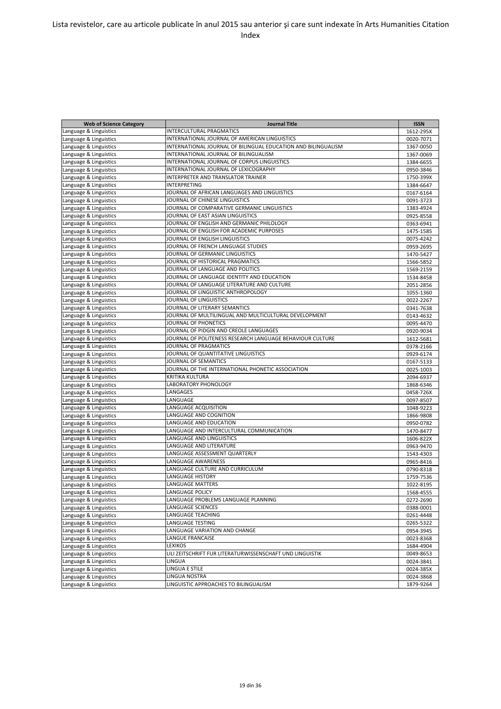| <b>Web of Science Category</b> | <b>Journal Title</b>                                          | <b>ISSN</b> |
|--------------------------------|---------------------------------------------------------------|-------------|
| Language & Linguistics         | <b>INTERCULTURAL PRAGMATICS</b>                               | 1612-295X   |
| Language & Linguistics         | INTERNATIONAL JOURNAL OF AMERICAN LINGUISTICS                 | 0020-7071   |
|                                | INTERNATIONAL JOURNAL OF BILINGUAL EDUCATION AND BILINGUALISM |             |
| Language & Linguistics         | INTERNATIONAL JOURNAL OF BILINGUALISM                         | 1367-0050   |
| Language & Linguistics         | INTERNATIONAL JOURNAL OF CORPUS LINGUISTICS                   | 1367-0069   |
| Language & Linguistics         |                                                               | 1384-6655   |
| Language & Linguistics         | INTERNATIONAL JOURNAL OF LEXICOGRAPHY                         | 0950-3846   |
| Language & Linguistics         | INTERPRETER AND TRANSLATOR TRAINER                            | 1750-399X   |
| Language & Linguistics         | INTERPRETING                                                  | 1384-6647   |
| Language & Linguistics         | JOURNAL OF AFRICAN LANGUAGES AND LINGUISTICS                  | 0167-6164   |
| Language & Linguistics         | JOURNAL OF CHINESE LINGUISTICS                                | 0091-3723   |
| Language & Linguistics         | JOURNAL OF COMPARATIVE GERMANIC LINGUISTICS                   | 1383-4924   |
| Language & Linguistics         | JOURNAL OF EAST ASIAN LINGUISTICS                             | 0925-8558   |
| Language & Linguistics         | JOURNAL OF ENGLISH AND GERMANIC PHILOLOGY                     | 0363-6941   |
| Language & Linguistics         | JOURNAL OF ENGLISH FOR ACADEMIC PURPOSES                      | 1475-1585   |
| Language & Linguistics         | JOURNAL OF ENGLISH LINGUISTICS                                | 0075-4242   |
| Language & Linguistics         | JOURNAL OF FRENCH LANGUAGE STUDIES                            | 0959-2695   |
| Language & Linguistics         | JOURNAL OF GERMANIC LINGUISTICS                               | 1470-5427   |
| Language & Linguistics         | JOURNAL OF HISTORICAL PRAGMATICS                              | 1566-5852   |
| Language & Linguistics         | JOURNAL OF LANGUAGE AND POLITICS                              | 1569-2159   |
| Language & Linguistics         | JOURNAL OF LANGUAGE IDENTITY AND EDUCATION                    | 1534-8458   |
| Language & Linguistics         | JOURNAL OF LANGUAGE LITERATURE AND CULTURE                    | 2051-2856   |
| Language & Linguistics         | JOURNAL OF LINGUISTIC ANTHROPOLOGY                            | 1055-1360   |
| Language & Linguistics         | JOURNAL OF LINGUISTICS                                        | 0022-2267   |
| Language & Linguistics         | JOURNAL OF LITERARY SEMANTICS                                 | 0341-7638   |
| Language & Linguistics         | JOURNAL OF MULTILINGUAL AND MULTICULTURAL DEVELOPMENT         | 0143-4632   |
| Language & Linguistics         | JOURNAL OF PHONETICS                                          | 0095-4470   |
| Language & Linguistics         | JOURNAL OF PIDGIN AND CREOLE LANGUAGES                        | 0920-9034   |
| Language & Linguistics         | JOURNAL OF POLITENESS RESEARCH LANGUAGE BEHAVIOUR CULTURE     | 1612-5681   |
| Language & Linguistics         | JOURNAL OF PRAGMATICS                                         | 0378-2166   |
| Language & Linguistics         | JOURNAL OF QUANTITATIVE LINGUISTICS                           | 0929-6174   |
| Language & Linguistics         | JOURNAL OF SEMANTICS                                          | 0167-5133   |
| Language & Linguistics         | JOURNAL OF THE INTERNATIONAL PHONETIC ASSOCIATION             | 0025-1003   |
| Language & Linguistics         | KRITIKA KULTURA                                               | 2094-6937   |
| Language & Linguistics         | LABORATORY PHONOLOGY                                          | 1868-6346   |
| Language & Linguistics         | LANGAGES                                                      | 0458-726X   |
| Language & Linguistics         | LANGUAGE                                                      | 0097-8507   |
| Language & Linguistics         | LANGUAGE ACQUISITION                                          | 1048-9223   |
| Language & Linguistics         | LANGUAGE AND COGNITION                                        | 1866-9808   |
| Language & Linguistics         | LANGUAGE AND EDUCATION                                        | 0950-0782   |
| Language & Linguistics         | LANGUAGE AND INTERCULTURAL COMMUNICATION                      | 1470-8477   |
| Language & Linguistics         | LANGUAGE AND LINGUISTICS                                      | 1606-822X   |
| Language & Linguistics         | LANGUAGE AND LITERATURE                                       | 0963-9470   |
| Language & Linguistics         | LANGUAGE ASSESSMENT QUARTERLY                                 |             |
| Language & Linguistics         | LANGUAGE AWARENESS                                            | 1543-4303   |
| Language & Linguistics         | LANGUAGE CULTURE AND CURRICULUM                               | 0965-8416   |
|                                | LANGUAGE HISTORY                                              | 0790-8318   |
| Language & Linguistics         | <b>LANGUAGE MATTERS</b>                                       | 1759-7536   |
| Language & Linguistics         |                                                               | 1022-8195   |
| Language & Linguistics         | LANGUAGE POLICY                                               | 1568-4555   |
| Language & Linguistics         | LANGUAGE PROBLEMS LANGUAGE PLANNING                           | 0272-2690   |
| Language & Linguistics         | LANGUAGE SCIENCES                                             | 0388-0001   |
| Language & Linguistics         | LANGUAGE TEACHING                                             | 0261-4448   |
| Language & Linguistics         | LANGUAGE TESTING                                              | 0265-5322   |
| Language & Linguistics         | LANGUAGE VARIATION AND CHANGE                                 | 0954-3945   |
| Language & Linguistics         | LANGUE FRANCAISE                                              | 0023-8368   |
| Language & Linguistics         | LEXIKOS                                                       | 1684-4904   |
| Language & Linguistics         | LILI ZEITSCHRIFT FUR LITERATURWISSENSCHAFT UND LINGUISTIK     | 0049-8653   |
| Language & Linguistics         | LINGUA                                                        | 0024-3841   |
| Language & Linguistics         | LINGUA E STILE                                                | 0024-385X   |
| Language & Linguistics         | LINGUA NOSTRA                                                 | 0024-3868   |
| Language & Linguistics         | LINGUISTIC APPROACHES TO BILINGUALISM                         | 1879-9264   |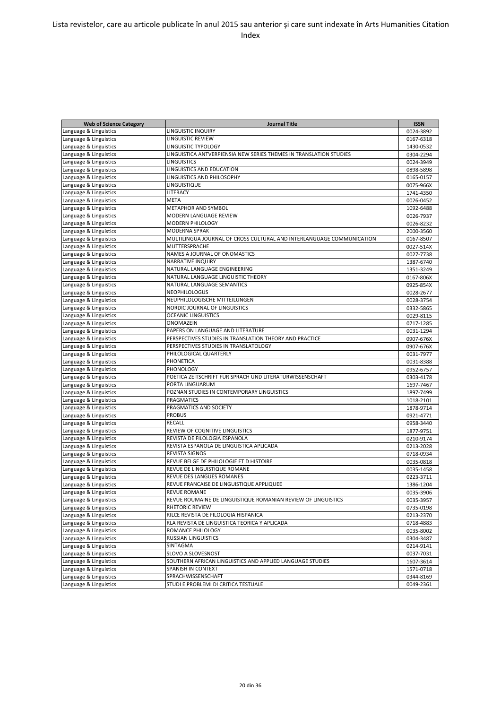| <b>Web of Science Category</b> | <b>Journal Title</b>                                                  | <b>ISSN</b> |
|--------------------------------|-----------------------------------------------------------------------|-------------|
| Language & Linguistics         | LINGUISTIC INQUIRY                                                    | 0024-3892   |
| Language & Linguistics         | LINGUISTIC REVIEW                                                     | 0167-6318   |
| Language & Linguistics         | LINGUISTIC TYPOLOGY                                                   | 1430-0532   |
| Language & Linguistics         | LINGUISTICA ANTVERPIENSIA NEW SERIES THEMES IN TRANSLATION STUDIES    | 0304-2294   |
| Language & Linguistics         | <b>LINGUISTICS</b>                                                    | 0024-3949   |
| Language & Linguistics         | LINGUISTICS AND EDUCATION                                             | 0898-5898   |
| Language & Linguistics         | LINGUISTICS AND PHILOSOPHY                                            | 0165-0157   |
| Language & Linguistics         | LINGUISTIQUE                                                          | 0075-966X   |
| Language & Linguistics         | LITERACY                                                              | 1741-4350   |
| Language & Linguistics         | <b>META</b>                                                           | 0026-0452   |
| Language & Linguistics         | METAPHOR AND SYMBOL                                                   | 1092-6488   |
| Language & Linguistics         | MODERN LANGUAGE REVIEW                                                | 0026-7937   |
| Language & Linguistics         | MODERN PHILOLOGY                                                      | 0026-8232   |
| Language & Linguistics         | <b>MODERNA SPRAK</b>                                                  | 2000-3560   |
| Language & Linguistics         | MULTILINGUA JOURNAL OF CROSS CULTURAL AND INTERLANGUAGE COMMUNICATION | 0167-8507   |
| Language & Linguistics         | MUTTERSPRACHE                                                         | 0027-514X   |
| Language & Linguistics         | NAMES A JOURNAL OF ONOMASTICS                                         | 0027-7738   |
| Language & Linguistics         | <b>NARRATIVE INQUIRY</b>                                              | 1387-6740   |
| Language & Linguistics         | NATURAL LANGUAGE ENGINEERING                                          | 1351-3249   |
| Language & Linguistics         | NATURAL LANGUAGE LINGUISTIC THEORY                                    | 0167-806X   |
| Language & Linguistics         | NATURAL LANGUAGE SEMANTICS                                            | 0925-854X   |
| Language & Linguistics         | <b>NEOPHILOLOGUS</b>                                                  | 0028-2677   |
| Language & Linguistics         | NEUPHILOLOGISCHE MITTEILUNGEN                                         | 0028-3754   |
| Language & Linguistics         | NORDIC JOURNAL OF LINGUISTICS                                         | 0332-5865   |
| Language & Linguistics         | <b>OCEANIC LINGUISTICS</b>                                            | 0029-8115   |
| Language & Linguistics         | ONOMAZEIN                                                             | 0717-1285   |
| Language & Linguistics         | PAPERS ON LANGUAGE AND LITERATURE                                     | 0031-1294   |
| Language & Linguistics         | PERSPECTIVES STUDIES IN TRANSLATION THEORY AND PRACTICE               | 0907-676X   |
| Language & Linguistics         | PERSPECTIVES STUDIES IN TRANSLATOLOGY                                 | 0907-676X   |
| Language & Linguistics         | PHILOLOGICAL QUARTERLY                                                | 0031-7977   |
| Language & Linguistics         | PHONETICA                                                             | 0031-8388   |
| Language & Linguistics         | PHONOLOGY                                                             | 0952-6757   |
| Language & Linguistics         | POETICA ZEITSCHRIFT FUR SPRACH UND LITERATURWISSENSCHAFT              | 0303-4178   |
| Language & Linguistics         | PORTA LINGUARUM                                                       | 1697-7467   |
| Language & Linguistics         | POZNAN STUDIES IN CONTEMPORARY LINGUISTICS                            | 1897-7499   |
| Language & Linguistics         | <b>PRAGMATICS</b>                                                     | 1018-2101   |
| Language & Linguistics         | PRAGMATICS AND SOCIETY                                                | 1878-9714   |
| Language & Linguistics         | <b>PROBUS</b>                                                         | 0921-4771   |
| Language & Linguistics         | <b>RECALL</b>                                                         | 0958-3440   |
| Language & Linguistics         | REVIEW OF COGNITIVE LINGUISTICS                                       | 1877-9751   |
| Language & Linguistics         | REVISTA DE FILOLOGIA ESPANOLA                                         | 0210-9174   |
| Language & Linguistics         | REVISTA ESPANOLA DE LINGUISTICA APLICADA                              | 0213-2028   |
| Language & Linguistics         | <b>REVISTA SIGNOS</b>                                                 | 0718-0934   |
| Language & Linguistics         | REVUE BELGE DE PHILOLOGIE ET D HISTOIRE                               | 0035-0818   |
| Language & Linguistics         | REVUE DE LINGUISTIQUE ROMANE                                          | 0035-1458   |
| Language & Linguistics         | REVUE DES LANGUES ROMANES                                             | 0223-3711   |
| Language & Linguistics         | REVUE FRANCAISE DE LINGUISTIQUE APPLIQUEE                             | 1386-1204   |
| Language & Linguistics         | <b>REVUE ROMANE</b>                                                   | 0035-3906   |
| Language & Linguistics         | REVUE ROUMAINE DE LINGUISTIQUE ROMANIAN REVIEW OF LINGUISTICS         | 0035-3957   |
| Language & Linguistics         | RHETORIC REVIEW                                                       | 0735-0198   |
| Language & Linguistics         | RILCE REVISTA DE FILOLOGIA HISPANICA                                  | 0213-2370   |
| Language & Linguistics         | RLA REVISTA DE LINGUISTICA TEORICA Y APLICADA                         | 0718-4883   |
| Language & Linguistics         | ROMANCE PHILOLOGY                                                     | 0035-8002   |
| Language & Linguistics         | RUSSIAN LINGUISTICS                                                   | 0304-3487   |
| Language & Linguistics         | SINTAGMA                                                              | 0214-9141   |
| Language & Linguistics         | SLOVO A SLOVESNOST                                                    | 0037-7031   |
| Language & Linguistics         | SOUTHERN AFRICAN LINGUISTICS AND APPLIED LANGUAGE STUDIES             | 1607-3614   |
| Language & Linguistics         | SPANISH IN CONTEXT                                                    | 1571-0718   |
| Language & Linguistics         | SPRACHWISSENSCHAFT                                                    | 0344-8169   |
| Language & Linguistics         | STUDI E PROBLEMI DI CRITICA TESTUALE                                  | 0049-2361   |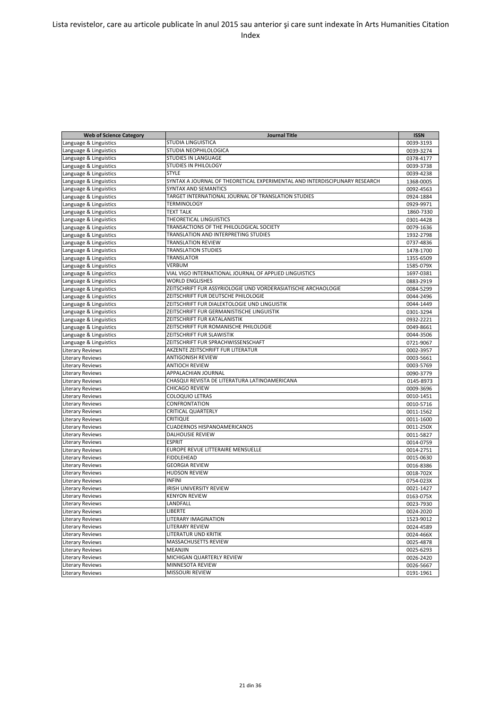| <b>Web of Science Category</b> | <b>Journal Title</b>                                                        | <b>ISSN</b> |
|--------------------------------|-----------------------------------------------------------------------------|-------------|
| Language & Linguistics         | <b>STUDIA LINGUISTICA</b>                                                   | 0039-3193   |
| Language & Linguistics         | STUDIA NEOPHILOLOGICA                                                       | 0039-3274   |
| Language & Linguistics         | <b>STUDIES IN LANGUAGE</b>                                                  | 0378-4177   |
| Language & Linguistics         | <b>STUDIES IN PHILOLOGY</b>                                                 | 0039-3738   |
| Language & Linguistics         | <b>STYLE</b>                                                                | 0039-4238   |
| Language & Linguistics         | SYNTAX A JOURNAL OF THEORETICAL EXPERIMENTAL AND INTERDISCIPLINARY RESEARCH | 1368-0005   |
| Language & Linguistics         | <b>SYNTAX AND SEMANTICS</b>                                                 | 0092-4563   |
| Language & Linguistics         | TARGET INTERNATIONAL JOURNAL OF TRANSLATION STUDIES                         | 0924-1884   |
| Language & Linguistics         | <b>TERMINOLOGY</b>                                                          | 0929-9971   |
| Language & Linguistics         | <b>TEXT TALK</b>                                                            | 1860-7330   |
| Language & Linguistics         | THEORETICAL LINGUISTICS                                                     | 0301-4428   |
| Language & Linguistics         | TRANSACTIONS OF THE PHILOLOGICAL SOCIETY                                    | 0079-1636   |
| Language & Linguistics         | TRANSLATION AND INTERPRETING STUDIES                                        | 1932-2798   |
| Language & Linguistics         | <b>TRANSLATION REVIEW</b>                                                   | 0737-4836   |
| Language & Linguistics         | <b>TRANSLATION STUDIES</b>                                                  | 1478-1700   |
| Language & Linguistics         | <b>TRANSLATOR</b>                                                           | 1355-6509   |
| Language & Linguistics         | VERBUM                                                                      | 1585-079X   |
| Language & Linguistics         | VIAL VIGO INTERNATIONAL JOURNAL OF APPLIED LINGUISTICS                      | 1697-0381   |
| Language & Linguistics         | <b>WORLD ENGLISHES</b>                                                      | 0883-2919   |
| Language & Linguistics         | ZEITSCHRIFT FUR ASSYRIOLOGIE UND VORDERASIATISCHE ARCHAOLOGIE               | 0084-5299   |
| Language & Linguistics         | ZEITSCHRIFT FUR DEUTSCHE PHILOLOGIE                                         | 0044-2496   |
| Language & Linguistics         | ZEITSCHRIFT FUR DIALEKTOLOGIE UND LINGUISTIK                                | 0044-1449   |
| Language & Linguistics         | ZEITSCHRIFT FUR GERMANISTISCHE LINGUISTIK                                   | 0301-3294   |
| Language & Linguistics         | ZEITSCHRIFT FUR KATALANISTIK                                                | 0932-2221   |
| Language & Linguistics         | ZEITSCHRIFT FUR ROMANISCHE PHILOLOGIE                                       | 0049-8661   |
| Language & Linguistics         | ZEITSCHRIFT FUR SLAWISTIK                                                   | 0044-3506   |
| Language & Linguistics         | ZEITSCHRIFT FUR SPRACHWISSENSCHAFT                                          | 0721-9067   |
| <b>Literary Reviews</b>        | AKZENTE ZEITSCHRIFT FUR LITERATUR                                           | 0002-3957   |
| <b>Literary Reviews</b>        | <b>ANTIGONISH REVIEW</b>                                                    | 0003-5661   |
| Literary Reviews               | <b>ANTIOCH REVIEW</b>                                                       | 0003-5769   |
| <b>Literary Reviews</b>        | APPALACHIAN JOURNAL                                                         | 0090-3779   |
| <b>Literary Reviews</b>        | CHASQUI REVISTA DE LITERATURA LATINOAMERICANA                               | 0145-8973   |
| <b>Literary Reviews</b>        | <b>CHICAGO REVIEW</b>                                                       | 0009-3696   |
| <b>Literary Reviews</b>        | <b>COLOQUIO LETRAS</b>                                                      | 0010-1451   |
| <b>Literary Reviews</b>        | CONFRONTATION                                                               | 0010-5716   |
| <b>Literary Reviews</b>        | <b>CRITICAL QUARTERLY</b>                                                   | 0011-1562   |
| <b>Literary Reviews</b>        | <b>CRITIQUE</b>                                                             | 0011-1600   |
| <b>Literary Reviews</b>        | <b>CUADERNOS HISPANOAMERICANOS</b>                                          | 0011-250X   |
| <b>Literary Reviews</b>        | <b>DALHOUSIE REVIEW</b>                                                     | 0011-5827   |
| <b>Literary Reviews</b>        | <b>ESPRIT</b>                                                               | 0014-0759   |
| <b>Literary Reviews</b>        | EUROPE REVUE LITTERAIRE MENSUELLE                                           | 0014-2751   |
| <b>Literary Reviews</b>        | <b>FIDDLEHEAD</b>                                                           | 0015-0630   |
| <b>Literary Reviews</b>        | <b>GEORGIA REVIEW</b>                                                       | 0016-8386   |
| <b>Literary Reviews</b>        | <b>HUDSON REVIEW</b>                                                        | 0018-702X   |
| <b>Literary Reviews</b>        | <b>INFINI</b>                                                               | 0754-023X   |
| <b>Literary Reviews</b>        | IRISH UNIVERSITY REVIEW                                                     | 0021-1427   |
| <b>Literary Reviews</b>        | <b>KENYON REVIEW</b>                                                        | 0163-075X   |
| <b>Literary Reviews</b>        | LANDFALL                                                                    | 0023-7930   |
| <b>Literary Reviews</b>        | <b>LIBERTE</b>                                                              | 0024-2020   |
| <b>Literary Reviews</b>        | LITERARY IMAGINATION                                                        | 1523-9012   |
| <b>Literary Reviews</b>        | LITERARY REVIEW                                                             | 0024-4589   |
| <b>Literary Reviews</b>        | LITERATUR UND KRITIK                                                        | 0024-466X   |
| <b>Literary Reviews</b>        | <b>MASSACHUSETTS REVIEW</b>                                                 | 0025-4878   |
| <b>Literary Reviews</b>        | <b>MEANJIN</b>                                                              | 0025-6293   |
| <b>Literary Reviews</b>        | MICHIGAN QUARTERLY REVIEW                                                   | 0026-2420   |
| <b>Literary Reviews</b>        | MINNESOTA REVIEW                                                            | 0026-5667   |
| <b>Literary Reviews</b>        | <b>MISSOURI REVIEW</b>                                                      | 0191-1961   |
|                                |                                                                             |             |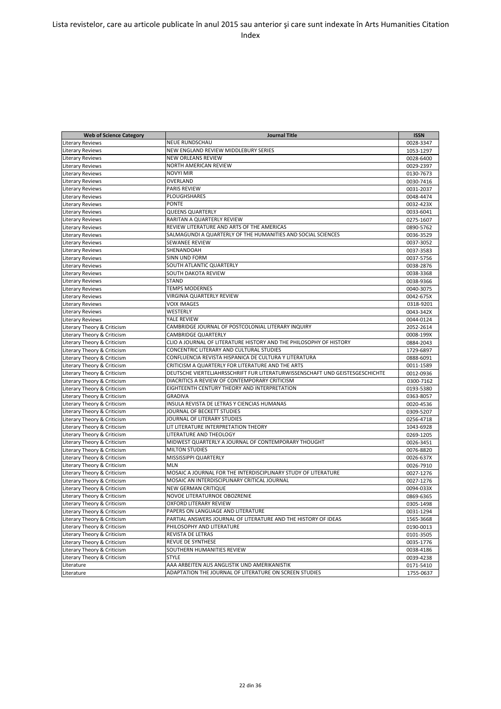| NEUE RUNDSCHAU<br><b>Literary Reviews</b><br>0028-3347<br>NEW ENGLAND REVIEW MIDDLEBURY SERIES<br><b>Literary Reviews</b><br>1053-1297<br><b>Literary Reviews</b><br><b>NEW ORLEANS REVIEW</b><br>0028-6400<br>NORTH AMERICAN REVIEW<br><b>Literary Reviews</b><br>0029-2397<br><b>NOVYI MIR</b><br><b>Literary Reviews</b><br>0130-7673<br><b>Literary Reviews</b><br>OVERLAND<br>0030-7416<br><b>PARIS REVIEW</b><br><b>Literary Reviews</b><br>0031-2037<br>PLOUGHSHARES<br><b>Literary Reviews</b><br>0048-4474<br><b>PONTE</b><br><b>Literary Reviews</b><br>0032-423X<br><b>QUEENS QUARTERLY</b><br><b>Literary Reviews</b><br>0033-6041<br>RARITAN A QUARTERLY REVIEW<br><b>Literary Reviews</b><br>0275-1607<br>REVIEW LITERATURE AND ARTS OF THE AMERICAS<br><b>Literary Reviews</b><br>0890-5762<br>SALMAGUNDI A QUARTERLY OF THE HUMANITIES AND SOCIAL SCIENCES<br><b>Literary Reviews</b><br>0036-3529<br><b>SEWANEE REVIEW</b><br><b>Literary Reviews</b><br>0037-3052<br><b>Literary Reviews</b><br>SHENANDOAH<br>0037-3583<br><b>SINN UND FORM</b><br><b>Literary Reviews</b><br>0037-5756<br>SOUTH ATLANTIC QUARTERLY<br><b>Literary Reviews</b><br>0038-2876<br>SOUTH DAKOTA REVIEW<br><b>Literary Reviews</b><br>0038-3368<br><b>STAND</b><br><b>Literary Reviews</b><br>0038-9366<br><b>TEMPS MODERNES</b><br><b>Literary Reviews</b><br>0040-3075<br>VIRGINIA QUARTERLY REVIEW<br><b>Literary Reviews</b><br>0042-675X<br><b>VOIX IMAGES</b><br><b>Literary Reviews</b><br>0318-9201<br>WESTERLY<br><b>Literary Reviews</b><br>0043-342X<br><b>Literary Reviews</b><br>YALE REVIEW<br>0044-0124<br>CAMBRIDGE JOURNAL OF POSTCOLONIAL LITERARY INQUIRY<br>Literary Theory & Criticism<br>2052-2614<br><b>CAMBRIDGE QUARTERLY</b><br>Literary Theory & Criticism<br>0008-199X<br>Literary Theory & Criticism<br>CLIO A JOURNAL OF LITERATURE HISTORY AND THE PHILOSOPHY OF HISTORY<br>0884-2043<br><b>CONCENTRIC LITERARY AND CULTURAL STUDIES</b><br>Literary Theory & Criticism<br>1729-6897<br>CONFLUENCIA REVISTA HISPANICA DE CULTURA Y LITERATURA<br>Literary Theory & Criticism<br>0888-6091<br>Literary Theory & Criticism<br>CRITICISM A QUARTERLY FOR LITERATURE AND THE ARTS<br>0011-1589<br>DEUTSCHE VIERTELJAHRSSCHRIFT FUR LITERATURWISSENSCHAFT UND GEISTESGESCHICHTE<br>Literary Theory & Criticism<br>0012-0936<br>DIACRITICS A REVIEW OF CONTEMPORARY CRITICISM<br>Literary Theory & Criticism<br>0300-7162<br>Literary Theory & Criticism<br>EIGHTEENTH CENTURY THEORY AND INTERPRETATION<br>0193-5380<br>Literary Theory & Criticism<br><b>GRADIVA</b><br>0363-8057<br>INSULA REVISTA DE LETRAS Y CIENCIAS HUMANAS<br>Literary Theory & Criticism<br>0020-4536<br>JOURNAL OF BECKETT STUDIES<br>Literary Theory & Criticism<br>0309-5207<br>Literary Theory & Criticism<br>JOURNAL OF LITERARY STUDIES<br>0256-4718<br>LIT LITERATURE INTERPRETATION THEORY<br>Literary Theory & Criticism<br>1043-6928<br>LITERATURE AND THEOLOGY<br>Literary Theory & Criticism<br>0269-1205<br>Literary Theory & Criticism<br>MIDWEST QUARTERLY A JOURNAL OF CONTEMPORARY THOUGHT<br>0026-3451<br><b>MILTON STUDIES</b><br>Literary Theory & Criticism<br>0076-8820<br>Literary Theory & Criticism<br>MISSISSIPPI QUARTERLY<br>0026-637X<br>Literary Theory & Criticism<br><b>MLN</b><br>0026-7910<br>Literary Theory & Criticism<br>MOSAIC A JOURNAL FOR THE INTERDISCIPLINARY STUDY OF LITERATURE<br>0027-1276<br>Literary Theory & Criticism<br>MOSAIC AN INTERDISCIPLINARY CRITICAL JOURNAL<br>0027-1276<br>Literary Theory & Criticism<br><b>NEW GERMAN CRITIQUE</b><br>0094-033X<br>NOVOE LITERATURNOE OBOZRENIE<br>Literary Theory & Criticism<br>0869-6365<br>OXFORD LITERARY REVIEW<br>Literary Theory & Criticism<br>0305-1498<br>Literary Theory & Criticism<br>PAPERS ON LANGUAGE AND LITERATURE<br>0031-1294<br>Literary Theory & Criticism<br>PARTIAL ANSWERS JOURNAL OF LITERATURE AND THE HISTORY OF IDEAS<br>1565-3668<br>Literary Theory & Criticism<br>PHILOSOPHY AND LITERATURE<br>0190-0013<br>Literary Theory & Criticism<br>REVISTA DE LETRAS<br>0101-3505<br>REVUE DE SYNTHESE<br>Literary Theory & Criticism<br>0035-1776<br>SOUTHERN HUMANITIES REVIEW<br>Literary Theory & Criticism<br>0038-4186<br>Literary Theory & Criticism<br><b>STYLE</b><br>0039-4238<br>Literature<br>AAA ARBEITEN AUS ANGLISTIK UND AMERIKANISTIK<br>0171-5410<br>ADAPTATION THE JOURNAL OF LITERATURE ON SCREEN STUDIES<br>Literature<br>1755-0637 | <b>Web of Science Category</b> | Journal Title | <b>ISSN</b> |
|-----------------------------------------------------------------------------------------------------------------------------------------------------------------------------------------------------------------------------------------------------------------------------------------------------------------------------------------------------------------------------------------------------------------------------------------------------------------------------------------------------------------------------------------------------------------------------------------------------------------------------------------------------------------------------------------------------------------------------------------------------------------------------------------------------------------------------------------------------------------------------------------------------------------------------------------------------------------------------------------------------------------------------------------------------------------------------------------------------------------------------------------------------------------------------------------------------------------------------------------------------------------------------------------------------------------------------------------------------------------------------------------------------------------------------------------------------------------------------------------------------------------------------------------------------------------------------------------------------------------------------------------------------------------------------------------------------------------------------------------------------------------------------------------------------------------------------------------------------------------------------------------------------------------------------------------------------------------------------------------------------------------------------------------------------------------------------------------------------------------------------------------------------------------------------------------------------------------------------------------------------------------------------------------------------------------------------------------------------------------------------------------------------------------------------------------------------------------------------------------------------------------------------------------------------------------------------------------------------------------------------------------------------------------------------------------------------------------------------------------------------------------------------------------------------------------------------------------------------------------------------------------------------------------------------------------------------------------------------------------------------------------------------------------------------------------------------------------------------------------------------------------------------------------------------------------------------------------------------------------------------------------------------------------------------------------------------------------------------------------------------------------------------------------------------------------------------------------------------------------------------------------------------------------------------------------------------------------------------------------------------------------------------------------------------------------------------------------------------------------------------------------------------------------------------------------------------------------------------------------------------------------------------------------------------------------------------------------------------------------------------------------------------------------------------------------------------------------------------------------------------------------------------------------------------------------------------------------------------------------------------------------------------------------------------------------------------------------------------------------------------------------------------------------------------------------------------------------------------------|--------------------------------|---------------|-------------|
|                                                                                                                                                                                                                                                                                                                                                                                                                                                                                                                                                                                                                                                                                                                                                                                                                                                                                                                                                                                                                                                                                                                                                                                                                                                                                                                                                                                                                                                                                                                                                                                                                                                                                                                                                                                                                                                                                                                                                                                                                                                                                                                                                                                                                                                                                                                                                                                                                                                                                                                                                                                                                                                                                                                                                                                                                                                                                                                                                                                                                                                                                                                                                                                                                                                                                                                                                                                                                                                                                                                                                                                                                                                                                                                                                                                                                                                                                                                                                                                                                                                                                                                                                                                                                                                                                                                                                                                                                                                                                   |                                |               |             |
|                                                                                                                                                                                                                                                                                                                                                                                                                                                                                                                                                                                                                                                                                                                                                                                                                                                                                                                                                                                                                                                                                                                                                                                                                                                                                                                                                                                                                                                                                                                                                                                                                                                                                                                                                                                                                                                                                                                                                                                                                                                                                                                                                                                                                                                                                                                                                                                                                                                                                                                                                                                                                                                                                                                                                                                                                                                                                                                                                                                                                                                                                                                                                                                                                                                                                                                                                                                                                                                                                                                                                                                                                                                                                                                                                                                                                                                                                                                                                                                                                                                                                                                                                                                                                                                                                                                                                                                                                                                                                   |                                |               |             |
|                                                                                                                                                                                                                                                                                                                                                                                                                                                                                                                                                                                                                                                                                                                                                                                                                                                                                                                                                                                                                                                                                                                                                                                                                                                                                                                                                                                                                                                                                                                                                                                                                                                                                                                                                                                                                                                                                                                                                                                                                                                                                                                                                                                                                                                                                                                                                                                                                                                                                                                                                                                                                                                                                                                                                                                                                                                                                                                                                                                                                                                                                                                                                                                                                                                                                                                                                                                                                                                                                                                                                                                                                                                                                                                                                                                                                                                                                                                                                                                                                                                                                                                                                                                                                                                                                                                                                                                                                                                                                   |                                |               |             |
|                                                                                                                                                                                                                                                                                                                                                                                                                                                                                                                                                                                                                                                                                                                                                                                                                                                                                                                                                                                                                                                                                                                                                                                                                                                                                                                                                                                                                                                                                                                                                                                                                                                                                                                                                                                                                                                                                                                                                                                                                                                                                                                                                                                                                                                                                                                                                                                                                                                                                                                                                                                                                                                                                                                                                                                                                                                                                                                                                                                                                                                                                                                                                                                                                                                                                                                                                                                                                                                                                                                                                                                                                                                                                                                                                                                                                                                                                                                                                                                                                                                                                                                                                                                                                                                                                                                                                                                                                                                                                   |                                |               |             |
|                                                                                                                                                                                                                                                                                                                                                                                                                                                                                                                                                                                                                                                                                                                                                                                                                                                                                                                                                                                                                                                                                                                                                                                                                                                                                                                                                                                                                                                                                                                                                                                                                                                                                                                                                                                                                                                                                                                                                                                                                                                                                                                                                                                                                                                                                                                                                                                                                                                                                                                                                                                                                                                                                                                                                                                                                                                                                                                                                                                                                                                                                                                                                                                                                                                                                                                                                                                                                                                                                                                                                                                                                                                                                                                                                                                                                                                                                                                                                                                                                                                                                                                                                                                                                                                                                                                                                                                                                                                                                   |                                |               |             |
|                                                                                                                                                                                                                                                                                                                                                                                                                                                                                                                                                                                                                                                                                                                                                                                                                                                                                                                                                                                                                                                                                                                                                                                                                                                                                                                                                                                                                                                                                                                                                                                                                                                                                                                                                                                                                                                                                                                                                                                                                                                                                                                                                                                                                                                                                                                                                                                                                                                                                                                                                                                                                                                                                                                                                                                                                                                                                                                                                                                                                                                                                                                                                                                                                                                                                                                                                                                                                                                                                                                                                                                                                                                                                                                                                                                                                                                                                                                                                                                                                                                                                                                                                                                                                                                                                                                                                                                                                                                                                   |                                |               |             |
|                                                                                                                                                                                                                                                                                                                                                                                                                                                                                                                                                                                                                                                                                                                                                                                                                                                                                                                                                                                                                                                                                                                                                                                                                                                                                                                                                                                                                                                                                                                                                                                                                                                                                                                                                                                                                                                                                                                                                                                                                                                                                                                                                                                                                                                                                                                                                                                                                                                                                                                                                                                                                                                                                                                                                                                                                                                                                                                                                                                                                                                                                                                                                                                                                                                                                                                                                                                                                                                                                                                                                                                                                                                                                                                                                                                                                                                                                                                                                                                                                                                                                                                                                                                                                                                                                                                                                                                                                                                                                   |                                |               |             |
|                                                                                                                                                                                                                                                                                                                                                                                                                                                                                                                                                                                                                                                                                                                                                                                                                                                                                                                                                                                                                                                                                                                                                                                                                                                                                                                                                                                                                                                                                                                                                                                                                                                                                                                                                                                                                                                                                                                                                                                                                                                                                                                                                                                                                                                                                                                                                                                                                                                                                                                                                                                                                                                                                                                                                                                                                                                                                                                                                                                                                                                                                                                                                                                                                                                                                                                                                                                                                                                                                                                                                                                                                                                                                                                                                                                                                                                                                                                                                                                                                                                                                                                                                                                                                                                                                                                                                                                                                                                                                   |                                |               |             |
|                                                                                                                                                                                                                                                                                                                                                                                                                                                                                                                                                                                                                                                                                                                                                                                                                                                                                                                                                                                                                                                                                                                                                                                                                                                                                                                                                                                                                                                                                                                                                                                                                                                                                                                                                                                                                                                                                                                                                                                                                                                                                                                                                                                                                                                                                                                                                                                                                                                                                                                                                                                                                                                                                                                                                                                                                                                                                                                                                                                                                                                                                                                                                                                                                                                                                                                                                                                                                                                                                                                                                                                                                                                                                                                                                                                                                                                                                                                                                                                                                                                                                                                                                                                                                                                                                                                                                                                                                                                                                   |                                |               |             |
|                                                                                                                                                                                                                                                                                                                                                                                                                                                                                                                                                                                                                                                                                                                                                                                                                                                                                                                                                                                                                                                                                                                                                                                                                                                                                                                                                                                                                                                                                                                                                                                                                                                                                                                                                                                                                                                                                                                                                                                                                                                                                                                                                                                                                                                                                                                                                                                                                                                                                                                                                                                                                                                                                                                                                                                                                                                                                                                                                                                                                                                                                                                                                                                                                                                                                                                                                                                                                                                                                                                                                                                                                                                                                                                                                                                                                                                                                                                                                                                                                                                                                                                                                                                                                                                                                                                                                                                                                                                                                   |                                |               |             |
|                                                                                                                                                                                                                                                                                                                                                                                                                                                                                                                                                                                                                                                                                                                                                                                                                                                                                                                                                                                                                                                                                                                                                                                                                                                                                                                                                                                                                                                                                                                                                                                                                                                                                                                                                                                                                                                                                                                                                                                                                                                                                                                                                                                                                                                                                                                                                                                                                                                                                                                                                                                                                                                                                                                                                                                                                                                                                                                                                                                                                                                                                                                                                                                                                                                                                                                                                                                                                                                                                                                                                                                                                                                                                                                                                                                                                                                                                                                                                                                                                                                                                                                                                                                                                                                                                                                                                                                                                                                                                   |                                |               |             |
|                                                                                                                                                                                                                                                                                                                                                                                                                                                                                                                                                                                                                                                                                                                                                                                                                                                                                                                                                                                                                                                                                                                                                                                                                                                                                                                                                                                                                                                                                                                                                                                                                                                                                                                                                                                                                                                                                                                                                                                                                                                                                                                                                                                                                                                                                                                                                                                                                                                                                                                                                                                                                                                                                                                                                                                                                                                                                                                                                                                                                                                                                                                                                                                                                                                                                                                                                                                                                                                                                                                                                                                                                                                                                                                                                                                                                                                                                                                                                                                                                                                                                                                                                                                                                                                                                                                                                                                                                                                                                   |                                |               |             |
|                                                                                                                                                                                                                                                                                                                                                                                                                                                                                                                                                                                                                                                                                                                                                                                                                                                                                                                                                                                                                                                                                                                                                                                                                                                                                                                                                                                                                                                                                                                                                                                                                                                                                                                                                                                                                                                                                                                                                                                                                                                                                                                                                                                                                                                                                                                                                                                                                                                                                                                                                                                                                                                                                                                                                                                                                                                                                                                                                                                                                                                                                                                                                                                                                                                                                                                                                                                                                                                                                                                                                                                                                                                                                                                                                                                                                                                                                                                                                                                                                                                                                                                                                                                                                                                                                                                                                                                                                                                                                   |                                |               |             |
|                                                                                                                                                                                                                                                                                                                                                                                                                                                                                                                                                                                                                                                                                                                                                                                                                                                                                                                                                                                                                                                                                                                                                                                                                                                                                                                                                                                                                                                                                                                                                                                                                                                                                                                                                                                                                                                                                                                                                                                                                                                                                                                                                                                                                                                                                                                                                                                                                                                                                                                                                                                                                                                                                                                                                                                                                                                                                                                                                                                                                                                                                                                                                                                                                                                                                                                                                                                                                                                                                                                                                                                                                                                                                                                                                                                                                                                                                                                                                                                                                                                                                                                                                                                                                                                                                                                                                                                                                                                                                   |                                |               |             |
|                                                                                                                                                                                                                                                                                                                                                                                                                                                                                                                                                                                                                                                                                                                                                                                                                                                                                                                                                                                                                                                                                                                                                                                                                                                                                                                                                                                                                                                                                                                                                                                                                                                                                                                                                                                                                                                                                                                                                                                                                                                                                                                                                                                                                                                                                                                                                                                                                                                                                                                                                                                                                                                                                                                                                                                                                                                                                                                                                                                                                                                                                                                                                                                                                                                                                                                                                                                                                                                                                                                                                                                                                                                                                                                                                                                                                                                                                                                                                                                                                                                                                                                                                                                                                                                                                                                                                                                                                                                                                   |                                |               |             |
|                                                                                                                                                                                                                                                                                                                                                                                                                                                                                                                                                                                                                                                                                                                                                                                                                                                                                                                                                                                                                                                                                                                                                                                                                                                                                                                                                                                                                                                                                                                                                                                                                                                                                                                                                                                                                                                                                                                                                                                                                                                                                                                                                                                                                                                                                                                                                                                                                                                                                                                                                                                                                                                                                                                                                                                                                                                                                                                                                                                                                                                                                                                                                                                                                                                                                                                                                                                                                                                                                                                                                                                                                                                                                                                                                                                                                                                                                                                                                                                                                                                                                                                                                                                                                                                                                                                                                                                                                                                                                   |                                |               |             |
|                                                                                                                                                                                                                                                                                                                                                                                                                                                                                                                                                                                                                                                                                                                                                                                                                                                                                                                                                                                                                                                                                                                                                                                                                                                                                                                                                                                                                                                                                                                                                                                                                                                                                                                                                                                                                                                                                                                                                                                                                                                                                                                                                                                                                                                                                                                                                                                                                                                                                                                                                                                                                                                                                                                                                                                                                                                                                                                                                                                                                                                                                                                                                                                                                                                                                                                                                                                                                                                                                                                                                                                                                                                                                                                                                                                                                                                                                                                                                                                                                                                                                                                                                                                                                                                                                                                                                                                                                                                                                   |                                |               |             |
|                                                                                                                                                                                                                                                                                                                                                                                                                                                                                                                                                                                                                                                                                                                                                                                                                                                                                                                                                                                                                                                                                                                                                                                                                                                                                                                                                                                                                                                                                                                                                                                                                                                                                                                                                                                                                                                                                                                                                                                                                                                                                                                                                                                                                                                                                                                                                                                                                                                                                                                                                                                                                                                                                                                                                                                                                                                                                                                                                                                                                                                                                                                                                                                                                                                                                                                                                                                                                                                                                                                                                                                                                                                                                                                                                                                                                                                                                                                                                                                                                                                                                                                                                                                                                                                                                                                                                                                                                                                                                   |                                |               |             |
|                                                                                                                                                                                                                                                                                                                                                                                                                                                                                                                                                                                                                                                                                                                                                                                                                                                                                                                                                                                                                                                                                                                                                                                                                                                                                                                                                                                                                                                                                                                                                                                                                                                                                                                                                                                                                                                                                                                                                                                                                                                                                                                                                                                                                                                                                                                                                                                                                                                                                                                                                                                                                                                                                                                                                                                                                                                                                                                                                                                                                                                                                                                                                                                                                                                                                                                                                                                                                                                                                                                                                                                                                                                                                                                                                                                                                                                                                                                                                                                                                                                                                                                                                                                                                                                                                                                                                                                                                                                                                   |                                |               |             |
|                                                                                                                                                                                                                                                                                                                                                                                                                                                                                                                                                                                                                                                                                                                                                                                                                                                                                                                                                                                                                                                                                                                                                                                                                                                                                                                                                                                                                                                                                                                                                                                                                                                                                                                                                                                                                                                                                                                                                                                                                                                                                                                                                                                                                                                                                                                                                                                                                                                                                                                                                                                                                                                                                                                                                                                                                                                                                                                                                                                                                                                                                                                                                                                                                                                                                                                                                                                                                                                                                                                                                                                                                                                                                                                                                                                                                                                                                                                                                                                                                                                                                                                                                                                                                                                                                                                                                                                                                                                                                   |                                |               |             |
|                                                                                                                                                                                                                                                                                                                                                                                                                                                                                                                                                                                                                                                                                                                                                                                                                                                                                                                                                                                                                                                                                                                                                                                                                                                                                                                                                                                                                                                                                                                                                                                                                                                                                                                                                                                                                                                                                                                                                                                                                                                                                                                                                                                                                                                                                                                                                                                                                                                                                                                                                                                                                                                                                                                                                                                                                                                                                                                                                                                                                                                                                                                                                                                                                                                                                                                                                                                                                                                                                                                                                                                                                                                                                                                                                                                                                                                                                                                                                                                                                                                                                                                                                                                                                                                                                                                                                                                                                                                                                   |                                |               |             |
|                                                                                                                                                                                                                                                                                                                                                                                                                                                                                                                                                                                                                                                                                                                                                                                                                                                                                                                                                                                                                                                                                                                                                                                                                                                                                                                                                                                                                                                                                                                                                                                                                                                                                                                                                                                                                                                                                                                                                                                                                                                                                                                                                                                                                                                                                                                                                                                                                                                                                                                                                                                                                                                                                                                                                                                                                                                                                                                                                                                                                                                                                                                                                                                                                                                                                                                                                                                                                                                                                                                                                                                                                                                                                                                                                                                                                                                                                                                                                                                                                                                                                                                                                                                                                                                                                                                                                                                                                                                                                   |                                |               |             |
|                                                                                                                                                                                                                                                                                                                                                                                                                                                                                                                                                                                                                                                                                                                                                                                                                                                                                                                                                                                                                                                                                                                                                                                                                                                                                                                                                                                                                                                                                                                                                                                                                                                                                                                                                                                                                                                                                                                                                                                                                                                                                                                                                                                                                                                                                                                                                                                                                                                                                                                                                                                                                                                                                                                                                                                                                                                                                                                                                                                                                                                                                                                                                                                                                                                                                                                                                                                                                                                                                                                                                                                                                                                                                                                                                                                                                                                                                                                                                                                                                                                                                                                                                                                                                                                                                                                                                                                                                                                                                   |                                |               |             |
|                                                                                                                                                                                                                                                                                                                                                                                                                                                                                                                                                                                                                                                                                                                                                                                                                                                                                                                                                                                                                                                                                                                                                                                                                                                                                                                                                                                                                                                                                                                                                                                                                                                                                                                                                                                                                                                                                                                                                                                                                                                                                                                                                                                                                                                                                                                                                                                                                                                                                                                                                                                                                                                                                                                                                                                                                                                                                                                                                                                                                                                                                                                                                                                                                                                                                                                                                                                                                                                                                                                                                                                                                                                                                                                                                                                                                                                                                                                                                                                                                                                                                                                                                                                                                                                                                                                                                                                                                                                                                   |                                |               |             |
|                                                                                                                                                                                                                                                                                                                                                                                                                                                                                                                                                                                                                                                                                                                                                                                                                                                                                                                                                                                                                                                                                                                                                                                                                                                                                                                                                                                                                                                                                                                                                                                                                                                                                                                                                                                                                                                                                                                                                                                                                                                                                                                                                                                                                                                                                                                                                                                                                                                                                                                                                                                                                                                                                                                                                                                                                                                                                                                                                                                                                                                                                                                                                                                                                                                                                                                                                                                                                                                                                                                                                                                                                                                                                                                                                                                                                                                                                                                                                                                                                                                                                                                                                                                                                                                                                                                                                                                                                                                                                   |                                |               |             |
|                                                                                                                                                                                                                                                                                                                                                                                                                                                                                                                                                                                                                                                                                                                                                                                                                                                                                                                                                                                                                                                                                                                                                                                                                                                                                                                                                                                                                                                                                                                                                                                                                                                                                                                                                                                                                                                                                                                                                                                                                                                                                                                                                                                                                                                                                                                                                                                                                                                                                                                                                                                                                                                                                                                                                                                                                                                                                                                                                                                                                                                                                                                                                                                                                                                                                                                                                                                                                                                                                                                                                                                                                                                                                                                                                                                                                                                                                                                                                                                                                                                                                                                                                                                                                                                                                                                                                                                                                                                                                   |                                |               |             |
|                                                                                                                                                                                                                                                                                                                                                                                                                                                                                                                                                                                                                                                                                                                                                                                                                                                                                                                                                                                                                                                                                                                                                                                                                                                                                                                                                                                                                                                                                                                                                                                                                                                                                                                                                                                                                                                                                                                                                                                                                                                                                                                                                                                                                                                                                                                                                                                                                                                                                                                                                                                                                                                                                                                                                                                                                                                                                                                                                                                                                                                                                                                                                                                                                                                                                                                                                                                                                                                                                                                                                                                                                                                                                                                                                                                                                                                                                                                                                                                                                                                                                                                                                                                                                                                                                                                                                                                                                                                                                   |                                |               |             |
|                                                                                                                                                                                                                                                                                                                                                                                                                                                                                                                                                                                                                                                                                                                                                                                                                                                                                                                                                                                                                                                                                                                                                                                                                                                                                                                                                                                                                                                                                                                                                                                                                                                                                                                                                                                                                                                                                                                                                                                                                                                                                                                                                                                                                                                                                                                                                                                                                                                                                                                                                                                                                                                                                                                                                                                                                                                                                                                                                                                                                                                                                                                                                                                                                                                                                                                                                                                                                                                                                                                                                                                                                                                                                                                                                                                                                                                                                                                                                                                                                                                                                                                                                                                                                                                                                                                                                                                                                                                                                   |                                |               |             |
|                                                                                                                                                                                                                                                                                                                                                                                                                                                                                                                                                                                                                                                                                                                                                                                                                                                                                                                                                                                                                                                                                                                                                                                                                                                                                                                                                                                                                                                                                                                                                                                                                                                                                                                                                                                                                                                                                                                                                                                                                                                                                                                                                                                                                                                                                                                                                                                                                                                                                                                                                                                                                                                                                                                                                                                                                                                                                                                                                                                                                                                                                                                                                                                                                                                                                                                                                                                                                                                                                                                                                                                                                                                                                                                                                                                                                                                                                                                                                                                                                                                                                                                                                                                                                                                                                                                                                                                                                                                                                   |                                |               |             |
|                                                                                                                                                                                                                                                                                                                                                                                                                                                                                                                                                                                                                                                                                                                                                                                                                                                                                                                                                                                                                                                                                                                                                                                                                                                                                                                                                                                                                                                                                                                                                                                                                                                                                                                                                                                                                                                                                                                                                                                                                                                                                                                                                                                                                                                                                                                                                                                                                                                                                                                                                                                                                                                                                                                                                                                                                                                                                                                                                                                                                                                                                                                                                                                                                                                                                                                                                                                                                                                                                                                                                                                                                                                                                                                                                                                                                                                                                                                                                                                                                                                                                                                                                                                                                                                                                                                                                                                                                                                                                   |                                |               |             |
|                                                                                                                                                                                                                                                                                                                                                                                                                                                                                                                                                                                                                                                                                                                                                                                                                                                                                                                                                                                                                                                                                                                                                                                                                                                                                                                                                                                                                                                                                                                                                                                                                                                                                                                                                                                                                                                                                                                                                                                                                                                                                                                                                                                                                                                                                                                                                                                                                                                                                                                                                                                                                                                                                                                                                                                                                                                                                                                                                                                                                                                                                                                                                                                                                                                                                                                                                                                                                                                                                                                                                                                                                                                                                                                                                                                                                                                                                                                                                                                                                                                                                                                                                                                                                                                                                                                                                                                                                                                                                   |                                |               |             |
|                                                                                                                                                                                                                                                                                                                                                                                                                                                                                                                                                                                                                                                                                                                                                                                                                                                                                                                                                                                                                                                                                                                                                                                                                                                                                                                                                                                                                                                                                                                                                                                                                                                                                                                                                                                                                                                                                                                                                                                                                                                                                                                                                                                                                                                                                                                                                                                                                                                                                                                                                                                                                                                                                                                                                                                                                                                                                                                                                                                                                                                                                                                                                                                                                                                                                                                                                                                                                                                                                                                                                                                                                                                                                                                                                                                                                                                                                                                                                                                                                                                                                                                                                                                                                                                                                                                                                                                                                                                                                   |                                |               |             |
|                                                                                                                                                                                                                                                                                                                                                                                                                                                                                                                                                                                                                                                                                                                                                                                                                                                                                                                                                                                                                                                                                                                                                                                                                                                                                                                                                                                                                                                                                                                                                                                                                                                                                                                                                                                                                                                                                                                                                                                                                                                                                                                                                                                                                                                                                                                                                                                                                                                                                                                                                                                                                                                                                                                                                                                                                                                                                                                                                                                                                                                                                                                                                                                                                                                                                                                                                                                                                                                                                                                                                                                                                                                                                                                                                                                                                                                                                                                                                                                                                                                                                                                                                                                                                                                                                                                                                                                                                                                                                   |                                |               |             |
|                                                                                                                                                                                                                                                                                                                                                                                                                                                                                                                                                                                                                                                                                                                                                                                                                                                                                                                                                                                                                                                                                                                                                                                                                                                                                                                                                                                                                                                                                                                                                                                                                                                                                                                                                                                                                                                                                                                                                                                                                                                                                                                                                                                                                                                                                                                                                                                                                                                                                                                                                                                                                                                                                                                                                                                                                                                                                                                                                                                                                                                                                                                                                                                                                                                                                                                                                                                                                                                                                                                                                                                                                                                                                                                                                                                                                                                                                                                                                                                                                                                                                                                                                                                                                                                                                                                                                                                                                                                                                   |                                |               |             |
|                                                                                                                                                                                                                                                                                                                                                                                                                                                                                                                                                                                                                                                                                                                                                                                                                                                                                                                                                                                                                                                                                                                                                                                                                                                                                                                                                                                                                                                                                                                                                                                                                                                                                                                                                                                                                                                                                                                                                                                                                                                                                                                                                                                                                                                                                                                                                                                                                                                                                                                                                                                                                                                                                                                                                                                                                                                                                                                                                                                                                                                                                                                                                                                                                                                                                                                                                                                                                                                                                                                                                                                                                                                                                                                                                                                                                                                                                                                                                                                                                                                                                                                                                                                                                                                                                                                                                                                                                                                                                   |                                |               |             |
|                                                                                                                                                                                                                                                                                                                                                                                                                                                                                                                                                                                                                                                                                                                                                                                                                                                                                                                                                                                                                                                                                                                                                                                                                                                                                                                                                                                                                                                                                                                                                                                                                                                                                                                                                                                                                                                                                                                                                                                                                                                                                                                                                                                                                                                                                                                                                                                                                                                                                                                                                                                                                                                                                                                                                                                                                                                                                                                                                                                                                                                                                                                                                                                                                                                                                                                                                                                                                                                                                                                                                                                                                                                                                                                                                                                                                                                                                                                                                                                                                                                                                                                                                                                                                                                                                                                                                                                                                                                                                   |                                |               |             |
|                                                                                                                                                                                                                                                                                                                                                                                                                                                                                                                                                                                                                                                                                                                                                                                                                                                                                                                                                                                                                                                                                                                                                                                                                                                                                                                                                                                                                                                                                                                                                                                                                                                                                                                                                                                                                                                                                                                                                                                                                                                                                                                                                                                                                                                                                                                                                                                                                                                                                                                                                                                                                                                                                                                                                                                                                                                                                                                                                                                                                                                                                                                                                                                                                                                                                                                                                                                                                                                                                                                                                                                                                                                                                                                                                                                                                                                                                                                                                                                                                                                                                                                                                                                                                                                                                                                                                                                                                                                                                   |                                |               |             |
|                                                                                                                                                                                                                                                                                                                                                                                                                                                                                                                                                                                                                                                                                                                                                                                                                                                                                                                                                                                                                                                                                                                                                                                                                                                                                                                                                                                                                                                                                                                                                                                                                                                                                                                                                                                                                                                                                                                                                                                                                                                                                                                                                                                                                                                                                                                                                                                                                                                                                                                                                                                                                                                                                                                                                                                                                                                                                                                                                                                                                                                                                                                                                                                                                                                                                                                                                                                                                                                                                                                                                                                                                                                                                                                                                                                                                                                                                                                                                                                                                                                                                                                                                                                                                                                                                                                                                                                                                                                                                   |                                |               |             |
|                                                                                                                                                                                                                                                                                                                                                                                                                                                                                                                                                                                                                                                                                                                                                                                                                                                                                                                                                                                                                                                                                                                                                                                                                                                                                                                                                                                                                                                                                                                                                                                                                                                                                                                                                                                                                                                                                                                                                                                                                                                                                                                                                                                                                                                                                                                                                                                                                                                                                                                                                                                                                                                                                                                                                                                                                                                                                                                                                                                                                                                                                                                                                                                                                                                                                                                                                                                                                                                                                                                                                                                                                                                                                                                                                                                                                                                                                                                                                                                                                                                                                                                                                                                                                                                                                                                                                                                                                                                                                   |                                |               |             |
|                                                                                                                                                                                                                                                                                                                                                                                                                                                                                                                                                                                                                                                                                                                                                                                                                                                                                                                                                                                                                                                                                                                                                                                                                                                                                                                                                                                                                                                                                                                                                                                                                                                                                                                                                                                                                                                                                                                                                                                                                                                                                                                                                                                                                                                                                                                                                                                                                                                                                                                                                                                                                                                                                                                                                                                                                                                                                                                                                                                                                                                                                                                                                                                                                                                                                                                                                                                                                                                                                                                                                                                                                                                                                                                                                                                                                                                                                                                                                                                                                                                                                                                                                                                                                                                                                                                                                                                                                                                                                   |                                |               |             |
|                                                                                                                                                                                                                                                                                                                                                                                                                                                                                                                                                                                                                                                                                                                                                                                                                                                                                                                                                                                                                                                                                                                                                                                                                                                                                                                                                                                                                                                                                                                                                                                                                                                                                                                                                                                                                                                                                                                                                                                                                                                                                                                                                                                                                                                                                                                                                                                                                                                                                                                                                                                                                                                                                                                                                                                                                                                                                                                                                                                                                                                                                                                                                                                                                                                                                                                                                                                                                                                                                                                                                                                                                                                                                                                                                                                                                                                                                                                                                                                                                                                                                                                                                                                                                                                                                                                                                                                                                                                                                   |                                |               |             |
|                                                                                                                                                                                                                                                                                                                                                                                                                                                                                                                                                                                                                                                                                                                                                                                                                                                                                                                                                                                                                                                                                                                                                                                                                                                                                                                                                                                                                                                                                                                                                                                                                                                                                                                                                                                                                                                                                                                                                                                                                                                                                                                                                                                                                                                                                                                                                                                                                                                                                                                                                                                                                                                                                                                                                                                                                                                                                                                                                                                                                                                                                                                                                                                                                                                                                                                                                                                                                                                                                                                                                                                                                                                                                                                                                                                                                                                                                                                                                                                                                                                                                                                                                                                                                                                                                                                                                                                                                                                                                   |                                |               |             |
|                                                                                                                                                                                                                                                                                                                                                                                                                                                                                                                                                                                                                                                                                                                                                                                                                                                                                                                                                                                                                                                                                                                                                                                                                                                                                                                                                                                                                                                                                                                                                                                                                                                                                                                                                                                                                                                                                                                                                                                                                                                                                                                                                                                                                                                                                                                                                                                                                                                                                                                                                                                                                                                                                                                                                                                                                                                                                                                                                                                                                                                                                                                                                                                                                                                                                                                                                                                                                                                                                                                                                                                                                                                                                                                                                                                                                                                                                                                                                                                                                                                                                                                                                                                                                                                                                                                                                                                                                                                                                   |                                |               |             |
|                                                                                                                                                                                                                                                                                                                                                                                                                                                                                                                                                                                                                                                                                                                                                                                                                                                                                                                                                                                                                                                                                                                                                                                                                                                                                                                                                                                                                                                                                                                                                                                                                                                                                                                                                                                                                                                                                                                                                                                                                                                                                                                                                                                                                                                                                                                                                                                                                                                                                                                                                                                                                                                                                                                                                                                                                                                                                                                                                                                                                                                                                                                                                                                                                                                                                                                                                                                                                                                                                                                                                                                                                                                                                                                                                                                                                                                                                                                                                                                                                                                                                                                                                                                                                                                                                                                                                                                                                                                                                   |                                |               |             |
|                                                                                                                                                                                                                                                                                                                                                                                                                                                                                                                                                                                                                                                                                                                                                                                                                                                                                                                                                                                                                                                                                                                                                                                                                                                                                                                                                                                                                                                                                                                                                                                                                                                                                                                                                                                                                                                                                                                                                                                                                                                                                                                                                                                                                                                                                                                                                                                                                                                                                                                                                                                                                                                                                                                                                                                                                                                                                                                                                                                                                                                                                                                                                                                                                                                                                                                                                                                                                                                                                                                                                                                                                                                                                                                                                                                                                                                                                                                                                                                                                                                                                                                                                                                                                                                                                                                                                                                                                                                                                   |                                |               |             |
|                                                                                                                                                                                                                                                                                                                                                                                                                                                                                                                                                                                                                                                                                                                                                                                                                                                                                                                                                                                                                                                                                                                                                                                                                                                                                                                                                                                                                                                                                                                                                                                                                                                                                                                                                                                                                                                                                                                                                                                                                                                                                                                                                                                                                                                                                                                                                                                                                                                                                                                                                                                                                                                                                                                                                                                                                                                                                                                                                                                                                                                                                                                                                                                                                                                                                                                                                                                                                                                                                                                                                                                                                                                                                                                                                                                                                                                                                                                                                                                                                                                                                                                                                                                                                                                                                                                                                                                                                                                                                   |                                |               |             |
|                                                                                                                                                                                                                                                                                                                                                                                                                                                                                                                                                                                                                                                                                                                                                                                                                                                                                                                                                                                                                                                                                                                                                                                                                                                                                                                                                                                                                                                                                                                                                                                                                                                                                                                                                                                                                                                                                                                                                                                                                                                                                                                                                                                                                                                                                                                                                                                                                                                                                                                                                                                                                                                                                                                                                                                                                                                                                                                                                                                                                                                                                                                                                                                                                                                                                                                                                                                                                                                                                                                                                                                                                                                                                                                                                                                                                                                                                                                                                                                                                                                                                                                                                                                                                                                                                                                                                                                                                                                                                   |                                |               |             |
|                                                                                                                                                                                                                                                                                                                                                                                                                                                                                                                                                                                                                                                                                                                                                                                                                                                                                                                                                                                                                                                                                                                                                                                                                                                                                                                                                                                                                                                                                                                                                                                                                                                                                                                                                                                                                                                                                                                                                                                                                                                                                                                                                                                                                                                                                                                                                                                                                                                                                                                                                                                                                                                                                                                                                                                                                                                                                                                                                                                                                                                                                                                                                                                                                                                                                                                                                                                                                                                                                                                                                                                                                                                                                                                                                                                                                                                                                                                                                                                                                                                                                                                                                                                                                                                                                                                                                                                                                                                                                   |                                |               |             |
|                                                                                                                                                                                                                                                                                                                                                                                                                                                                                                                                                                                                                                                                                                                                                                                                                                                                                                                                                                                                                                                                                                                                                                                                                                                                                                                                                                                                                                                                                                                                                                                                                                                                                                                                                                                                                                                                                                                                                                                                                                                                                                                                                                                                                                                                                                                                                                                                                                                                                                                                                                                                                                                                                                                                                                                                                                                                                                                                                                                                                                                                                                                                                                                                                                                                                                                                                                                                                                                                                                                                                                                                                                                                                                                                                                                                                                                                                                                                                                                                                                                                                                                                                                                                                                                                                                                                                                                                                                                                                   |                                |               |             |
|                                                                                                                                                                                                                                                                                                                                                                                                                                                                                                                                                                                                                                                                                                                                                                                                                                                                                                                                                                                                                                                                                                                                                                                                                                                                                                                                                                                                                                                                                                                                                                                                                                                                                                                                                                                                                                                                                                                                                                                                                                                                                                                                                                                                                                                                                                                                                                                                                                                                                                                                                                                                                                                                                                                                                                                                                                                                                                                                                                                                                                                                                                                                                                                                                                                                                                                                                                                                                                                                                                                                                                                                                                                                                                                                                                                                                                                                                                                                                                                                                                                                                                                                                                                                                                                                                                                                                                                                                                                                                   |                                |               |             |
|                                                                                                                                                                                                                                                                                                                                                                                                                                                                                                                                                                                                                                                                                                                                                                                                                                                                                                                                                                                                                                                                                                                                                                                                                                                                                                                                                                                                                                                                                                                                                                                                                                                                                                                                                                                                                                                                                                                                                                                                                                                                                                                                                                                                                                                                                                                                                                                                                                                                                                                                                                                                                                                                                                                                                                                                                                                                                                                                                                                                                                                                                                                                                                                                                                                                                                                                                                                                                                                                                                                                                                                                                                                                                                                                                                                                                                                                                                                                                                                                                                                                                                                                                                                                                                                                                                                                                                                                                                                                                   |                                |               |             |
|                                                                                                                                                                                                                                                                                                                                                                                                                                                                                                                                                                                                                                                                                                                                                                                                                                                                                                                                                                                                                                                                                                                                                                                                                                                                                                                                                                                                                                                                                                                                                                                                                                                                                                                                                                                                                                                                                                                                                                                                                                                                                                                                                                                                                                                                                                                                                                                                                                                                                                                                                                                                                                                                                                                                                                                                                                                                                                                                                                                                                                                                                                                                                                                                                                                                                                                                                                                                                                                                                                                                                                                                                                                                                                                                                                                                                                                                                                                                                                                                                                                                                                                                                                                                                                                                                                                                                                                                                                                                                   |                                |               |             |
|                                                                                                                                                                                                                                                                                                                                                                                                                                                                                                                                                                                                                                                                                                                                                                                                                                                                                                                                                                                                                                                                                                                                                                                                                                                                                                                                                                                                                                                                                                                                                                                                                                                                                                                                                                                                                                                                                                                                                                                                                                                                                                                                                                                                                                                                                                                                                                                                                                                                                                                                                                                                                                                                                                                                                                                                                                                                                                                                                                                                                                                                                                                                                                                                                                                                                                                                                                                                                                                                                                                                                                                                                                                                                                                                                                                                                                                                                                                                                                                                                                                                                                                                                                                                                                                                                                                                                                                                                                                                                   |                                |               |             |
|                                                                                                                                                                                                                                                                                                                                                                                                                                                                                                                                                                                                                                                                                                                                                                                                                                                                                                                                                                                                                                                                                                                                                                                                                                                                                                                                                                                                                                                                                                                                                                                                                                                                                                                                                                                                                                                                                                                                                                                                                                                                                                                                                                                                                                                                                                                                                                                                                                                                                                                                                                                                                                                                                                                                                                                                                                                                                                                                                                                                                                                                                                                                                                                                                                                                                                                                                                                                                                                                                                                                                                                                                                                                                                                                                                                                                                                                                                                                                                                                                                                                                                                                                                                                                                                                                                                                                                                                                                                                                   |                                |               |             |
|                                                                                                                                                                                                                                                                                                                                                                                                                                                                                                                                                                                                                                                                                                                                                                                                                                                                                                                                                                                                                                                                                                                                                                                                                                                                                                                                                                                                                                                                                                                                                                                                                                                                                                                                                                                                                                                                                                                                                                                                                                                                                                                                                                                                                                                                                                                                                                                                                                                                                                                                                                                                                                                                                                                                                                                                                                                                                                                                                                                                                                                                                                                                                                                                                                                                                                                                                                                                                                                                                                                                                                                                                                                                                                                                                                                                                                                                                                                                                                                                                                                                                                                                                                                                                                                                                                                                                                                                                                                                                   |                                |               |             |
|                                                                                                                                                                                                                                                                                                                                                                                                                                                                                                                                                                                                                                                                                                                                                                                                                                                                                                                                                                                                                                                                                                                                                                                                                                                                                                                                                                                                                                                                                                                                                                                                                                                                                                                                                                                                                                                                                                                                                                                                                                                                                                                                                                                                                                                                                                                                                                                                                                                                                                                                                                                                                                                                                                                                                                                                                                                                                                                                                                                                                                                                                                                                                                                                                                                                                                                                                                                                                                                                                                                                                                                                                                                                                                                                                                                                                                                                                                                                                                                                                                                                                                                                                                                                                                                                                                                                                                                                                                                                                   |                                |               |             |
|                                                                                                                                                                                                                                                                                                                                                                                                                                                                                                                                                                                                                                                                                                                                                                                                                                                                                                                                                                                                                                                                                                                                                                                                                                                                                                                                                                                                                                                                                                                                                                                                                                                                                                                                                                                                                                                                                                                                                                                                                                                                                                                                                                                                                                                                                                                                                                                                                                                                                                                                                                                                                                                                                                                                                                                                                                                                                                                                                                                                                                                                                                                                                                                                                                                                                                                                                                                                                                                                                                                                                                                                                                                                                                                                                                                                                                                                                                                                                                                                                                                                                                                                                                                                                                                                                                                                                                                                                                                                                   |                                |               |             |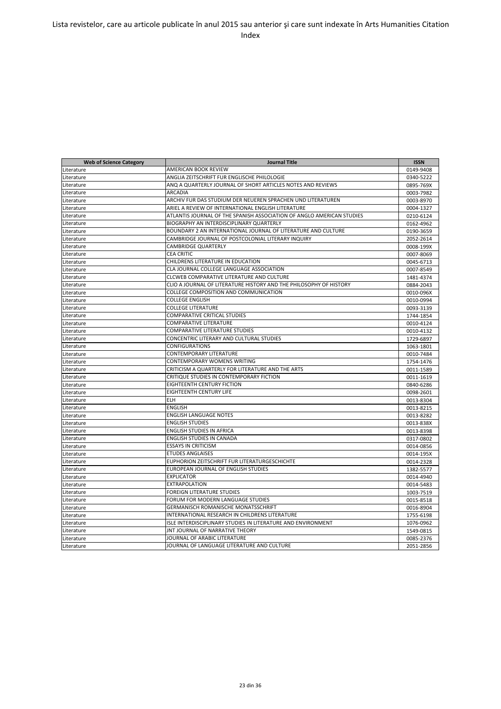| <b>Web of Science Category</b> | <b>Journal Title</b>                                                  | <b>ISSN</b> |
|--------------------------------|-----------------------------------------------------------------------|-------------|
| Literature                     | AMERICAN BOOK REVIEW                                                  | 0149-9408   |
| Literature                     | ANGLIA ZEITSCHRIFT FUR ENGLISCHE PHILOLOGIE                           | 0340-5222   |
| Literature                     | ANQ A QUARTERLY JOURNAL OF SHORT ARTICLES NOTES AND REVIEWS           | 0895-769X   |
| Literature                     | ARCADIA                                                               | 0003-7982   |
| Literature                     | ARCHIV FUR DAS STUDIUM DER NEUEREN SPRACHEN UND LITERATUREN           | 0003-8970   |
| Literature                     | ARIEL A REVIEW OF INTERNATIONAL ENGLISH LITERATURE                    | 0004-1327   |
| Literature                     | ATLANTIS JOURNAL OF THE SPANISH ASSOCIATION OF ANGLO AMERICAN STUDIES | 0210-6124   |
| Literature                     | BIOGRAPHY AN INTERDISCIPLINARY QUARTERLY                              | 0162-4962   |
| Literature                     | BOUNDARY 2 AN INTERNATIONAL JOURNAL OF LITERATURE AND CULTURE         | 0190-3659   |
| Literature                     | CAMBRIDGE JOURNAL OF POSTCOLONIAL LITERARY INQUIRY                    | 2052-2614   |
| Literature                     | CAMBRIDGE QUARTERLY                                                   | 0008-199X   |
| Literature                     | <b>CEA CRITIC</b>                                                     | 0007-8069   |
| Literature                     | CHILDRENS LITERATURE IN EDUCATION                                     | 0045-6713   |
| Literature                     | CLA JOURNAL COLLEGE LANGUAGE ASSOCIATION                              | 0007-8549   |
| Literature                     | CLCWEB COMPARATIVE LITERATURE AND CULTURE                             | 1481-4374   |
| Literature                     | CLIO A JOURNAL OF LITERATURE HISTORY AND THE PHILOSOPHY OF HISTORY    | 0884-2043   |
| Literature                     | COLLEGE COMPOSITION AND COMMUNICATION                                 | 0010-096X   |
| Literature                     | <b>COLLEGE ENGLISH</b>                                                | 0010-0994   |
| Literature                     | <b>COLLEGE LITERATURE</b>                                             | 0093-3139   |
| Literature                     | <b>COMPARATIVE CRITICAL STUDIES</b>                                   | 1744-1854   |
| Literature                     | <b>COMPARATIVE LITERATURE</b>                                         | 0010-4124   |
| Literature                     | <b>COMPARATIVE LITERATURE STUDIES</b>                                 | 0010-4132   |
| Literature                     | CONCENTRIC LITERARY AND CULTURAL STUDIES                              | 1729-6897   |
| Literature                     | <b>CONFIGURATIONS</b>                                                 | 1063-1801   |
| Literature                     | <b>CONTEMPORARY LITERATURE</b>                                        | 0010-7484   |
| Literature                     | CONTEMPORARY WOMENS WRITING                                           | 1754-1476   |
| Literature                     | CRITICISM A QUARTERLY FOR LITERATURE AND THE ARTS                     | 0011-1589   |
| Literature                     | CRITIQUE STUDIES IN CONTEMPORARY FICTION                              | 0011-1619   |
| Literature                     | EIGHTEENTH CENTURY FICTION                                            | 0840-6286   |
| Literature                     | <b>EIGHTEENTH CENTURY LIFE</b>                                        | 0098-2601   |
| Literature                     | <b>ELH</b>                                                            | 0013-8304   |
| Literature                     | <b>ENGLISH</b>                                                        | 0013-8215   |
| Literature                     | <b>ENGLISH LANGUAGE NOTES</b>                                         | 0013-8282   |
| Literature                     | <b>ENGLISH STUDIES</b>                                                | 0013-838X   |
| Literature                     | <b>ENGLISH STUDIES IN AFRICA</b>                                      | 0013-8398   |
| Literature                     | <b>ENGLISH STUDIES IN CANADA</b>                                      | 0317-0802   |
| Literature                     | <b>ESSAYS IN CRITICISM</b>                                            | 0014-0856   |
| Literature                     | <b>ETUDES ANGLAISES</b>                                               | 0014-195X   |
| Literature                     | EUPHORION ZEITSCHRIFT FUR LITERATURGESCHICHTE                         | 0014-2328   |
| Literature                     | <b>EUROPEAN JOURNAL OF ENGLISH STUDIES</b>                            | 1382-5577   |
| Literature                     | <b>EXPLICATOR</b>                                                     | 0014-4940   |
| Literature                     | <b>EXTRAPOLATION</b>                                                  | 0014-5483   |
| Literature                     | <b>FOREIGN LITERATURE STUDIES</b>                                     | 1003-7519   |
| Literature                     | FORUM FOR MODERN LANGUAGE STUDIES                                     | 0015-8518   |
| Literature                     | GERMANISCH ROMANISCHE MONATSSCHRIFT                                   | 0016-8904   |
| Literature                     | INTERNATIONAL RESEARCH IN CHILDRENS LITERATURE                        | 1755-6198   |
| Literature                     | ISLE INTERDISCIPLINARY STUDIES IN LITERATURE AND ENVIRONMENT          | 1076-0962   |
| Literature                     | <b>JNT JOURNAL OF NARRATIVE THEORY</b>                                | 1549-0815   |
| Literature                     | JOURNAL OF ARABIC LITERATURE                                          | 0085-2376   |
| Literature                     | JOURNAL OF LANGUAGE LITERATURE AND CULTURE                            | 2051-2856   |
|                                |                                                                       |             |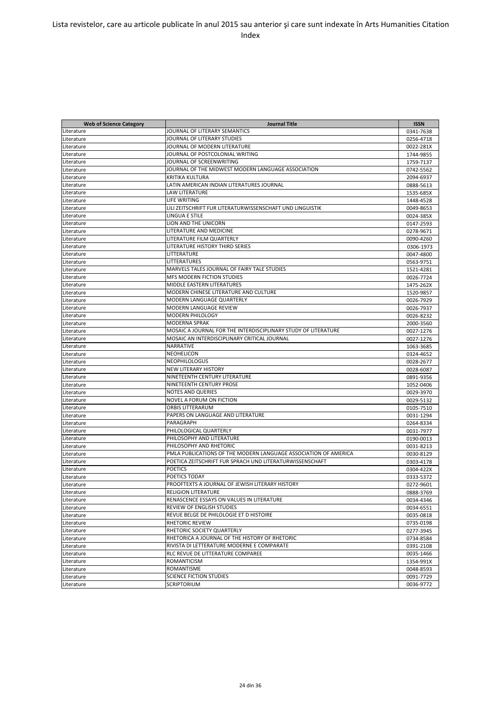| <b>Web of Science Category</b> | <b>Journal Title</b>                                            | <b>ISSN</b> |
|--------------------------------|-----------------------------------------------------------------|-------------|
| Literature                     | JOURNAL OF LITERARY SEMANTICS                                   | 0341-7638   |
| Literature                     | JOURNAL OF LITERARY STUDIES                                     | 0256-4718   |
| Literature                     | JOURNAL OF MODERN LITERATURE                                    | 0022-281X   |
| Literature                     | JOURNAL OF POSTCOLONIAL WRITING                                 | 1744-9855   |
| Literature                     | JOURNAL OF SCREENWRITING                                        | 1759-7137   |
| Literature                     | JOURNAL OF THE MIDWEST MODERN LANGUAGE ASSOCIATION              | 0742-5562   |
| Literature                     | KRITIKA KULTURA                                                 | 2094-6937   |
| Literature                     | LATIN AMERICAN INDIAN LITERATURES JOURNAL                       | 0888-5613   |
| Literature                     | LAW LITERATURE                                                  | 1535-685X   |
| Literature                     | LIFE WRITING                                                    | 1448-4528   |
| Literature                     | LILI ZEITSCHRIFT FUR LITERATURWISSENSCHAFT UND LINGUISTIK       | 0049-8653   |
| Literature                     | LINGUA E STILE                                                  | 0024-385X   |
| Literature                     | LION AND THE UNICORN                                            | 0147-2593   |
| Literature                     | LITERATURE AND MEDICINE                                         | 0278-9671   |
| Literature                     | LITERATURE FILM QUARTERLY                                       | 0090-4260   |
| Literature                     | LITERATURE HISTORY THIRD SERIES                                 | 0306-1973   |
| Literature                     | LITTERATURE                                                     | 0047-4800   |
| Literature                     | LITTERATURES                                                    | 0563-9751   |
|                                | MARVELS TALES JOURNAL OF FAIRY TALE STUDIES                     |             |
| Literature                     | MFS MODERN FICTION STUDIES                                      | 1521-4281   |
| Literature                     |                                                                 | 0026-7724   |
| Literature                     | MIDDLE EASTERN LITERATURES                                      | 1475-262X   |
| Literature                     | MODERN CHINESE LITERATURE AND CULTURE                           | 1520-9857   |
| Literature                     | <b>MODERN LANGUAGE QUARTERLY</b>                                | 0026-7929   |
| Literature                     | MODERN LANGUAGE REVIEW                                          | 0026-7937   |
| Literature                     | MODERN PHILOLOGY                                                | 0026-8232   |
| Literature                     | MODERNA SPRAK                                                   | 2000-3560   |
| Literature                     | MOSAIC A JOURNAL FOR THE INTERDISCIPLINARY STUDY OF LITERATURE  | 0027-1276   |
| Literature                     | MOSAIC AN INTERDISCIPLINARY CRITICAL JOURNAL                    | 0027-1276   |
| Literature                     | NARRATIVE                                                       | 1063-3685   |
| Literature                     | NEOHELICON                                                      | 0324-4652   |
| Literature                     | <b>NEOPHILOLOGUS</b>                                            | 0028-2677   |
| Literature                     | <b>NEW LITERARY HISTORY</b>                                     | 0028-6087   |
| Literature                     | NINETEENTH CENTURY LITERATURE                                   | 0891-9356   |
| Literature                     | NINETEENTH CENTURY PROSE                                        | 1052-0406   |
| Literature                     | <b>NOTES AND QUERIES</b>                                        | 0029-3970   |
| Literature                     | NOVEL A FORUM ON FICTION                                        | 0029-5132   |
| Literature                     | ORBIS LITTERARUM                                                | 0105-7510   |
| Literature                     | PAPERS ON LANGUAGE AND LITERATURE                               | 0031-1294   |
| Literature                     | PARAGRAPH                                                       | 0264-8334   |
| Literature                     | PHILOLOGICAL QUARTERLY                                          | 0031-7977   |
| Literature                     | PHILOSOPHY AND LITERATURE                                       | 0190-0013   |
| Literature                     | PHILOSOPHY AND RHETORIC                                         | 0031-8213   |
| Literature                     | PMLA PUBLICATIONS OF THE MODERN LANGUAGE ASSOCIATION OF AMERICA | 0030-8129   |
| Literature                     | POETICA ZEITSCHRIFT FUR SPRACH UND LITERATURWISSENSCHAFT        | 0303-4178   |
| Literature                     | <b>POETICS</b>                                                  | 0304-422X   |
| Literature                     | POETICS TODAY                                                   | 0333-5372   |
| Literature                     | PROOFTEXTS A JOURNAL OF JEWISH LITERARY HISTORY                 | 0272-9601   |
| Literature                     | <b>RELIGION LITERATURE</b>                                      | 0888-3769   |
| Literature                     | RENASCENCE ESSAYS ON VALUES IN LITERATURE                       | 0034-4346   |
| Literature                     | REVIEW OF ENGLISH STUDIES                                       | 0034-6551   |
| Literature                     | REVUE BELGE DE PHILOLOGIE ET D HISTOIRE                         | 0035-0818   |
| Literature                     | RHETORIC REVIEW                                                 | 0735-0198   |
| Literature                     | RHETORIC SOCIETY QUARTERLY                                      | 0277-3945   |
| Literature                     | RHETORICA A JOURNAL OF THE HISTORY OF RHETORIC                  | 0734-8584   |
| Literature                     | RIVISTA DI LETTERATURE MODERNE E COMPARATE                      | 0391-2108   |
| Literature                     | RLC REVUE DE LITTERATURE COMPAREE                               | 0035-1466   |
| Literature                     | ROMANTICISM                                                     | 1354-991X   |
|                                | ROMANTISME                                                      |             |
| Literature                     |                                                                 | 0048-8593   |
| Literature                     | <b>SCIENCE FICTION STUDIES</b>                                  | 0091-7729   |
| Literature                     | SCRIPTORIUM                                                     | 0036-9772   |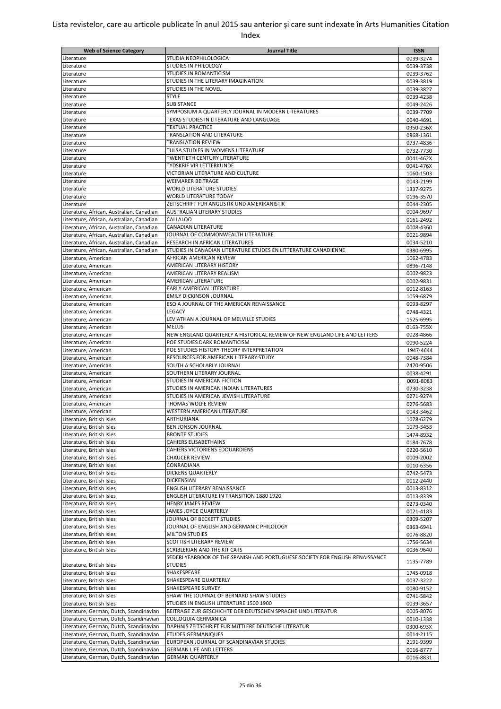| <b>Web of Science Category</b>            | Journal Title                                                                 | <b>ISSN</b> |
|-------------------------------------------|-------------------------------------------------------------------------------|-------------|
| Literature                                | STUDIA NEOPHILOLOGICA                                                         | 0039-3274   |
| Literature                                | <b>STUDIES IN PHILOLOGY</b>                                                   | 0039-3738   |
| Literature                                | <b>STUDIES IN ROMANTICISM</b>                                                 | 0039-3762   |
| Literature                                | STUDIES IN THE LITERARY IMAGINATION                                           |             |
|                                           |                                                                               | 0039-3819   |
| Literature                                | <b>STUDIES IN THE NOVEL</b>                                                   | 0039-3827   |
| Literature                                | <b>STYLE</b>                                                                  | 0039-4238   |
| Literature                                | <b>SUB STANCE</b>                                                             | 0049-2426   |
| Literature                                | SYMPOSIUM A QUARTERLY JOURNAL IN MODERN LITERATURES                           | 0039-7709   |
| Literature                                | TEXAS STUDIES IN LITERATURE AND LANGUAGE                                      | 0040-4691   |
| Literature                                | <b>TEXTUAL PRACTICE</b>                                                       | 0950-236X   |
| Literature                                | TRANSLATION AND LITERATURE                                                    | 0968-1361   |
| Literature                                | <b>TRANSLATION REVIEW</b>                                                     | 0737-4836   |
| Literature                                | TULSA STUDIES IN WOMENS LITERATURE                                            | 0732-7730   |
| Literature                                | <b>TWENTIETH CENTURY LITERATURE</b>                                           | 0041-462X   |
| Literature                                | <b>TYDSKRIF VIR LETTERKUNDE</b>                                               | 0041-476X   |
| Literature                                | VICTORIAN LITERATURE AND CULTURE                                              | 1060-1503   |
| Literature                                | <b>WEIMARER BEITRAGE</b>                                                      | 0043-2199   |
| Literature                                | <b>WORLD LITERATURE STUDIES</b>                                               | 1337-9275   |
| Literature                                | <b>WORLD LITERATURE TODAY</b>                                                 | 0196-3570   |
| Literature                                | ZEITSCHRIFT FUR ANGLISTIK UND AMERIKANISTIK                                   | 0044-2305   |
|                                           | <b>AUSTRALIAN LITERARY STUDIES</b>                                            |             |
| Literature, African, Australian, Canadian |                                                                               | 0004-9697   |
| Literature, African, Australian, Canadian | <b>CALLALOO</b>                                                               | 0161-2492   |
| Literature, African, Australian, Canadian | <b>CANADIAN LITERATURE</b>                                                    | 0008-4360   |
| Literature, African, Australian, Canadian | JOURNAL OF COMMONWEALTH LITERATURE                                            | 0021-9894   |
| Literature, African, Australian, Canadian | <b>RESEARCH IN AFRICAN LITERATURES</b>                                        | 0034-5210   |
| Literature, African, Australian, Canadian | STUDIES IN CANADIAN LITERATURE ETUDES EN LITTERATURE CANADIENNE               | 0380-6995   |
| Literature, American                      | AFRICAN AMERICAN REVIEW                                                       | 1062-4783   |
| Literature, American                      | AMERICAN LITERARY HISTORY                                                     | 0896-7148   |
| Literature, American                      | AMERICAN LITERARY REALISM                                                     | 0002-9823   |
| Literature, American                      | <b>AMERICAN LITERATURE</b>                                                    | 0002-9831   |
| Literature, American                      | <b>EARLY AMERICAN LITERATURE</b>                                              | 0012-8163   |
| Literature, American                      | <b>EMILY DICKINSON JOURNAL</b>                                                | 1059-6879   |
| Literature, American                      | ESQ A JOURNAL OF THE AMERICAN RENAISSANCE                                     | 0093-8297   |
| Literature, American                      | LEGACY                                                                        | 0748-4321   |
| Literature, American                      | LEVIATHAN A JOURNAL OF MELVILLE STUDIES                                       | 1525-6995   |
| Literature, American                      | <b>MELUS</b>                                                                  | 0163-755X   |
|                                           | NEW ENGLAND QUARTERLY A HISTORICAL REVIEW OF NEW ENGLAND LIFE AND LETTERS     |             |
| Literature, American                      |                                                                               | 0028-4866   |
| Literature, American                      | POE STUDIES DARK ROMANTICISM                                                  | 0090-5224   |
| Literature, American                      | POE STUDIES HISTORY THEORY INTERPRETATION                                     | 1947-4644   |
| Literature, American                      | RESOURCES FOR AMERICAN LITERARY STUDY                                         | 0048-7384   |
| Literature, American                      | SOUTH A SCHOLARLY JOURNAL                                                     | 2470-9506   |
| Literature, American                      | SOUTHERN LITERARY JOURNAL                                                     | 0038-4291   |
| Literature, American                      | STUDIES IN AMERICAN FICTION                                                   | 0091-8083   |
| Literature, American                      | STUDIES IN AMERICAN INDIAN LITERATURES                                        | 0730-3238   |
| Literature, American                      | STUDIES IN AMERICAN JEWISH LITERATURE                                         | 0271-9274   |
| Literature, American                      | THOMAS WOLFE REVIEW                                                           | 0276-5683   |
| Literature, American                      | <b>WESTERN AMERICAN LITERATURE</b>                                            | 0043-3462   |
| Literature, British Isles                 | <b>ARTHURIANA</b>                                                             | 1078-6279   |
| Literature, British Isles                 | <b>BEN JONSON JOURNAL</b>                                                     | 1079-3453   |
| Literature, British Isles                 | <b>BRONTE STUDIES</b>                                                         | 1474-8932   |
| Literature, British Isles                 | CAHIERS ELISABETHAINS                                                         | 0184-7678   |
| Literature, British Isles                 | CAHIERS VICTORIENS EDOUARDIENS                                                | 0220-5610   |
| Literature, British Isles                 | <b>CHAUCER REVIEW</b>                                                         | 0009-2002   |
| Literature, British Isles                 | CONRADIANA                                                                    | 0010-6356   |
| Literature, British Isles                 | <b>DICKENS QUARTERLY</b>                                                      | 0742-5473   |
| Literature, British Isles                 | DICKENSIAN                                                                    |             |
| Literature, British Isles                 |                                                                               | 0012-2440   |
|                                           | ENGLISH LITERARY RENAISSANCE                                                  | 0013-8312   |
| Literature, British Isles                 | ENGLISH LITERATURE IN TRANSITION 1880 1920                                    | 0013-8339   |
| Literature, British Isles                 | HENRY JAMES REVIEW                                                            | 0273-0340   |
| Literature, British Isles                 | JAMES JOYCE QUARTERLY                                                         | 0021-4183   |
| Literature, British Isles                 | JOURNAL OF BECKETT STUDIES                                                    | 0309-5207   |
| Literature, British Isles                 | JOURNAL OF ENGLISH AND GERMANIC PHILOLOGY                                     | 0363-6941   |
| Literature, British Isles                 | <b>MILTON STUDIES</b>                                                         | 0076-8820   |
| Literature, British Isles                 | SCOTTISH LITERARY REVIEW                                                      | 1756-5634   |
| Literature, British Isles                 | SCRIBLERIAN AND THE KIT CATS                                                  | 0036-9640   |
|                                           | SEDERI YEARBOOK OF THE SPANISH AND PORTUGUESE SOCIETY FOR ENGLISH RENAISSANCE |             |
| Literature, British Isles                 | <b>STUDIES</b>                                                                | 1135-7789   |
| Literature, British Isles                 | SHAKESPEARE                                                                   | 1745-0918   |
| Literature, British Isles                 | SHAKESPEARE QUARTERLY                                                         | 0037-3222   |
| Literature, British Isles                 | SHAKESPEARE SURVEY                                                            | 0080-9152   |
| Literature, British Isles                 | SHAW THE JOURNAL OF BERNARD SHAW STUDIES                                      | 0741-5842   |
| Literature, British Isles                 | STUDIES IN ENGLISH LITERATURE 1500 1900                                       | 0039-3657   |
| Literature, German, Dutch, Scandinavian   | BEITRAGE ZUR GESCHICHTE DER DEUTSCHEN SPRACHE UND LITERATUR                   | 0005-8076   |
|                                           |                                                                               |             |
| Literature, German, Dutch, Scandinavian   | COLLOQUIA GERMANICA                                                           | 0010-1338   |
| Literature, German, Dutch, Scandinavian   | DAPHNIS ZEITSCHRIFT FUR MITTLERE DEUTSCHE LITERATUR                           | 0300-693X   |
| Literature, German, Dutch, Scandinavian   | <b>ETUDES GERMANIQUES</b>                                                     | 0014-2115   |
| Literature, German, Dutch, Scandinavian   | EUROPEAN JOURNAL OF SCANDINAVIAN STUDIES                                      | 2191-9399   |
| Literature, German, Dutch, Scandinavian   | <b>GERMAN LIFE AND LETTERS</b>                                                | 0016-8777   |
| Literature, German, Dutch, Scandinavian   | <b>GERMAN QUARTERLY</b>                                                       | 0016-8831   |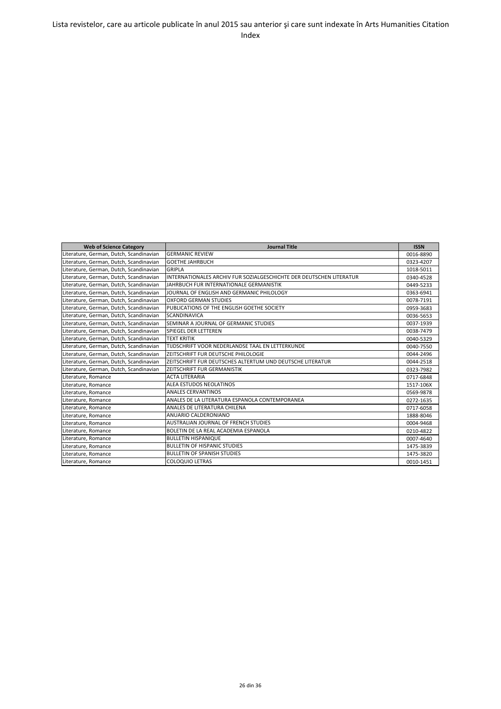| <b>Web of Science Category</b>          | <b>Journal Title</b>                                                | <b>ISSN</b> |
|-----------------------------------------|---------------------------------------------------------------------|-------------|
| Literature, German, Dutch, Scandinavian | <b>GERMANIC REVIEW</b>                                              | 0016-8890   |
| Literature, German, Dutch, Scandinavian | <b>GOETHE JAHRBUCH</b>                                              | 0323-4207   |
| Literature, German, Dutch, Scandinavian | <b>GRIPLA</b>                                                       | 1018-5011   |
| Literature, German, Dutch, Scandinavian | INTERNATIONALES ARCHIV FUR SOZIALGESCHICHTE DER DEUTSCHEN LITERATUR | 0340-4528   |
| Literature, German, Dutch, Scandinavian | JAHRBUCH FUR INTERNATIONALE GERMANISTIK                             | 0449-5233   |
| Literature, German, Dutch, Scandinavian | JOURNAL OF ENGLISH AND GERMANIC PHILOLOGY                           | 0363-6941   |
| Literature, German, Dutch, Scandinavian | <b>OXFORD GERMAN STUDIES</b>                                        | 0078-7191   |
| Literature, German, Dutch, Scandinavian | PUBLICATIONS OF THE ENGLISH GOETHE SOCIETY                          | 0959-3683   |
| Literature, German, Dutch, Scandinavian | <b>SCANDINAVICA</b>                                                 | 0036-5653   |
| Literature, German, Dutch, Scandinavian | SEMINAR A JOURNAL OF GERMANIC STUDIES                               | 0037-1939   |
| Literature, German, Dutch, Scandinavian | SPIEGEL DER LETTEREN                                                | 0038-7479   |
| Literature, German, Dutch, Scandinavian | <b>TEXT KRITIK</b>                                                  | 0040-5329   |
| Literature, German, Dutch, Scandinavian | TIJDSCHRIFT VOOR NEDERLANDSE TAAL EN LETTERKUNDE                    | 0040-7550   |
| Literature, German, Dutch, Scandinavian | ZEITSCHRIFT FUR DEUTSCHE PHILOLOGIE                                 | 0044-2496   |
| Literature, German, Dutch, Scandinavian | ZEITSCHRIFT FUR DEUTSCHES ALTERTUM UND DEUTSCHE LITERATUR           | 0044-2518   |
| Literature, German, Dutch, Scandinavian | ZEITSCHRIFT FUR GERMANISTIK                                         | 0323-7982   |
| Literature, Romance                     | <b>ACTA LITERARIA</b>                                               | 0717-6848   |
| Literature, Romance                     | ALEA ESTUDOS NEOLATINOS                                             | 1517-106X   |
| Literature, Romance                     | <b>ANALES CERVANTINOS</b>                                           | 0569-9878   |
| Literature, Romance                     | ANALES DE LA LITERATURA ESPANOLA CONTEMPORANEA                      | 0272-1635   |
| Literature, Romance                     | ANALES DE LITERATURA CHILENA                                        | 0717-6058   |
| Literature, Romance                     | ANUARIO CALDERONIANO                                                | 1888-8046   |
| Literature, Romance                     | <b>AUSTRALIAN JOURNAL OF FRENCH STUDIES</b>                         | 0004-9468   |
| Literature, Romance                     | BOLETIN DE LA REAL ACADEMIA ESPANOLA                                | 0210-4822   |
| Literature, Romance                     | <b>BULLETIN HISPANIQUE</b>                                          | 0007-4640   |
| Literature, Romance                     | <b>BULLETIN OF HISPANIC STUDIES</b>                                 | 1475-3839   |
| Literature, Romance                     | <b>BULLETIN OF SPANISH STUDIES</b>                                  | 1475-3820   |
| Literature, Romance                     | <b>COLOQUIO LETRAS</b>                                              | 0010-1451   |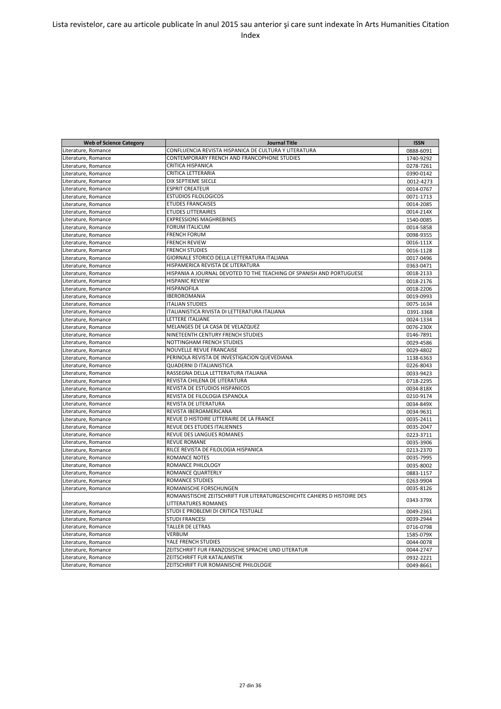| <b>Web of Science Category</b> | <b>Journal Title</b>                                                     | <b>ISSN</b> |
|--------------------------------|--------------------------------------------------------------------------|-------------|
| Literature, Romance            | CONFLUENCIA REVISTA HISPANICA DE CULTURA Y LITERATURA                    | 0888-6091   |
| Literature, Romance            | CONTEMPORARY FRENCH AND FRANCOPHONE STUDIES                              | 1740-9292   |
| Literature, Romance            | <b>CRITICA HISPANICA</b>                                                 | 0278-7261   |
| Literature, Romance            | <b>CRITICA LETTERARIA</b>                                                | 0390-0142   |
| Literature, Romance            | DIX SEPTIEME SIECLE                                                      | 0012-4273   |
| Literature, Romance            | <b>ESPRIT CREATEUR</b>                                                   | 0014-0767   |
| Literature, Romance            | <b>ESTUDIOS FILOLOGICOS</b>                                              | 0071-1713   |
| Literature, Romance            | <b>ETUDES FRANCAISES</b>                                                 | 0014-2085   |
| Literature, Romance            | <b>ETUDES LITTERAIRES</b>                                                | 0014-214X   |
| Literature, Romance            | <b>EXPRESSIONS MAGHREBINES</b>                                           | 1540-0085   |
| Literature, Romance            | <b>FORUM ITALICUM</b>                                                    | 0014-5858   |
| Literature, Romance            | <b>FRENCH FORUM</b>                                                      | 0098-9355   |
| Literature, Romance            | <b>FRENCH REVIEW</b>                                                     | 0016-111X   |
| Literature, Romance            | <b>FRENCH STUDIES</b>                                                    | 0016-1128   |
| Literature, Romance            | GIORNALE STORICO DELLA LETTERATURA ITALIANA                              | 0017-0496   |
| Literature, Romance            | HISPAMERICA REVISTA DE LITERATURA                                        | 0363-0471   |
| Literature, Romance            | HISPANIA A JOURNAL DEVOTED TO THE TEACHING OF SPANISH AND PORTUGUESE     | 0018-2133   |
| Literature, Romance            | <b>HISPANIC REVIEW</b>                                                   | 0018-2176   |
| Literature, Romance            | <b>HISPANOFILA</b>                                                       | 0018-2206   |
| Literature, Romance            | <b>IBEROROMANIA</b>                                                      | 0019-0993   |
| Literature, Romance            | <b>ITALIAN STUDIES</b>                                                   | 0075-1634   |
| Literature, Romance            | ITALIANISTICA RIVISTA DI LETTERATURA ITALIANA                            | 0391-3368   |
| Literature, Romance            | LETTERE ITALIANE                                                         | 0024-1334   |
| Literature, Romance            | MELANGES DE LA CASA DE VELAZQUEZ                                         | 0076-230X   |
| Literature, Romance            | NINETEENTH CENTURY FRENCH STUDIES                                        | 0146-7891   |
| Literature, Romance            | NOTTINGHAM FRENCH STUDIES                                                | 0029-4586   |
| Literature, Romance            | NOUVELLE REVUE FRANCAISE                                                 | 0029-4802   |
| Literature, Romance            | PERINOLA REVISTA DE INVESTIGACION QUEVEDIANA                             | 1138-6363   |
| Literature, Romance            | <b>QUADERNI D ITALIANISTICA</b>                                          | 0226-8043   |
| Literature, Romance            | RASSEGNA DELLA LETTERATURA ITALIANA                                      | 0033-9423   |
| Literature, Romance            | REVISTA CHILENA DE LITERATURA                                            | 0718-2295   |
| Literature, Romance            | REVISTA DE ESTUDIOS HISPANICOS                                           | 0034-818X   |
| Literature, Romance            | REVISTA DE FILOLOGIA ESPANOLA                                            | 0210-9174   |
| Literature, Romance            | REVISTA DE LITERATURA                                                    | 0034-849X   |
| Literature, Romance            | REVISTA IBEROAMERICANA                                                   | 0034-9631   |
| Literature, Romance            | REVUE D HISTOIRE LITTERAIRE DE LA FRANCE                                 | 0035-2411   |
| Literature, Romance            | REVUE DES ETUDES ITALIENNES                                              | 0035-2047   |
| Literature, Romance            | REVUE DES LANGUES ROMANES                                                | 0223-3711   |
| Literature, Romance            | <b>REVUE ROMANE</b>                                                      | 0035-3906   |
| Literature, Romance            | RILCE REVISTA DE FILOLOGIA HISPANICA                                     | 0213-2370   |
| Literature, Romance            | <b>ROMANCE NOTES</b>                                                     | 0035-7995   |
| Literature, Romance            | ROMANCE PHILOLOGY                                                        | 0035-8002   |
| Literature, Romance            | ROMANCE QUARTERLY                                                        | 0883-1157   |
| Literature, Romance            | <b>ROMANCE STUDIES</b>                                                   | 0263-9904   |
| Literature, Romance            | ROMANISCHE FORSCHUNGEN                                                   | 0035-8126   |
|                                | ROMANISTISCHE ZEITSCHRIFT FUR LITERATURGESCHICHTE CAHIERS D HISTOIRE DES |             |
| Literature, Romance            | LITTERATURES ROMANES                                                     | 0343-379X   |
| Literature, Romance            | STUDI E PROBLEMI DI CRITICA TESTUALE                                     | 0049-2361   |
| Literature, Romance            | <b>STUDI FRANCESI</b>                                                    | 0039-2944   |
| Literature, Romance            | TALLER DE LETRAS                                                         | 0716-0798   |
| Literature, Romance            | VERBUM                                                                   | 1585-079X   |
| Literature, Romance            | YALE FRENCH STUDIES                                                      | 0044-0078   |
| Literature, Romance            | ZEITSCHRIFT FUR FRANZOSISCHE SPRACHE UND LITERATUR                       | 0044-2747   |
| Literature, Romance            | ZEITSCHRIFT FUR KATALANISTIK                                             | 0932-2221   |
| Literature, Romance            | ZEITSCHRIFT FUR ROMANISCHE PHILOLOGIE                                    | 0049-8661   |
|                                |                                                                          |             |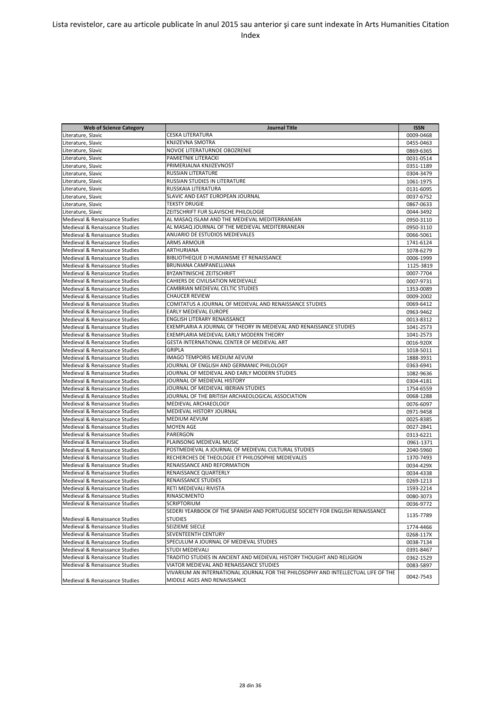| <b>Web of Science Category</b> | <b>Journal Title</b>                                                              | <b>ISSN</b> |
|--------------------------------|-----------------------------------------------------------------------------------|-------------|
| Literature, Slavic             | CESKA LITERATURA                                                                  | 0009-0468   |
| Literature, Slavic             | KNJIZEVNA SMOTRA                                                                  | 0455-0463   |
| Literature, Slavic             | NOVOE LITERATURNOE OBOZRENIE                                                      | 0869-6365   |
| Literature, Slavic             | PAMIETNIK LITERACKI                                                               | 0031-0514   |
| Literature, Slavic             | PRIMERJALNA KNJIZEVNOST                                                           | 0351-1189   |
| Literature, Slavic             | RUSSIAN LITERATURE                                                                | 0304-3479   |
| Literature, Slavic             | RUSSIAN STUDIES IN LITERATURE                                                     | 1061-1975   |
| Literature, Slavic             | RUSSKAIA LITERATURA                                                               | 0131-6095   |
| Literature, Slavic             | SLAVIC AND EAST EUROPEAN JOURNAL                                                  | 0037-6752   |
| Literature, Slavic             | <b>TEKSTY DRUGIE</b>                                                              | 0867-0633   |
| Literature, Slavic             | ZEITSCHRIFT FUR SLAVISCHE PHILOLOGIE                                              | 0044-3492   |
| Medieval & Renaissance Studies | AL MASAQ ISLAM AND THE MEDIEVAL MEDITERRANEAN                                     | 0950-3110   |
| Medieval & Renaissance Studies | AL MASAQ JOURNAL OF THE MEDIEVAL MEDITERRANEAN                                    | 0950-3110   |
| Medieval & Renaissance Studies | ANUARIO DE ESTUDIOS MEDIEVALES                                                    | 0066-5061   |
| Medieval & Renaissance Studies | ARMS ARMOUR                                                                       |             |
| Medieval & Renaissance Studies | ARTHURIANA                                                                        | 1741-6124   |
|                                | BIBLIOTHEQUE D HUMANISME ET RENAISSANCE                                           | 1078-6279   |
| Medieval & Renaissance Studies | BRUNIANA CAMPANELLIANA                                                            | 0006-1999   |
| Medieval & Renaissance Studies |                                                                                   | 1125-3819   |
| Medieval & Renaissance Studies | BYZANTINISCHE ZEITSCHRIFT                                                         | 0007-7704   |
| Medieval & Renaissance Studies | CAHIERS DE CIVILISATION MEDIEVALE                                                 | 0007-9731   |
| Medieval & Renaissance Studies | CAMBRIAN MEDIEVAL CELTIC STUDIES                                                  | 1353-0089   |
| Medieval & Renaissance Studies | <b>CHAUCER REVIEW</b>                                                             | 0009-2002   |
| Medieval & Renaissance Studies | COMITATUS A JOURNAL OF MEDIEVAL AND RENAISSANCE STUDIES                           | 0069-6412   |
| Medieval & Renaissance Studies | <b>EARLY MEDIEVAL EUROPE</b>                                                      | 0963-9462   |
| Medieval & Renaissance Studies | <b>ENGLISH LITERARY RENAISSANCE</b>                                               | 0013-8312   |
| Medieval & Renaissance Studies | EXEMPLARIA A JOURNAL OF THEORY IN MEDIEVAL AND RENAISSANCE STUDIES                | 1041-2573   |
| Medieval & Renaissance Studies | EXEMPLARIA MEDIEVAL EARLY MODERN THEORY                                           | 1041-2573   |
| Medieval & Renaissance Studies | <b>GESTA INTERNATIONAL CENTER OF MEDIEVAL ART</b>                                 | 0016-920X   |
| Medieval & Renaissance Studies | <b>GRIPLA</b>                                                                     | 1018-5011   |
| Medieval & Renaissance Studies | IMAGO TEMPORIS MEDIUM AEVUM                                                       | 1888-3931   |
| Medieval & Renaissance Studies | JOURNAL OF ENGLISH AND GERMANIC PHILOLOGY                                         | 0363-6941   |
| Medieval & Renaissance Studies | JOURNAL OF MEDIEVAL AND EARLY MODERN STUDIES                                      | 1082-9636   |
| Medieval & Renaissance Studies | JOURNAL OF MEDIEVAL HISTORY                                                       | 0304-4181   |
| Medieval & Renaissance Studies | JOURNAL OF MEDIEVAL IBERIAN STUDIES                                               | 1754-6559   |
| Medieval & Renaissance Studies | JOURNAL OF THE BRITISH ARCHAEOLOGICAL ASSOCIATION                                 | 0068-1288   |
| Medieval & Renaissance Studies | MEDIEVAL ARCHAEOLOGY                                                              | 0076-6097   |
| Medieval & Renaissance Studies | MEDIEVAL HISTORY JOURNAL                                                          | 0971-9458   |
| Medieval & Renaissance Studies | <b>MEDIUM AEVUM</b>                                                               | 0025-8385   |
| Medieval & Renaissance Studies | <b>MOYEN AGE</b>                                                                  | 0027-2841   |
| Medieval & Renaissance Studies | PARERGON                                                                          | 0313-6221   |
| Medieval & Renaissance Studies | PLAINSONG MEDIEVAL MUSIC                                                          | 0961-1371   |
| Medieval & Renaissance Studies | POSTMEDIEVAL A JOURNAL OF MEDIEVAL CULTURAL STUDIES                               | 2040-5960   |
| Medieval & Renaissance Studies | RECHERCHES DE THEOLOGIE ET PHILOSOPHIE MEDIEVALES                                 | 1370-7493   |
| Medieval & Renaissance Studies | RENAISSANCE AND REFORMATION                                                       | 0034-429X   |
| Medieval & Renaissance Studies | RENAISSANCE QUARTERLY                                                             | 0034-4338   |
| Medieval & Renaissance Studies | RENAISSANCE STUDIES                                                               | 0269-1213   |
| Medieval & Renaissance Studies | <b>RETI MEDIEVALI RIVISTA</b>                                                     | 1593-2214   |
| Medieval & Renaissance Studies | RINASCIMENTO                                                                      | 0080-3073   |
| Medieval & Renaissance Studies | <b>SCRIPTORIUM</b>                                                                | 0036-9772   |
|                                | SEDERI YEARBOOK OF THE SPANISH AND PORTUGUESE SOCIETY FOR ENGLISH RENAISSANCE     | 1135-7789   |
| Medieval & Renaissance Studies | STUDIES                                                                           |             |
| Medieval & Renaissance Studies | SEIZIEME SIECLE                                                                   | 1774-4466   |
| Medieval & Renaissance Studies | SEVENTEENTH CENTURY                                                               | 0268-117X   |
| Medieval & Renaissance Studies | SPECULUM A JOURNAL OF MEDIEVAL STUDIES                                            | 0038-7134   |
| Medieval & Renaissance Studies | STUDI MEDIEVALI                                                                   | 0391-8467   |
| Medieval & Renaissance Studies | TRADITIO STUDIES IN ANCIENT AND MEDIEVAL HISTORY THOUGHT AND RELIGION             | 0362-1529   |
| Medieval & Renaissance Studies | VIATOR MEDIEVAL AND RENAISSANCE STUDIES                                           | 0083-5897   |
|                                | VIVARIUM AN INTERNATIONAL JOURNAL FOR THE PHILOSOPHY AND INTELLECTUAL LIFE OF THE |             |
| Medieval & Renaissance Studies | MIDDLE AGES AND RENAISSANCE                                                       | 0042-7543   |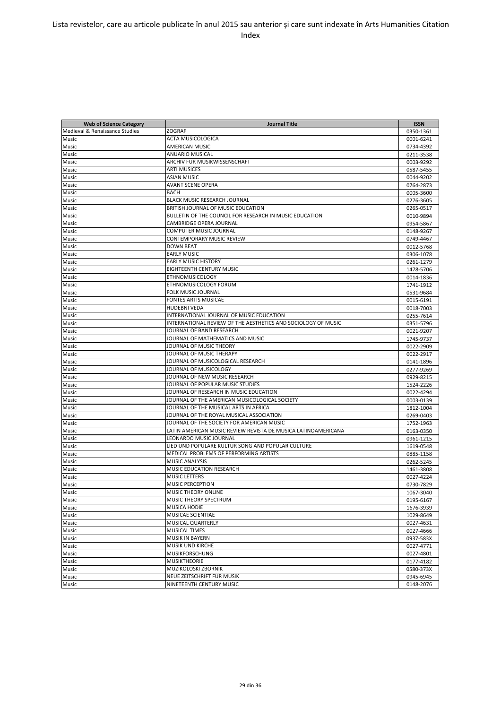| <b>Web of Science Category</b> | <b>Journal Title</b>                                          | <b>ISSN</b> |
|--------------------------------|---------------------------------------------------------------|-------------|
| Medieval & Renaissance Studies | <b>ZOGRAF</b>                                                 | 0350-1361   |
| Music                          | ACTA MUSICOLOGICA                                             | 0001-6241   |
| Music                          | <b>AMERICAN MUSIC</b>                                         | 0734-4392   |
| Music                          | <b>ANUARIO MUSICAL</b>                                        | 0211-3538   |
| Music                          | ARCHIV FUR MUSIKWISSENSCHAFT                                  | 0003-9292   |
| Music                          | <b>ARTI MUSICES</b>                                           | 0587-5455   |
| Music                          | <b>ASIAN MUSIC</b>                                            | 0044-9202   |
| Music                          | <b>AVANT SCENE OPERA</b>                                      | 0764-2873   |
| Music                          | <b>BACH</b>                                                   | 0005-3600   |
| Music                          | <b>BLACK MUSIC RESEARCH JOURNAL</b>                           | 0276-3605   |
| Music                          | BRITISH JOURNAL OF MUSIC EDUCATION                            | 0265-0517   |
| Music                          | BULLETIN OF THE COUNCIL FOR RESEARCH IN MUSIC EDUCATION       | 0010-9894   |
| Music                          | CAMBRIDGE OPERA JOURNAL                                       | 0954-5867   |
| Music                          | <b>COMPUTER MUSIC JOURNAL</b>                                 | 0148-9267   |
| Music                          | <b>CONTEMPORARY MUSIC REVIEW</b>                              | 0749-4467   |
| Music                          | <b>DOWN BEAT</b>                                              | 0012-5768   |
| Music                          | <b>EARLY MUSIC</b>                                            | 0306-1078   |
| Music                          | <b>EARLY MUSIC HISTORY</b>                                    | 0261-1279   |
|                                | <b>EIGHTEENTH CENTURY MUSIC</b>                               |             |
| Music                          |                                                               | 1478-5706   |
| Music                          | <b>ETHNOMUSICOLOGY</b>                                        | 0014-1836   |
| Music                          | ETHNOMUSICOLOGY FORUM                                         | 1741-1912   |
| Music                          | <b>FOLK MUSIC JOURNAL</b>                                     | 0531-9684   |
| Music                          | <b>FONTES ARTIS MUSICAE</b>                                   | 0015-6191   |
| Music                          | <b>HUDEBNI VEDA</b>                                           | 0018-7003   |
| Music                          | INTERNATIONAL JOURNAL OF MUSIC EDUCATION                      | 0255-7614   |
| Music                          | INTERNATIONAL REVIEW OF THE AESTHETICS AND SOCIOLOGY OF MUSIC | 0351-5796   |
| Music                          | JOURNAL OF BAND RESEARCH                                      | 0021-9207   |
| Music                          | JOURNAL OF MATHEMATICS AND MUSIC                              | 1745-9737   |
| Music                          | JOURNAL OF MUSIC THEORY                                       | 0022-2909   |
| Music                          | JOURNAL OF MUSIC THERAPY                                      | 0022-2917   |
| Music                          | JOURNAL OF MUSICOLOGICAL RESEARCH                             | 0141-1896   |
| Music                          | JOURNAL OF MUSICOLOGY                                         | 0277-9269   |
| Music                          | JOURNAL OF NEW MUSIC RESEARCH                                 | 0929-8215   |
| Music                          | JOURNAL OF POPULAR MUSIC STUDIES                              | 1524-2226   |
| Music                          | JOURNAL OF RESEARCH IN MUSIC EDUCATION                        | 0022-4294   |
| Music                          | JOURNAL OF THE AMERICAN MUSICOLOGICAL SOCIETY                 | 0003-0139   |
| Music                          | JOURNAL OF THE MUSICAL ARTS IN AFRICA                         | 1812-1004   |
| Music                          | JOURNAL OF THE ROYAL MUSICAL ASSOCIATION                      | 0269-0403   |
| Music                          | JOURNAL OF THE SOCIETY FOR AMERICAN MUSIC                     | 1752-1963   |
| Music                          | LATIN AMERICAN MUSIC REVIEW REVISTA DE MUSICA LATINOAMERICANA | 0163-0350   |
| Music                          | LEONARDO MUSIC JOURNAL                                        | 0961-1215   |
| Music                          | LIED UND POPULARE KULTUR SONG AND POPULAR CULTURE             | 1619-0548   |
| Music                          | MEDICAL PROBLEMS OF PERFORMING ARTISTS                        | 0885-1158   |
| Music                          | <b>MUSIC ANALYSIS</b>                                         | 0262-5245   |
| Music                          | MUSIC EDUCATION RESEARCH                                      | 1461-3808   |
| Music                          | <b>MUSIC LETTERS</b>                                          | 0027-4224   |
| Music                          | <b>MUSIC PERCEPTION</b>                                       | 0730-7829   |
| Music                          | MUSIC THEORY ONLINE                                           | 1067-3040   |
| Music                          | MUSIC THEORY SPECTRUM                                         | 0195-6167   |
| Music                          | <b>MUSICA HODIE</b>                                           | 1676-3939   |
| Music                          | MUSICAE SCIENTIAE                                             | 1029-8649   |
| Music                          | <b>MUSICAL QUARTERLY</b>                                      | 0027-4631   |
| Music                          | <b>MUSICAL TIMES</b>                                          | 0027-4666   |
| Music                          | <b>MUSIK IN BAYERN</b>                                        | 0937-583X   |
| Music                          | <b>MUSIK UND KIRCHE</b>                                       | 0027-4771   |
| Music                          | <b>MUSIKFORSCHUNG</b>                                         | 0027-4801   |
| Music                          | <b>MUSIKTHEORIE</b>                                           | 0177-4182   |
| Music                          | MUZIKOLOSKI ZBORNIK                                           | 0580-373X   |
| Music                          | NEUE ZEITSCHRIFT FUR MUSIK                                    | 0945-6945   |
| Music                          | NINETEENTH CENTURY MUSIC                                      | 0148-2076   |
|                                |                                                               |             |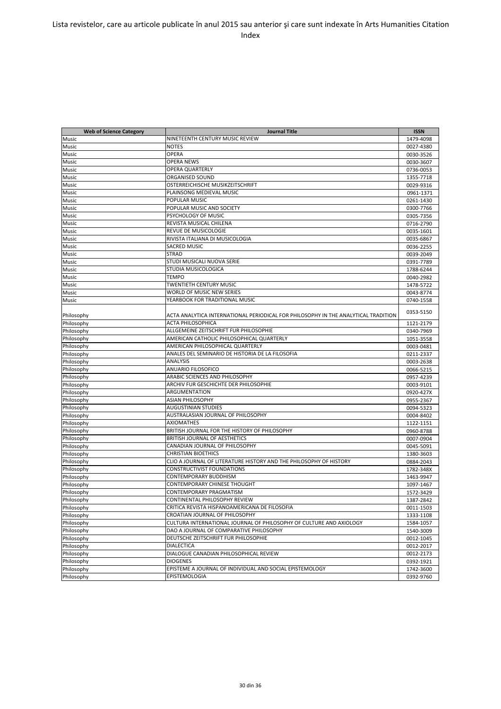| <b>Web of Science Category</b> | Journal Title                                                                      | <b>ISSN</b>            |
|--------------------------------|------------------------------------------------------------------------------------|------------------------|
| Music                          | NINETEENTH CENTURY MUSIC REVIEW                                                    | 1479-4098              |
| Music                          | <b>NOTES</b>                                                                       | 0027-4380              |
| Music                          | <b>OPERA</b>                                                                       | 0030-3526              |
| Music                          | <b>OPERA NEWS</b>                                                                  | 0030-3607              |
| Music                          | <b>OPERA QUARTERLY</b>                                                             | 0736-0053              |
| Music                          | <b>ORGANISED SOUND</b>                                                             | 1355-7718              |
| Music                          | OSTERREICHISCHE MUSIKZEITSCHRIFT                                                   | 0029-9316              |
| Music                          | PLAINSONG MEDIEVAL MUSIC                                                           | 0961-1371              |
| Music                          | POPULAR MUSIC                                                                      | 0261-1430              |
| Music                          | POPULAR MUSIC AND SOCIETY                                                          | 0300-7766              |
| Music                          | PSYCHOLOGY OF MUSIC                                                                | 0305-7356              |
| Music                          | REVISTA MUSICAL CHILENA                                                            | 0716-2790              |
| Music                          | <b>REVUE DE MUSICOLOGIE</b>                                                        | 0035-1601              |
| Music                          | RIVISTA ITALIANA DI MUSICOLOGIA                                                    | 0035-6867              |
| Music                          | SACRED MUSIC                                                                       | 0036-2255              |
| Music                          | <b>STRAD</b>                                                                       | 0039-2049              |
| Music                          | STUDI MUSICALI NUOVA SERIE                                                         | 0391-7789              |
| Music                          | STUDIA MUSICOLOGICA                                                                | 1788-6244              |
| Music                          | <b>TEMPO</b>                                                                       | 0040-2982              |
| Music                          | TWENTIETH CENTURY MUSIC                                                            | 1478-5722              |
| Music                          | WORLD OF MUSIC NEW SERIES                                                          |                        |
| Music                          | YEARBOOK FOR TRADITIONAL MUSIC                                                     | 0043-8774<br>0740-1558 |
|                                |                                                                                    |                        |
| Philosophy                     | ACTA ANALYTICA INTERNATIONAL PERIODICAL FOR PHILOSOPHY IN THE ANALYTICAL TRADITION | 0353-5150              |
| Philosophy                     | <b>ACTA PHILOSOPHICA</b>                                                           | 1121-2179              |
| Philosophy                     | ALLGEMEINE ZEITSCHRIFT FUR PHILOSOPHIE                                             | 0340-7969              |
| Philosophy                     | AMERICAN CATHOLIC PHILOSOPHICAL QUARTERLY                                          | 1051-3558              |
| Philosophy                     | AMERICAN PHILOSOPHICAL QUARTERLY                                                   | 0003-0481              |
| Philosophy                     | ANALES DEL SEMINARIO DE HISTORIA DE LA FILOSOFIA                                   | 0211-2337              |
| Philosophy                     | <b>ANALYSIS</b>                                                                    | 0003-2638              |
| Philosophy                     | <b>ANUARIO FILOSOFICO</b>                                                          | 0066-5215              |
| Philosophy                     | ARABIC SCIENCES AND PHILOSOPHY                                                     | 0957-4239              |
| Philosophy                     | ARCHIV FUR GESCHICHTE DER PHILOSOPHIE                                              | 0003-9101              |
| Philosophy                     | ARGUMENTATION                                                                      | 0920-427X              |
| Philosophy                     | <b>ASIAN PHILOSOPHY</b>                                                            | 0955-2367              |
| Philosophy                     | <b>AUGUSTINIAN STUDIES</b>                                                         | 0094-5323              |
| Philosophy                     | AUSTRALASIAN JOURNAL OF PHILOSOPHY                                                 | 0004-8402              |
| Philosophy                     | <b>AXIOMATHES</b>                                                                  | 1122-1151              |
| Philosophy                     | BRITISH JOURNAL FOR THE HISTORY OF PHILOSOPHY                                      | 0960-8788              |
| Philosophy                     | BRITISH JOURNAL OF AESTHETICS                                                      | 0007-0904              |
| Philosophy                     | CANADIAN JOURNAL OF PHILOSOPHY                                                     | 0045-5091              |
| Philosophy                     | <b>CHRISTIAN BIOETHICS</b>                                                         | 1380-3603              |
| Philosophy                     | CLIO A JOURNAL OF LITERATURE HISTORY AND THE PHILOSOPHY OF HISTORY                 | 0884-2043              |
| Philosophy                     | <b>CONSTRUCTIVIST FOUNDATIONS</b>                                                  | 1782-348X              |
| Philosophy                     | CONTEMPORARY BUDDHISM                                                              | 1463-9947              |
| Philosophy                     | CONTEMPORARY CHINESE THOUGHT                                                       | 1097-1467              |
| Philosophy                     | CONTEMPORARY PRAGMATISM                                                            | 1572-3429              |
| Philosophy                     | CONTINENTAL PHILOSOPHY REVIEW                                                      | 1387-2842              |
| Philosophy                     | CRITICA REVISTA HISPANOAMERICANA DE FILOSOFIA                                      | 0011-1503              |
| Philosophy                     | CROATIAN JOURNAL OF PHILOSOPHY                                                     | 1333-1108              |
| Philosophy                     | CULTURA INTERNATIONAL JOURNAL OF PHILOSOPHY OF CULTURE AND AXIOLOGY                | 1584-1057              |
| Philosophy                     | DAO A JOURNAL OF COMPARATIVE PHILOSOPHY                                            | 1540-3009              |
| Philosophy                     | DEUTSCHE ZEITSCHRIFT FUR PHILOSOPHIE                                               | 0012-1045              |
| Philosophy                     | <b>DIALECTICA</b>                                                                  | 0012-2017              |
| Philosophy                     | DIALOGUE CANADIAN PHILOSOPHICAL REVIEW                                             | 0012-2173              |
| Philosophy                     | <b>DIOGENES</b>                                                                    | 0392-1921              |
|                                | EPISTEME A JOURNAL OF INDIVIDUAL AND SOCIAL EPISTEMOLOGY                           |                        |
| Philosophy                     |                                                                                    | 1742-3600              |
| Philosophy                     | EPISTEMOLOGIA                                                                      | 0392-9760              |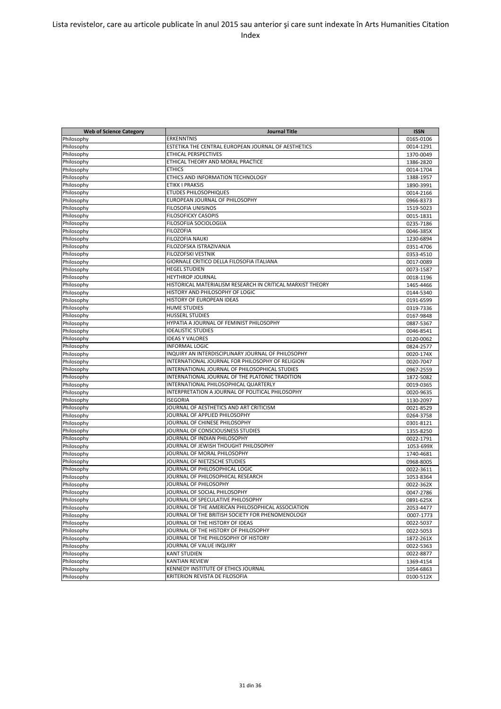| <b>Web of Science Category</b> | <b>Journal Title</b>                                                                               | <b>ISSN</b> |
|--------------------------------|----------------------------------------------------------------------------------------------------|-------------|
| Philosophy                     | ERKENNTNIS                                                                                         | 0165-0106   |
| Philosophy                     | ESTETIKA THE CENTRAL EUROPEAN JOURNAL OF AESTHETICS                                                | 0014-1291   |
| Philosophy                     | <b>ETHICAL PERSPECTIVES</b>                                                                        | 1370-0049   |
| Philosophy                     | ETHICAL THEORY AND MORAL PRACTICE                                                                  | 1386-2820   |
| Philosophy                     | <b>ETHICS</b>                                                                                      | 0014-1704   |
| Philosophy                     | ETHICS AND INFORMATION TECHNOLOGY                                                                  | 1388-1957   |
| Philosophy                     | <b>ETIKK I PRAKSIS</b>                                                                             | 1890-3991   |
| Philosophy                     | ETUDES PHILOSOPHIQUES                                                                              | 0014-2166   |
| Philosophy                     | EUROPEAN JOURNAL OF PHILOSOPHY                                                                     | 0966-8373   |
| Philosophy                     | <b>FILOSOFIA UNISINOS</b>                                                                          | 1519-5023   |
| Philosophy                     | <b>FILOSOFICKY CASOPIS</b>                                                                         | 0015-1831   |
| Philosophy                     | <b>FILOSOFIJA SOCIOLOGIJA</b>                                                                      | 0235-7186   |
| Philosophy                     | <b>FILOZOFIA</b>                                                                                   | 0046-385X   |
| Philosophy                     | <b>FILOZOFIA NAUKI</b>                                                                             | 1230-6894   |
| Philosophy                     | FILOZOFSKA ISTRAZIVANJA                                                                            |             |
| Philosophy                     | FILOZOFSKI VESTNIK                                                                                 | 0351-4706   |
|                                | GIORNALE CRITICO DELLA FILOSOFIA ITALIANA                                                          | 0353-4510   |
| Philosophy                     | <b>HEGEL STUDIEN</b>                                                                               | 0017-0089   |
| Philosophy                     |                                                                                                    | 0073-1587   |
| Philosophy                     | <b>HEYTHROP JOURNAL</b><br>HISTORICAL MATERIALISM RESEARCH IN CRITICAL MARXIST THEORY              | 0018-1196   |
| Philosophy                     | HISTORY AND PHILOSOPHY OF LOGIC                                                                    | 1465-4466   |
| Philosophy                     |                                                                                                    | 0144-5340   |
| Philosophy                     | HISTORY OF EUROPEAN IDEAS                                                                          | 0191-6599   |
| Philosophy                     | <b>HUME STUDIES</b>                                                                                | 0319-7336   |
| Philosophy                     | <b>HUSSERL STUDIES</b>                                                                             | 0167-9848   |
| Philosophy                     | HYPATIA A JOURNAL OF FEMINIST PHILOSOPHY                                                           | 0887-5367   |
| Philosophy                     | <b>IDEALISTIC STUDIES</b>                                                                          | 0046-8541   |
| Philosophy                     | <b>IDEAS Y VALORES</b>                                                                             | 0120-0062   |
| Philosophy                     | <b>INFORMAL LOGIC</b>                                                                              | 0824-2577   |
| Philosophy                     | INQUIRY AN INTERDISCIPLINARY JOURNAL OF PHILOSOPHY                                                 | 0020-174X   |
| Philosophy                     | INTERNATIONAL JOURNAL FOR PHILOSOPHY OF RELIGION<br>INTERNATIONAL JOURNAL OF PHILOSOPHICAL STUDIES | 0020-7047   |
| Philosophy                     |                                                                                                    | 0967-2559   |
| Philosophy                     | INTERNATIONAL JOURNAL OF THE PLATONIC TRADITION                                                    | 1872-5082   |
| Philosophy                     | INTERNATIONAL PHILOSOPHICAL QUARTERLY                                                              | 0019-0365   |
| Philosophy                     | INTERPRETATION A JOURNAL OF POLITICAL PHILOSOPHY                                                   | 0020-9635   |
| Philosophy                     | <b>ISEGORIA</b>                                                                                    | 1130-2097   |
| Philosophy                     | JOURNAL OF AESTHETICS AND ART CRITICISM                                                            | 0021-8529   |
| Philosophy                     | JOURNAL OF APPLIED PHILOSOPHY                                                                      | 0264-3758   |
| Philosophy                     | JOURNAL OF CHINESE PHILOSOPHY                                                                      | 0301-8121   |
| Philosophy                     | JOURNAL OF CONSCIOUSNESS STUDIES                                                                   | 1355-8250   |
| Philosophy                     | JOURNAL OF INDIAN PHILOSOPHY                                                                       | 0022-1791   |
| Philosophy                     | JOURNAL OF JEWISH THOUGHT PHILOSOPHY<br>JOURNAL OF MORAL PHILOSOPHY                                | 1053-699X   |
| Philosophy                     |                                                                                                    | 1740-4681   |
| Philosophy                     | JOURNAL OF NIETZSCHE STUDIES                                                                       | 0968-8005   |
| Philosophy                     | JOURNAL OF PHILOSOPHICAL LOGIC                                                                     | 0022-3611   |
| Philosophy                     | JOURNAL OF PHILOSOPHICAL RESEARCH                                                                  | 1053-8364   |
| Philosophy                     | JOURNAL OF PHILOSOPHY<br>JOURNAL OF SOCIAL PHILOSOPHY                                              | 0022-362X   |
| Philosophy                     | JOURNAL OF SPECULATIVE PHILOSOPHY                                                                  | 0047-2786   |
| Philosophy                     |                                                                                                    | 0891-625X   |
| Philosophy                     | JOURNAL OF THE AMERICAN PHILOSOPHICAL ASSOCIATION                                                  | 2053-4477   |
| Philosophy                     | JOURNAL OF THE BRITISH SOCIETY FOR PHENOMENOLOGY                                                   | 0007-1773   |
| Philosophy                     | JOURNAL OF THE HISTORY OF IDEAS                                                                    | 0022-5037   |
| Philosophy                     | JOURNAL OF THE HISTORY OF PHILOSOPHY                                                               | 0022-5053   |
| Philosophy                     | JOURNAL OF THE PHILOSOPHY OF HISTORY                                                               | 1872-261X   |
| Philosophy                     | JOURNAL OF VALUE INQUIRY                                                                           | 0022-5363   |
| Philosophy                     | <b>KANT STUDIEN</b>                                                                                | 0022-8877   |
| Philosophy                     | <b>KANTIAN REVIEW</b>                                                                              | 1369-4154   |
| Philosophy                     | KENNEDY INSTITUTE OF ETHICS JOURNAL                                                                | 1054-6863   |
| Philosophy                     | KRITERION REVISTA DE FILOSOFIA                                                                     | 0100-512X   |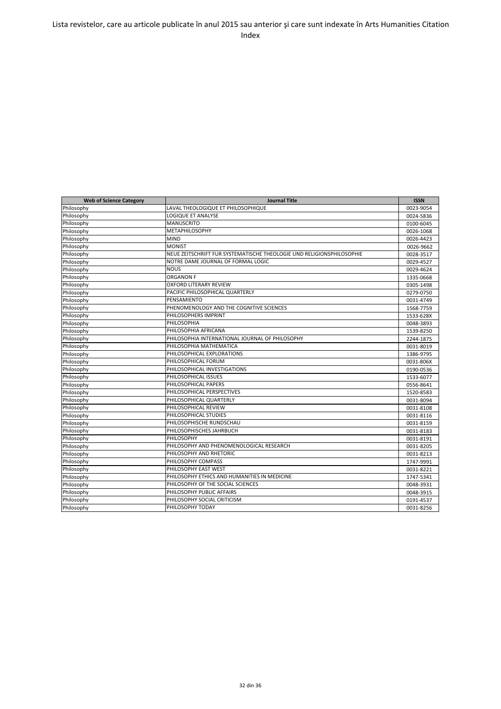| <b>Web of Science Category</b> | <b>Journal Title</b>                                                  | <b>ISSN</b> |
|--------------------------------|-----------------------------------------------------------------------|-------------|
| Philosophy                     | LAVAL THEOLOGIQUE ET PHILOSOPHIQUE                                    | 0023-9054   |
| Philosophy                     | <b>LOGIQUE ET ANALYSE</b>                                             | 0024-5836   |
| Philosophy                     | <b>MANUSCRITO</b>                                                     | 0100-6045   |
| Philosophy                     | <b>METAPHILOSOPHY</b>                                                 | 0026-1068   |
| Philosophy                     | <b>MIND</b>                                                           | 0026-4423   |
| Philosophy                     | <b>MONIST</b>                                                         | 0026-9662   |
| Philosophy                     | NEUE ZEITSCHRIFT FUR SYSTEMATISCHE THEOLOGIE UND RELIGIONSPHILOSOPHIE | 0028-3517   |
| Philosophy                     | NOTRE DAME JOURNAL OF FORMAL LOGIC                                    | 0029-4527   |
| Philosophy                     | <b>NOUS</b>                                                           | 0029-4624   |
| Philosophy                     | <b>ORGANON F</b>                                                      | 1335-0668   |
| Philosophy                     | <b>OXFORD LITERARY REVIEW</b>                                         | 0305-1498   |
| Philosophy                     | PACIFIC PHILOSOPHICAL QUARTERLY                                       | 0279-0750   |
| Philosophy                     | PENSAMIENTO                                                           | 0031-4749   |
| Philosophy                     | PHENOMENOLOGY AND THE COGNITIVE SCIENCES                              | 1568-7759   |
| Philosophy                     | PHILOSOPHERS IMPRINT                                                  | 1533-628X   |
| Philosophy                     | PHILOSOPHIA                                                           | 0048-3893   |
| Philosophy                     | PHILOSOPHIA AFRICANA                                                  | 1539-8250   |
| Philosophy                     | PHILOSOPHIA INTERNATIONAL JOURNAL OF PHILOSOPHY                       | 2244-1875   |
| Philosophy                     | PHILOSOPHIA MATHEMATICA                                               | 0031-8019   |
| Philosophy                     | PHILOSOPHICAL EXPLORATIONS                                            | 1386-9795   |
| Philosophy                     | PHILOSOPHICAL FORUM                                                   | 0031-806X   |
| Philosophy                     | PHILOSOPHICAL INVESTIGATIONS                                          | 0190-0536   |
| Philosophy                     | PHILOSOPHICAL ISSUES                                                  | 1533-6077   |
| Philosophy                     | PHILOSOPHICAL PAPERS                                                  | 0556-8641   |
| Philosophy                     | PHILOSOPHICAL PERSPECTIVES                                            | 1520-8583   |
| Philosophy                     | PHILOSOPHICAL QUARTERLY                                               | 0031-8094   |
| Philosophy                     | PHILOSOPHICAL REVIEW                                                  | 0031-8108   |
| Philosophy                     | PHILOSOPHICAL STUDIES                                                 | 0031-8116   |
| Philosophy                     | PHILOSOPHISCHE RUNDSCHAU                                              | 0031-8159   |
| Philosophy                     | PHILOSOPHISCHES JAHRBUCH                                              | 0031-8183   |
| Philosophy                     | PHILOSOPHY                                                            | 0031-8191   |
| Philosophy                     | PHILOSOPHY AND PHENOMENOLOGICAL RESEARCH                              | 0031-8205   |
| Philosophy                     | PHILOSOPHY AND RHETORIC                                               | 0031-8213   |
| Philosophy                     | PHILOSOPHY COMPASS                                                    | 1747-9991   |
| Philosophy                     | PHILOSOPHY EAST WEST                                                  | 0031-8221   |
| Philosophy                     | PHILOSOPHY ETHICS AND HUMANITIES IN MEDICINE                          | 1747-5341   |
| Philosophy                     | PHILOSOPHY OF THE SOCIAL SCIENCES                                     | 0048-3931   |
| Philosophy                     | PHILOSOPHY PUBLIC AFFAIRS                                             | 0048-3915   |
| Philosophy                     | PHILOSOPHY SOCIAL CRITICISM                                           | 0191-4537   |
| Philosophy                     | PHILOSOPHY TODAY                                                      | 0031-8256   |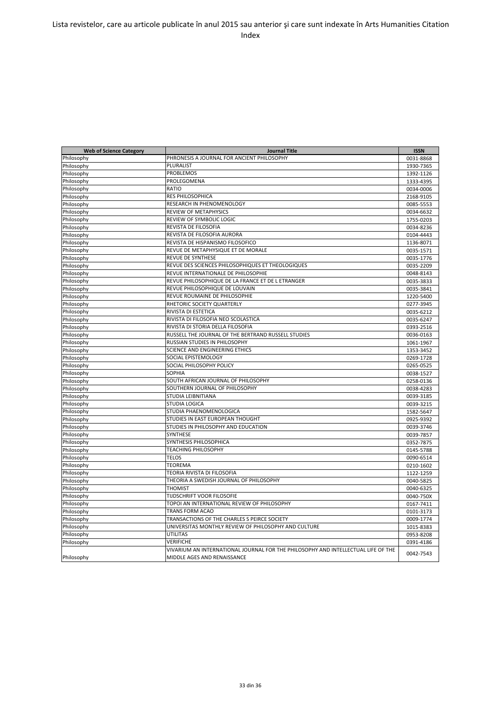| <b>Web of Science Category</b> | <b>Journal Title</b>                                                              | <b>ISSN</b> |
|--------------------------------|-----------------------------------------------------------------------------------|-------------|
| Philosophy                     | PHRONESIS A JOURNAL FOR ANCIENT PHILOSOPHY                                        | 0031-8868   |
| Philosophy                     | PLURALIST                                                                         | 1930-7365   |
| Philosophy                     | <b>PROBLEMOS</b>                                                                  | 1392-1126   |
| Philosophy                     | PROLEGOMENA                                                                       | 1333-4395   |
| Philosophy                     | RATIO                                                                             | 0034-0006   |
| Philosophy                     | <b>RES PHILOSOPHICA</b>                                                           | 2168-9105   |
| Philosophy                     | RESEARCH IN PHENOMENOLOGY                                                         | 0085-5553   |
| Philosophy                     | REVIEW OF METAPHYSICS                                                             | 0034-6632   |
| Philosophy                     | <b>REVIEW OF SYMBOLIC LOGIC</b>                                                   | 1755-0203   |
| Philosophy                     | REVISTA DE FILOSOFIA                                                              | 0034-8236   |
| Philosophy                     | REVISTA DE FILOSOFIA AURORA                                                       | 0104-4443   |
| Philosophy                     | REVISTA DE HISPANISMO FILOSOFICO                                                  | 1136-8071   |
| Philosophy                     | REVUE DE METAPHYSIQUE ET DE MORALE                                                | 0035-1571   |
| Philosophy                     | <b>REVUE DE SYNTHESE</b>                                                          | 0035-1776   |
| Philosophy                     | REVUE DES SCIENCES PHILOSOPHIQUES ET THEOLOGIQUES                                 | 0035-2209   |
| Philosophy                     | REVUE INTERNATIONALE DE PHILOSOPHIE                                               | 0048-8143   |
| Philosophy                     | REVUE PHILOSOPHIQUE DE LA FRANCE ET DE L ETRANGER                                 | 0035-3833   |
| Philosophy                     | REVUE PHILOSOPHIQUE DE LOUVAIN                                                    | 0035-3841   |
| Philosophy                     | REVUE ROUMAINE DE PHILOSOPHIE                                                     | 1220-5400   |
| Philosophy                     | RHETORIC SOCIETY QUARTERLY                                                        | 0277-3945   |
| Philosophy                     | RIVISTA DI ESTETICA                                                               | 0035-6212   |
| Philosophy                     | RIVISTA DI FILOSOFIA NEO SCOLASTICA                                               | 0035-6247   |
| Philosophy                     | RIVISTA DI STORIA DELLA FILOSOFIA                                                 | 0393-2516   |
| Philosophy                     | RUSSELL THE JOURNAL OF THE BERTRAND RUSSELL STUDIES                               | 0036-0163   |
| Philosophy                     | RUSSIAN STUDIES IN PHILOSOPHY                                                     | 1061-1967   |
| Philosophy                     | SCIENCE AND ENGINEERING ETHICS                                                    | 1353-3452   |
| Philosophy                     | SOCIAL EPISTEMOLOGY                                                               | 0269-1728   |
| Philosophy                     | SOCIAL PHILOSOPHY POLICY                                                          | 0265-0525   |
| Philosophy                     | <b>SOPHIA</b>                                                                     | 0038-1527   |
| Philosophy                     | SOUTH AFRICAN JOURNAL OF PHILOSOPHY                                               | 0258-0136   |
| Philosophy                     | SOUTHERN JOURNAL OF PHILOSOPHY                                                    | 0038-4283   |
| Philosophy                     | STUDIA LEIBNITIANA                                                                | 0039-3185   |
| Philosophy                     | <b>STUDIA LOGICA</b>                                                              | 0039-3215   |
| Philosophy                     | STUDIA PHAENOMENOLOGICA                                                           | 1582-5647   |
| Philosophy                     | STUDIES IN EAST EUROPEAN THOUGHT                                                  | 0925-9392   |
| Philosophy                     | STUDIES IN PHILOSOPHY AND EDUCATION                                               | 0039-3746   |
| Philosophy                     | SYNTHESE                                                                          | 0039-7857   |
| Philosophy                     | SYNTHESIS PHILOSOPHICA                                                            | 0352-7875   |
| Philosophy                     | <b>TEACHING PHILOSOPHY</b>                                                        | 0145-5788   |
| Philosophy                     | <b>TELOS</b>                                                                      | 0090-6514   |
| Philosophy                     | <b>TEOREMA</b>                                                                    | 0210-1602   |
| Philosophy                     | TEORIA RIVISTA DI FILOSOFIA                                                       | 1122-1259   |
| Philosophy                     | THEORIA A SWEDISH JOURNAL OF PHILOSOPHY                                           | 0040-5825   |
| Philosophy                     | <b>THOMIST</b>                                                                    | 0040-6325   |
| Philosophy                     | TIJDSCHRIFT VOOR FILOSOFIE                                                        | 0040-750X   |
| Philosophy                     | TOPOI AN INTERNATIONAL REVIEW OF PHILOSOPHY                                       | 0167-7411   |
| Philosophy                     | <b>TRANS FORM ACAO</b>                                                            | 0101-3173   |
| Philosophy                     | TRANSACTIONS OF THE CHARLES S PEIRCE SOCIETY                                      | 0009-1774   |
| Philosophy                     | UNIVERSITAS MONTHLY REVIEW OF PHILOSOPHY AND CULTURE                              | 1015-8383   |
| Philosophy                     | <b>UTILITAS</b>                                                                   | 0953-8208   |
| Philosophy                     | VERIFICHE                                                                         | 0391-4186   |
|                                | VIVARIUM AN INTERNATIONAL JOURNAL FOR THE PHILOSOPHY AND INTELLECTUAL LIFE OF THE | 0042-7543   |
| Philosophy                     | MIDDLE AGES AND RENAISSANCE                                                       |             |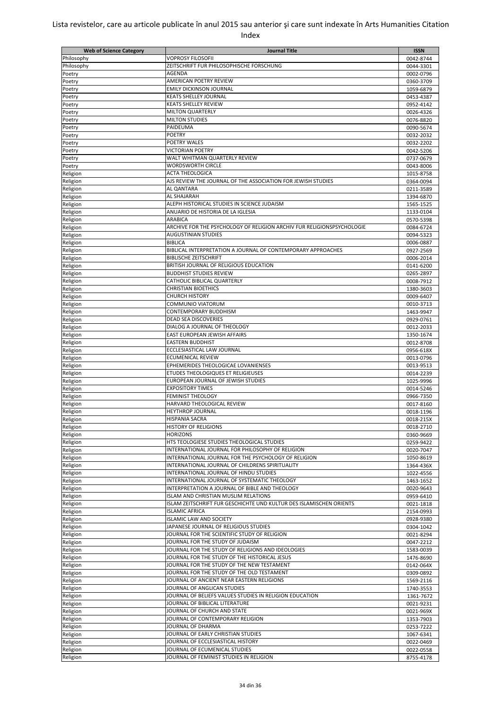| <b>Web of Science Category</b> | <b>Journal Title</b>                                                                               | <b>ISSN</b>            |
|--------------------------------|----------------------------------------------------------------------------------------------------|------------------------|
| Philosophy                     | <b>VOPROSY FILOSOFII</b>                                                                           | 0042-8744              |
| Philosophy                     | ZEITSCHRIFT FUR PHILOSOPHISCHE FORSCHUNG                                                           | 0044-3301              |
| Poetry                         | AGENDA                                                                                             | 0002-0796              |
| Poetry                         | AMERICAN POETRY REVIEW                                                                             | 0360-3709              |
| Poetry                         | <b>EMILY DICKINSON JOURNAL</b>                                                                     | 1059-6879              |
| Poetry                         | <b>KEATS SHELLEY JOURNAL</b>                                                                       | 0453-4387              |
| Poetry                         | <b>KEATS SHELLEY REVIEW</b>                                                                        | 0952-4142              |
| Poetry                         | <b>MILTON QUARTERLY</b>                                                                            | 0026-4326              |
| Poetry                         | <b>MILTON STUDIES</b><br>PAIDEUMA                                                                  | 0076-8820              |
| Poetry                         | <b>POETRY</b>                                                                                      | 0090-5674              |
| Poetry<br>Poetry               | POETRY WALES                                                                                       | 0032-2032<br>0032-2202 |
| Poetry                         | <b>VICTORIAN POETRY</b>                                                                            | 0042-5206              |
| Poetry                         | WALT WHITMAN QUARTERLY REVIEW                                                                      | 0737-0679              |
| Poetry                         | <b>WORDSWORTH CIRCLE</b>                                                                           | 0043-8006              |
| Religion                       | <b>ACTA THEOLOGICA</b>                                                                             | 1015-8758              |
| Religion                       | AJS REVIEW THE JOURNAL OF THE ASSOCIATION FOR JEWISH STUDIES                                       | 0364-0094              |
| Religion                       | AL QANTARA                                                                                         | 0211-3589              |
| Religion                       | AL SHAJARAH                                                                                        | 1394-6870              |
| Religion                       | ALEPH HISTORICAL STUDIES IN SCIENCE JUDAISM                                                        | 1565-1525              |
| Religion                       | ANUARIO DE HISTORIA DE LA IGLESIA                                                                  | 1133-0104              |
| Religion                       | <b>ARABICA</b>                                                                                     | 0570-5398              |
| Religion                       | ARCHIVE FOR THE PSYCHOLOGY OF RELIGION ARCHIV FUR RELIGIONSPSYCHOLOGIE                             | 0084-6724              |
| Religion                       | <b>AUGUSTINIAN STUDIES</b>                                                                         | 0094-5323              |
| Religion                       | <b>BIBLICA</b>                                                                                     | 0006-0887              |
| Religion                       | BIBLICAL INTERPRETATION A JOURNAL OF CONTEMPORARY APPROACHES                                       | 0927-2569              |
| Religion                       | <b>BIBLISCHE ZEITSCHRIFT</b>                                                                       | 0006-2014              |
| Religion                       | BRITISH JOURNAL OF RELIGIOUS EDUCATION                                                             | 0141-6200              |
| Religion                       | <b>BUDDHIST STUDIES REVIEW</b><br>CATHOLIC BIBLICAL QUARTERLY                                      | 0265-2897<br>0008-7912 |
| Religion<br>Religion           | <b>CHRISTIAN BIOETHICS</b>                                                                         | 1380-3603              |
| Religion                       | <b>CHURCH HISTORY</b>                                                                              | 0009-6407              |
| Religion                       | COMMUNIO VIATORUM                                                                                  | 0010-3713              |
| Religion                       | CONTEMPORARY BUDDHISM                                                                              | 1463-9947              |
| Religion                       | <b>DEAD SEA DISCOVERIES</b>                                                                        | 0929-0761              |
| Religion                       | DIALOG A JOURNAL OF THEOLOGY                                                                       | 0012-2033              |
| Religion                       | EAST EUROPEAN JEWISH AFFAIRS                                                                       | 1350-1674              |
| Religion                       | <b>EASTERN BUDDHIST</b>                                                                            | 0012-8708              |
| Religion                       | ECCLESIASTICAL LAW JOURNAL                                                                         | 0956-618X              |
| Religion                       | <b>ECUMENICAL REVIEW</b>                                                                           | 0013-0796              |
| Religion                       | EPHEMERIDES THEOLOGICAE LOVANIENSES                                                                | 0013-9513              |
| Religion                       | <b>ETUDES THEOLOGIQUES ET RELIGIEUSES</b>                                                          | 0014-2239              |
| Religion                       | EUROPEAN JOURNAL OF JEWISH STUDIES                                                                 | 1025-9996              |
| Religion                       | <b>EXPOSITORY TIMES</b>                                                                            | 0014-5246              |
| Religion                       | <b>FEMINIST THEOLOGY</b>                                                                           | 0966-7350              |
| Religion                       | HARVARD THEOLOGICAL REVIEW                                                                         | 0017-8160              |
| Religion                       | <b>HEYTHROP JOURNAL</b>                                                                            | 0018-1196              |
| Religion                       | <b>HISPANIA SACRA</b><br><b>HISTORY OF RELIGIONS</b>                                               | 0018-215X              |
| Religion<br>Religion           | <b>HORIZONS</b>                                                                                    | 0018-2710<br>0360-9669 |
| Religion                       | HTS TEOLOGIESE STUDIES THEOLOGICAL STUDIES                                                         | 0259-9422              |
| Religion                       | INTERNATIONAL JOURNAL FOR PHILOSOPHY OF RELIGION                                                   | 0020-7047              |
| Religion                       | INTERNATIONAL JOURNAL FOR THE PSYCHOLOGY OF RELIGION                                               | 1050-8619              |
| Religion                       | INTERNATIONAL JOURNAL OF CHILDRENS SPIRITUALITY                                                    | 1364-436X              |
| Religion                       | INTERNATIONAL JOURNAL OF HINDU STUDIES                                                             | 1022-4556              |
| Religion                       | INTERNATIONAL JOURNAL OF SYSTEMATIC THEOLOGY                                                       | 1463-1652              |
| Religion                       | INTERPRETATION A JOURNAL OF BIBLE AND THEOLOGY                                                     | 0020-9643              |
| Religion                       | ISLAM AND CHRISTIAN MUSLIM RELATIONS                                                               | 0959-6410              |
| Religion                       | ISLAM ZEITSCHRIFT FUR GESCHICHTE UND KULTUR DES ISLAMISCHEN ORIENTS                                | 0021-1818              |
| Religion                       | <b>ISLAMIC AFRICA</b>                                                                              | 2154-0993              |
| Religion                       | <b>ISLAMIC LAW AND SOCIETY</b>                                                                     | 0928-9380              |
| Religion                       | JAPANESE JOURNAL OF RELIGIOUS STUDIES                                                              | 0304-1042              |
| Religion                       | JOURNAL FOR THE SCIENTIFIC STUDY OF RELIGION                                                       | 0021-8294              |
| Religion                       | JOURNAL FOR THE STUDY OF JUDAISM                                                                   | 0047-2212              |
| Religion                       | JOURNAL FOR THE STUDY OF RELIGIONS AND IDEOLOGIES<br>JOURNAL FOR THE STUDY OF THE HISTORICAL JESUS | 1583-0039              |
| Religion                       | JOURNAL FOR THE STUDY OF THE NEW TESTAMENT                                                         | 1476-8690              |
| Religion<br>Religion           | JOURNAL FOR THE STUDY OF THE OLD TESTAMENT                                                         | 0142-064X<br>0309-0892 |
| Religion                       | JOURNAL OF ANCIENT NEAR EASTERN RELIGIONS                                                          | 1569-2116              |
| Religion                       | JOURNAL OF ANGLICAN STUDIES                                                                        | 1740-3553              |
| Religion                       | JOURNAL OF BELIEFS VALUES STUDIES IN RELIGION EDUCATION                                            | 1361-7672              |
| Religion                       | JOURNAL OF BIBLICAL LITERATURE                                                                     | 0021-9231              |
| Religion                       | JOURNAL OF CHURCH AND STATE                                                                        | 0021-969X              |
| Religion                       | JOURNAL OF CONTEMPORARY RELIGION                                                                   | 1353-7903              |
| Religion                       | JOURNAL OF DHARMA                                                                                  | 0253-7222              |
| Religion                       | JOURNAL OF EARLY CHRISTIAN STUDIES                                                                 | 1067-6341              |
| Religion                       | JOURNAL OF ECCLESIASTICAL HISTORY                                                                  | 0022-0469              |
| Religion                       | JOURNAL OF ECUMENICAL STUDIES                                                                      | 0022-0558              |
| Religion                       | JOURNAL OF FEMINIST STUDIES IN RELIGION                                                            | 8755-4178              |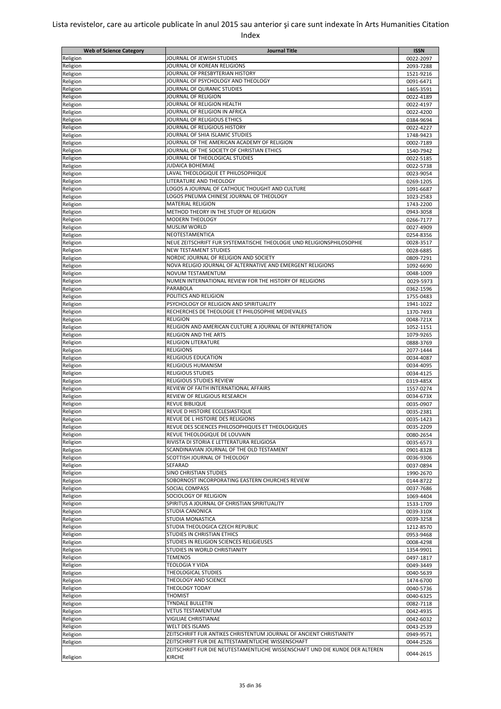| <b>Web of Science Category</b> | <b>Journal Title</b>                                                         | <b>ISSN</b> |
|--------------------------------|------------------------------------------------------------------------------|-------------|
| Religion                       | JOURNAL OF JEWISH STUDIES                                                    | 0022-2097   |
| Religion                       | JOURNAL OF KOREAN RELIGIONS                                                  | 2093-7288   |
| Religion                       | JOURNAL OF PRESBYTERIAN HISTORY                                              | 1521-9216   |
| Religion                       | JOURNAL OF PSYCHOLOGY AND THEOLOGY                                           | 0091-6471   |
| Religion                       | JOURNAL OF QURANIC STUDIES                                                   | 1465-3591   |
| Religion                       | JOURNAL OF RELIGION                                                          | 0022-4189   |
| Religion                       | JOURNAL OF RELIGION HEALTH                                                   | 0022-4197   |
| Religion                       | JOURNAL OF RELIGION IN AFRICA                                                | 0022-4200   |
|                                | JOURNAL OF RELIGIOUS ETHICS                                                  |             |
| Religion                       | JOURNAL OF RELIGIOUS HISTORY                                                 | 0384-9694   |
| Religion                       |                                                                              | 0022-4227   |
| Religion                       | JOURNAL OF SHIA ISLAMIC STUDIES                                              | 1748-9423   |
| Religion                       | JOURNAL OF THE AMERICAN ACADEMY OF RELIGION                                  | 0002-7189   |
| Religion                       | JOURNAL OF THE SOCIETY OF CHRISTIAN ETHICS                                   | 1540-7942   |
| Religion                       | JOURNAL OF THEOLOGICAL STUDIES                                               | 0022-5185   |
| Religion                       | <b>JUDAICA BOHEMIAE</b>                                                      | 0022-5738   |
| Religion                       | LAVAL THEOLOGIQUE ET PHILOSOPHIQUE                                           | 0023-9054   |
| Religion                       | LITERATURE AND THEOLOGY                                                      | 0269-1205   |
| Religion                       | LOGOS A JOURNAL OF CATHOLIC THOUGHT AND CULTURE                              | 1091-6687   |
| Religion                       | LOGOS PNEUMA CHINESE JOURNAL OF THEOLOGY                                     | 1023-2583   |
| Religion                       | <b>MATERIAL RELIGION</b>                                                     | 1743-2200   |
| Religion                       | METHOD THEORY IN THE STUDY OF RELIGION                                       | 0943-3058   |
| Religion                       | MODERN THEOLOGY                                                              | 0266-7177   |
| Religion                       | <b>MUSLIM WORLD</b>                                                          | 0027-4909   |
| Religion                       | NEOTESTAMENTICA                                                              | 0254-8356   |
| Religion                       | NEUE ZEITSCHRIFT FUR SYSTEMATISCHE THEOLOGIE UND RELIGIONSPHILOSOPHIE        | 0028-3517   |
| Religion                       | <b>NEW TESTAMENT STUDIES</b>                                                 | 0028-6885   |
| Religion                       | NORDIC JOURNAL OF RELIGION AND SOCIETY                                       | 0809-7291   |
| Religion                       | NOVA RELIGIO JOURNAL OF ALTERNATIVE AND EMERGENT RELIGIONS                   | 1092-6690   |
| Religion                       | NOVUM TESTAMENTUM                                                            | 0048-1009   |
|                                | NUMEN INTERNATIONAL REVIEW FOR THE HISTORY OF RELIGIONS                      | 0029-5973   |
| Religion                       | PARABOLA                                                                     |             |
| Religion                       |                                                                              | 0362-1596   |
| Religion                       | POLITICS AND RELIGION                                                        | 1755-0483   |
| Religion                       | PSYCHOLOGY OF RELIGION AND SPIRITUALITY                                      | 1941-1022   |
| Religion                       | RECHERCHES DE THEOLOGIE ET PHILOSOPHIE MEDIEVALES                            | 1370-7493   |
| Religion                       | <b>RELIGION</b>                                                              | 0048-721X   |
| Religion                       | RELIGION AND AMERICAN CULTURE A JOURNAL OF INTERPRETATION                    | 1052-1151   |
| Religion                       | <b>RELIGION AND THE ARTS</b>                                                 | 1079-9265   |
| Religion                       | <b>RELIGION LITERATURE</b>                                                   | 0888-3769   |
| Religion                       | <b>RELIGIONS</b>                                                             | 2077-1444   |
| Religion                       | <b>RELIGIOUS EDUCATION</b>                                                   | 0034-4087   |
| Religion                       | <b>RELIGIOUS HUMANISM</b>                                                    | 0034-4095   |
| Religion                       | <b>RELIGIOUS STUDIES</b>                                                     | 0034-4125   |
| Religion                       | <b>RELIGIOUS STUDIES REVIEW</b>                                              | 0319-485X   |
| Religion                       | REVIEW OF FAITH INTERNATIONAL AFFAIRS                                        | 1557-0274   |
| Religion                       | REVIEW OF RELIGIOUS RESEARCH                                                 | 0034-673X   |
| Religion                       | REVUE BIBLIQUE                                                               | 0035-0907   |
| Religion                       | REVUE D HISTOIRE ECCLESIASTIQUE                                              | 0035-2381   |
| Religion                       | REVUE DE L HISTOIRE DES RELIGIONS                                            | 0035-1423   |
| Religion                       | REVUE DES SCIENCES PHILOSOPHIQUES ET THEOLOGIQUES                            | 0035-2209   |
| Religion                       | REVUE THEOLOGIQUE DE LOUVAIN                                                 | 0080-2654   |
| Religion                       | RIVISTA DI STORIA E LETTERATURA RELIGIOSA                                    | 0035-6573   |
|                                | SCANDINAVIAN JOURNAL OF THE OLD TESTAMENT                                    |             |
| Religion                       | SCOTTISH JOURNAL OF THEOLOGY                                                 | 0901-8328   |
| Religion                       |                                                                              | 0036-9306   |
| Religion                       | SEFARAD                                                                      | 0037-0894   |
| Religion                       | <b>SINO CHRISTIAN STUDIES</b>                                                | 1990-2670   |
| Religion                       | SOBORNOST INCORPORATING EASTERN CHURCHES REVIEW                              | 0144-8722   |
| Religion                       | SOCIAL COMPASS                                                               | 0037-7686   |
| Religion                       | SOCIOLOGY OF RELIGION                                                        | 1069-4404   |
| Religion                       | SPIRITUS A JOURNAL OF CHRISTIAN SPIRITUALITY                                 | 1533-1709   |
| Religion                       | STUDIA CANONICA                                                              | 0039-310X   |
| Religion                       | STUDIA MONASTICA                                                             | 0039-3258   |
| Religion                       | STUDIA THEOLOGICA CZECH REPUBLIC                                             | 1212-8570   |
| Religion                       | STUDIES IN CHRISTIAN ETHICS                                                  | 0953-9468   |
| Religion                       | STUDIES IN RELIGION SCIENCES RELIGIEUSES                                     | 0008-4298   |
| Religion                       | STUDIES IN WORLD CHRISTIANITY                                                | 1354-9901   |
| Religion                       | <b>TEMENOS</b>                                                               | 0497-1817   |
| Religion                       | <b>TEOLOGIA Y VIDA</b>                                                       | 0049-3449   |
| Religion                       | <b>THEOLOGICAL STUDIES</b>                                                   | 0040-5639   |
| Religion                       | THEOLOGY AND SCIENCE                                                         | 1474-6700   |
| Religion                       | THEOLOGY TODAY                                                               | 0040-5736   |
| Religion                       | <b>THOMIST</b>                                                               | 0040-6325   |
| Religion                       | <b>TYNDALE BULLETIN</b>                                                      | 0082-7118   |
| Religion                       | <b>VETUS TESTAMENTUM</b>                                                     | 0042-4935   |
| Religion                       | VIGILIAE CHRISTIANAE                                                         |             |
|                                | <b>WELT DES ISLAMS</b>                                                       | 0042-6032   |
| Religion                       |                                                                              | 0043-2539   |
| Religion                       | ZEITSCHRIFT FUR ANTIKES CHRISTENTUM JOURNAL OF ANCIENT CHRISTIANITY          | 0949-9571   |
| Religion                       | ZEITSCHRIFT FUR DIE ALTTESTAMENTLICHE WISSENSCHAFT                           | 0044-2526   |
|                                | ZEITSCHRIFT FUR DIE NEUTESTAMENTLICHE WISSENSCHAFT UND DIE KUNDE DER ALTEREN | 0044-2615   |
| Religion                       | <b>KIRCHE</b>                                                                |             |